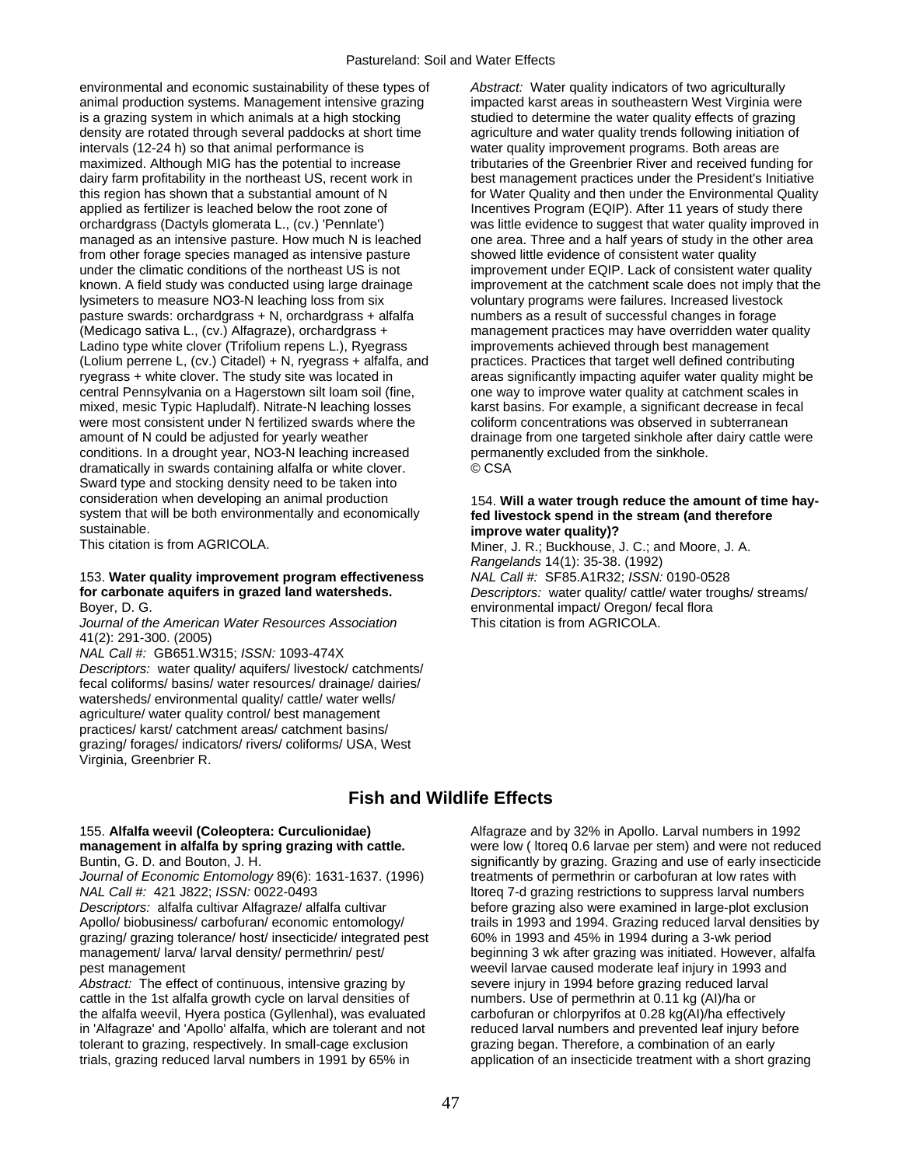environmental and economic sustainability of these types of *Abstract:* Water quality indicators of two agriculturally animal production systems. Management intensive grazing impacted karst areas in southeastern West Virginia were is a grazing system in which animals at a high stocking studied to determine the water quality effects of grazing density are rotated through several paddocks at short time agriculture and water quality trends following initiation of intervals (12-24 h) so that animal performance is water quality improvement programs. Both areas are maximized. Although MIG has the potential to increase tributaries of the Greenbrier River and received funding for dairy farm profitability in the northeast US, recent work in best management practices under the President's Initiative this region has shown that a substantial amount of N for Water Quality and then under the Environmental Quality applied as fertilizer is leached below the root zone of Incentives Program (EQIP). After 11 years of study there orchardgrass (Dactyls glomerata L., (cv.) 'Pennlate') was little evidence to suggest that water quality improved in managed as an intensive pasture. How much N is leached one area. Three and a half years of study in the other area from other forage species managed as intensive pasture showed little evidence of consistent water quality<br>under the climatic conditions of the northeast US is not improvement under EQIP. Lack of consistent wat known. A field study was conducted using large drainage improvement at the catchment scale does not imply that the<br>Ivsimeters to measure NO3-N leaching loss from six<br>voluntary programs were failures. Increased livestock pasture swards: orchardgrass + N, orchardgrass + alfalfa numbers as a result of successful changes in forage<br>(Medicago sativa L., (cv.) Alfagraze), orchardgrass + management practices may have overridden water q Ladino type white clover (Trifolium repens L.), Ryegrass (Lolium perrene L, (cv.) Citadel) + N, ryegrass + alfalfa, and practices. Practices that target well defined contributing ryegrass + white clover. The study site was located in areas significantly impacting aquifer water quality might be central Pennsylvania on a Hagerstown silt loam soil (fine, one way to improve water quality at catchment scales in mixed, mesic Typic Hapludalf). Nitrate-N leaching losses karst basins. For example, a significant decrease in fecal were most consistent under N fertilized swards where the coliform concentrations was observed in subterranean amount of N could be adjusted for yearly weather drainage from one targeted sinkhole after dairy cattle were<br>conditions. In a drought year, NO3-N leaching increased permanently excluded from the sinkhole. conditions. In a drought year, NO3-N leaching increased dramatically in swards containing alfalfa or white clover. © CSA Sward type and stocking density need to be taken into consideration when developing an animal production 154. **Will a water trough reduce the amount of time hay-**<br>
system that will be both environmentally and economically 154. **Will a water trough reduce the amount of time ha** system that will be both environmentally and economically **fed livestock spend in the stream (and therefore**  sustainable.<br>This citation is from AGRICOLA. **improve water quality)?**<br>Miner J. R.: Buckhouse

# 153. Water quality improvement program effectiveness *for carbonate aquifers in grazed land watersheds*.

Journal of the American Water Resources Association 41(2): 291-300. (2005)

*NAL Call #:* GB651.W315; *ISSN:* 1093-474X *Descriptors:* water quality/ aquifers/ livestock/ catchments/ fecal coliforms/ basins/ water resources/ drainage/ dairies/ watersheds/ environmental quality/ cattle/ water wells/ agriculture/ water quality control/ best management practices/ karst/ catchment areas/ catchment basins/ grazing/ forages/ indicators/ rivers/ coliforms/ USA, West Virginia, Greenbrier R.

*Journal of Economic Entomology* 89(6): 1631-1637. (1996) treatments of permethrin or carbofuran at low rates with<br>NAL Call #: 421 J822; ISSN: 0022-0493 **track on the latter of 7-d** grazing restrictions to suppress larval

*Descriptors:* alfalfa cultivar Alfagraze/ alfalfa cultivar before grazing also were examined in large-plot exclusion grazing/ grazing tolerance/ host/ insecticide/ integrated pest 60% in 1993 and 45% in 1994 during a 3-wk period management/ larva/ larval density/ permethrin/ pest/ beginning 3 wk after grazing was initiated. However, alfalfa pest management weevil larvae caused moderate leaf injury in 1993 and

*Abstract:* The effect of continuous, intensive grazing by severe injury in 1994 before grazing reduced larval cattle in the 1st alfalfa growth cycle on larval densities of numbers. Use of permethrin at 0.11 kg (AI)/ha or the alfalfa weevil, Hyera postica (Gyllenhal), was evaluated carbofuran or chlorpyrifos at 0.28 kg(AI)/ha effectively in 'Alfagraze' and 'Apollo' alfalfa, which are tolerant and not reduced larval numbers and prevented leaf injury before tolerant to grazing, respectively. In small-cage exclusion grazing began. Therefore, a combination of an early<br>trials, grazing reduced larval numbers in 1991 by 65% in application of an insecticide treatment with a short g

improvement under EQIP. Lack of consistent water quality voluntary programs were failures. Increased livestock management practices may have overridden water quality<br>improvements achieved through best management

Miner, J. R.; Buckhouse, J. C.; and Moore, J. A. *Rangelands* 14(1): 35-38. (1992) *Descriptors:* water quality/ cattle/ water troughs/ streams/ Boyer, D. G.<br>
Soyer, D. G. environmental impact/ Oregon/ fecal flora<br>
Journal of the American Water Resources Association<br>
This citation is from AGRICOLA.

### **Fish and Wildlife Effects**

155. **Alfalfa weevil (Coleoptera: Curculionidae)** Alfagraze and by 32% in Apollo. Larval numbers in 1992 **management in alfalfa by spring grazing with cattle.** were low ( ltoreq 0.6 larvae per stem) and were not reduced Buntin, G. D. and Bouton, J. H. Significantly by grazing. Grazing and use of early insecticide *NAL Call #:* 421 J822; *ISSN:* 0022-0493 ltoreq 7-d grazing restrictions to suppress larval numbers<br>Descriptors: alfalfa cultivar Alfagraze/ alfalfa cultivar before grazing also were examined in large-plot exclusion trails in 1993 and 1994. Grazing reduced larval densities by application of an insecticide treatment with a short grazing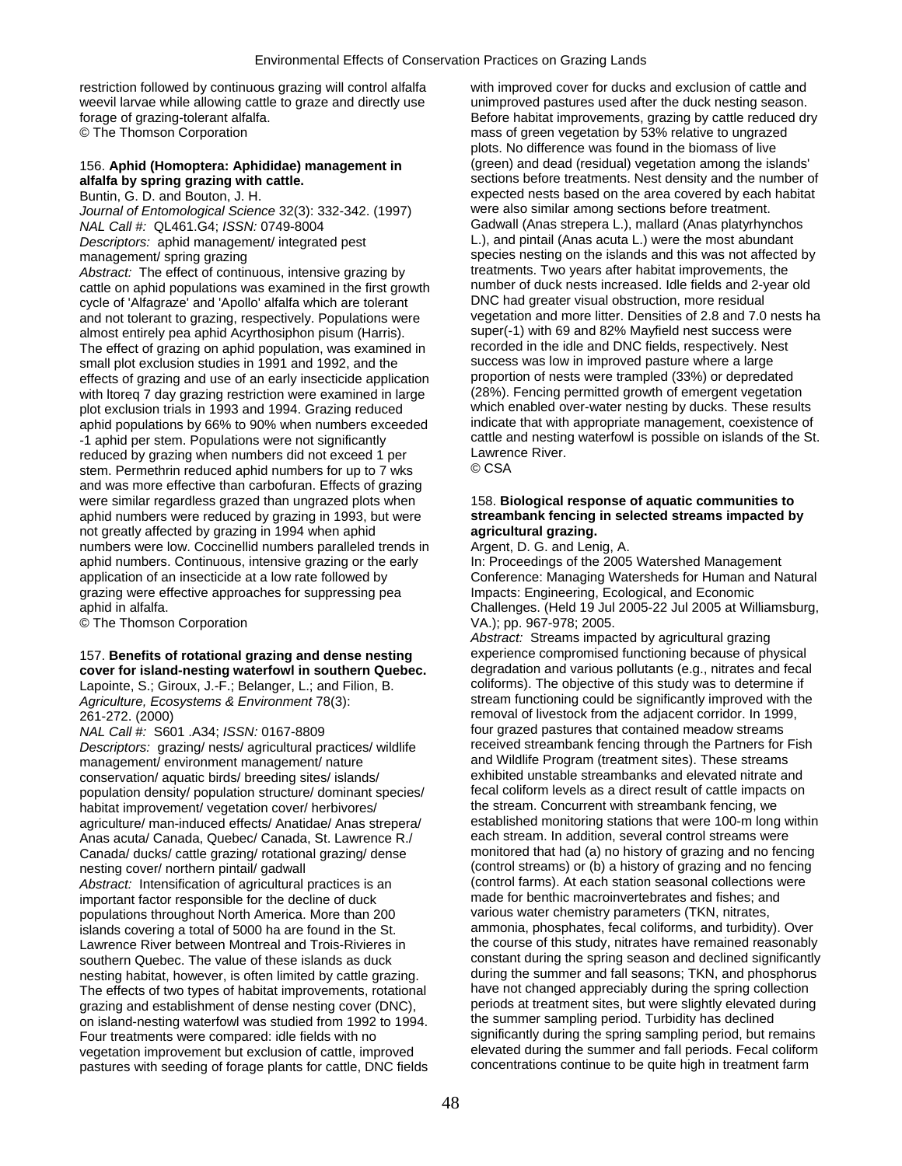restriction followed by continuous grazing will control alfalfa with improved cover for ducks and exclusion of cattle and weevil larvae while allowing cattle to graze and directly use unimproved pastures used after the duck nesting season.

*Journal of Entomological Science* 32(3): 332-342. (1997) *NAL Call #:* QL461.G4; *ISSN:* 0749-8004 Gadwall (Anas strepera L.), mallard (Anas platyrhynchos *Descriptors:* aphid management/ integrated pest L.), and pintail (Anas acuta L.) were the most abundant management/ spring grazing<br>
Abstract: The effect of continuous, intensive grazing by treatments. Two years after habitat improvements, the *Abstract:* The effect of continuous, intensive grazing by treatments. Two years after habitat improvements, the<br>cattle on aphid populations was examined in the first growth number of duck nests increased. Idle fields and cattle on aphid populations was examined in the first growth number of duck nests increased. Idle fields and 2-y<br>cycle of 'Alfagraze' and 'Apollo' alfalfa which are tolerant DNC had greater visual obstruction, more residua and not tolerant to grazing, respectively. Populations were vegetation and more litter. Densities of 2.8 and 7.0 nest<br>almost entirely pea aphid Acyrthosiphon pisum (Harris). super(-1) with 69 and 82% Mayfield nest success almost entirely pea aphid Acyrthosiphon pisum (Harris). super(-1) with 69 and 82% Mayfield nest success were<br>The effect of grazing on aphid population, was examined in succorded in the idle and DNC fields, respectively. Ne The effect of grazing on aphid population, was examined in recorded in the idle and DNC fields, respectively. Ne<br>small plot exclusion studies in 1991 and 1992, and the success was low in improved pasture where a large small plot exclusion studies in 1991 and 1992, and the success was low in improved pasture where a large<br>effects of grazing and use of an early insecticide application proportion of nests were trampled (33%) or depredated effects of grazing and use of an early insecticide application proportion of nests were trampled (33%) or depredated<br>with ltoreg 7 day grazing restriction were examined in large (28%). Fencing permitted growth of emergent with ltoreq 7 day grazing restriction were examined in large (28%). Fencing permitted growth of emergent vegetation<br>plot exclusion trials in 1993 and 1994. Grazing reduced verbich enabled over-water nesting by ducks. These plot exclusion trials in 1993 and 1994. Grazing reduced which enabled over-water nesting by ducks. These results<br>aphid populations by 66% to 90% when numbers exceeded indicate that with appropriate management, coexistence aphid populations by 66% to 90% when numbers exceeded -1 aphid per stem. Populations were not significantly cattle and nesting waterfowl is possible on islands of the St.<br>
reduced by grazing when numbers did not exceed 1 per Lawrence River. reduced by grazing when numbers did not exceed 1 per Lawrence Lawrence River. stem. Permethrin reduced aphid numbers for up to 7 wks and was more effective than carbofuran. Effects of grazing were similar regardless grazed than ungrazed plots when 158. **Biological response of aquatic communities to** aphid numbers were reduced by grazing in 1993, but were **streambank fencing in selected streams impacted by**  not greatly affected by grazing in 1994 when aphid **agricultural grazing.** numbers were low. Coccinellid numbers paralleled trends in Argent, D. G. and Lenig, A. aphid numbers. Continuous, intensive grazing or the early In: Proceedings of the 2005 Watershed Management application of an insecticide at a low rate followed by Conference: Managing Watersheds for Human and Natural grazing were effective approaches for suppressing pea<br>
Impacts: Engineering, Ecological, and Economic grazing were effective approaches for suppressing pea aphid in alfalfa. Challenges. (Held 19 Jul 2005-22 Jul 2005 at Williamsburg,

© The Thomson Corporation VA.); pp. 967-978; 2005.

## 157. **Benefits of rotational grazing and dense nesting** experience compromised functioning because of physical

Lapointe, S.; Giroux, J.-F.; Belanger, L.; and Filion, B. 261-272. (2000) 2011 272. (2000)

*Descriptors:* grazing/ nests/ agricultural practices/ wildlife management/ environment management/ nature conservation/ aquatic birds/ breeding sites/ islands/ exhibited unstable streambanks and elevated nitrate and<br>
nopulation density/ population structure/ dominant species/ fecal coliform levels as a direct result of cattle population density/ population structure/ dominant species/ fecal coliform levels as a direct result of cattle impact<br>habitat improvement/ vegetation cover/ herbivores/ the stream. Concurrent with streambank fencing, we habitat improvement/ vegetation cover/ herbivores/ the stream. Concurrent with streambank fencing, we<br>hetablished monitoring stations that were 100-m long within agriculture/ manitoring stations that were 100-m long within agriculture/ man-induced effects/ Anatidae/ Anas strepera/ established monitoring stations that were 100-m long w<br>Anas acuta/ Canada, Quebec/ Canada, St. Lawrence R / each stream. In addition, several control streams were Anas acuta/ Canada, Quebec/ Canada, St. Lawrence R./ each stream. In addition, several control streams were<br>Canada/ ducks/ cattle grazing/ rotational grazing/ dense monitored that had (a) no history of grazing and no fenci Canada/ ducks/ cattle grazing/ rotational grazing/ dense nesting cover/ northern pintail/ gadwall (control streams) or (b) a history of grazing and no fencing<br>Abstract: Intensification of agricultural practices is an (control farms). At each station seasonal collections were *Abstract:* Intensification of agricultural practices is an (control farms). At each station seasonal collections were important factor responsible for the decline of duck made for benthic macroinvertebrates and fishes; an important factor responsible for the decline of duck made for benthic macroinvertebrates and fishes; and<br>
populations throughout North America, More than 200 various water chemistry parameters (TKN, nitrates, populations throughout North America. More than 200 various water chemistry parameters (TKN, nitrates, various water chemistry parameters (TKN, nitrates, islands covering a total of 5000 ha are found in the St ammonia, pho islands covering a total of 5000 ha are found in the St. Lawrence River between Montreal and Trois-Rivieres in the course of this study, nitrates have remained reasonably southern Quebec. The value of these islands as duck constant during the spring season and declined significantly nesting habitat, however, is often limited by cattle grazing. during the summer and fall seasons; TKN, and phosphorus The effects of two types of habitat improvements, rotational have not changed appreciably during the spring collection<br>
origina and establishment of dense nesting cover (DNC) periods at treatment sites, but were slightly e grazing and establishment of dense nesting cover (DNC), example periods at treatment sites, but were slightly elevated on island-nesting waterfowl was studied from 1992 to 1994 on island-nesting waterfowl was studied from 1992 to 1994. Four treatments were compared: idle fields with no significantly during the spring sampling period, but remains<br>
yegetation improvement but exclusion of cattle improved elevated during the summer and fall periods. Fecal co vegetation improvement but exclusion of cattle, improved elevated during the summer and fall periods. Fecal coliforn<br>nastures with seeding of forage plants for cattle, DNC fields concentrations continue to be quite high in pastures with seeding of forage plants for cattle, DNC fields

forage of grazing-tolerant alfalfa. The state of the state of the state of the state of the Thomson Corporation<br>Compared the Thomson Corporation of the state of the state of the state of dreen vegetation by 53% relative to mass of green vegetation by 53% relative to ungrazed plots. No difference was found in the biomass of live 156. **Aphid (Homoptera: Aphididae) management in** (green) and dead (residual) vegetation among the islands' alfalfa by spring grazing with cattle. **Example 20 and Sections before treatments**. Nest density and the number of Buntin, G. D. and Bouton, J. H. expected nests based on the area covered by each habitat <br>Journal of Entomological Science 32(3): 332-342. (1997) were also similar among sections before treatment. cycle of 'Alfagraze' and 'Apollo' alfalfa which are tolerant DNC had greater visual obstruction, more residual<br>And not tolerant to grazing respectively. Populations were vegetation and more litter. Densities of 2.8 and 7.0

*Abstract:* Streams impacted by agricultural grazing **cover for island-nesting waterfowl in southern Quebec.** <sup>degradation and various pollutants (e.g., nitrates and feca<br>Lapointe S : Giroux J - F : Belanger L : and Filion B coliforms). The objective of this study was to det</sup> *Agriculture, Ecosystems & Environment* 78(3): stream functioning could be significantly improved with the *NAL Call #:* S601 .A34; *ISSN:* 0167-8809 four grazed pastures that contained meadow streams<br>Descriptors: grazing/ nests/ agricultural practices/ wildlife received streambank fencing through the Partners for Fish and Wildlife Program (treatment sites). These streams<br>exhibited unstable streambanks and elevated nitrate and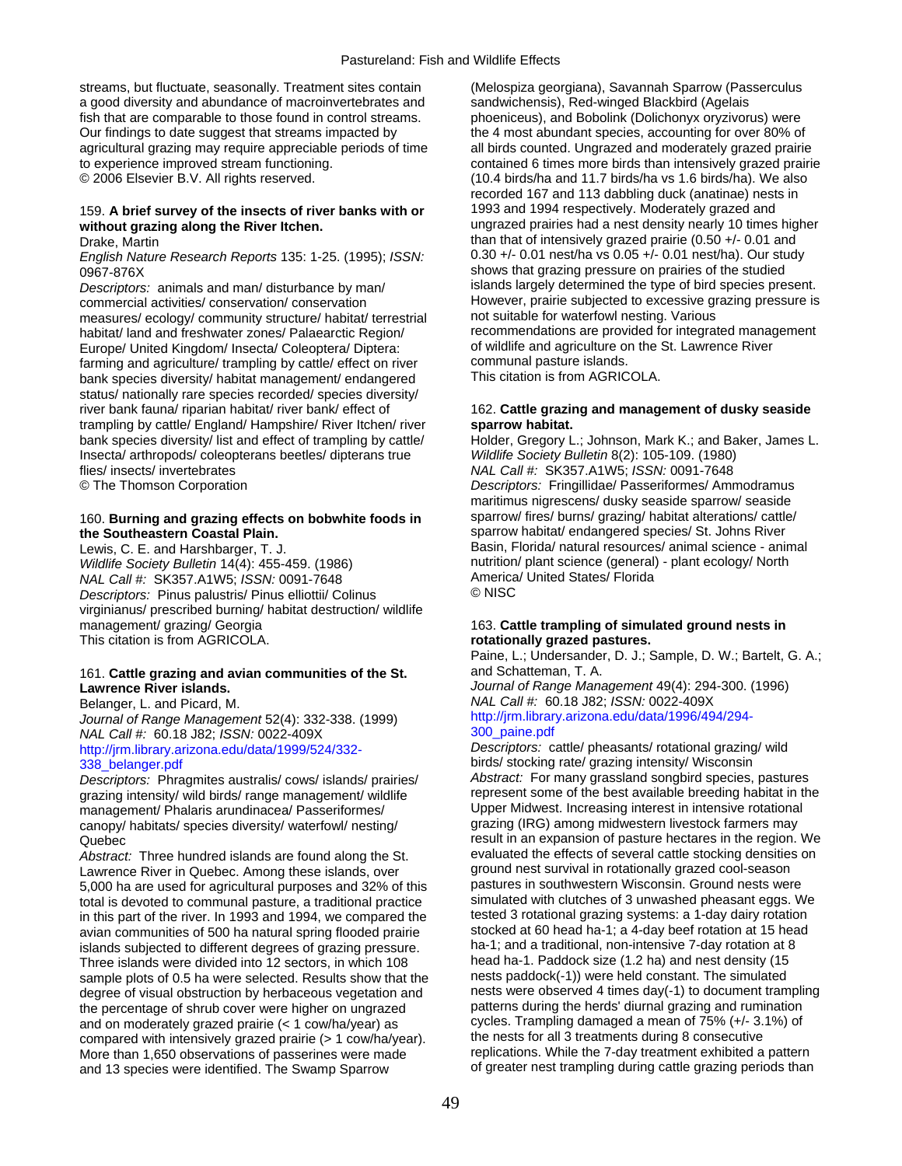streams, but fluctuate, seasonally. Treatment sites contain (Melospiza georgiana), Savannah Sparrow (Passerculus a good diversity and abundance of macroinvertebrates and sandwichensis), Red-winged Blackbird (Agelais fish that are comparable to those found in control streams. phoeniceus), and Bobolink (Dolichonyx oryzivorus) were Our findings to date suggest that streams impacted by the 4 most abundant species, accounting for over 80% of agricultural grazing may require appreciable periods of time all birds counted. Ungrazed and moderately grazed prairie

## 159. **A brief survey of the insects of river banks with or** 1993 and 1994 respectively. Moderately grazed and

*English Nature Research Reports* 135: 1-25. (1995); *ISSN:* 0967-876X shows that grazing pressure on prairies of the studied

measures/ ecology/ community structure/ habitat/ terrestrial habitat/ land and freshwater zones/ Palaearctic Region/ recommendations are provided for integrated management<br>Furope/ United Kingdom/ Insecta/ Coleoptera/ Diptera: of wildlife and agriculture on the St. Lawrence River Europe/ United Kingdom/ Insecta/ Coleoptera/ Diptera: of wildlife and agriculture on<br>
farming and agriculture/ trampling by cattle/ effect on river communal pasture islands. farming and agriculture/ trampling by cattle/ effect on river communal pasture islands.<br>hank species diversity/ habitat management/ endangered This citation is from AGRICOLA. bank species diversity/ habitat management/ endangered status/ nationally rare species recorded/ species diversity/ river bank fauna/ riparian habitat/ river bank/ effect of 162. **Cattle grazing and management of dusky seaside**  trampling by cattle/ England/ Hampshire/ River Itchen/ river **sparrow habitat.**  bank species diversity/ list and effect of trampling by cattle/ Holder, Gregory L.; Johnson, Mark K.; and Baker, James L. Insecta/ arthropods/ coleopterans beetles/ dipterans true *Wildlife Society Bulletin* 8(2): 105-109. (1980) flies/ insects/ invertebrates *NAL Call #:* SK357.A1W5; *ISSN:* 0091-7648

*Wildlife Society Bulletin* 14(4): 455-459. (1986) **nutrition/ plant science (general)** - plant ecology/ North *NAI* Call #: SK357 A1W5: ISSN: 0091-7648 *NAL Call #:* SK357.A1W5; *ISSN:* 0091-7648 America<br>Descriptors: Pinus palustris/ Pinus elliottii/ Colinus **America** © NISC *Descriptors:* Pinus palustris/ Pinus elliottii/ Colinus virginianus/ prescribed burning/ habitat destruction/ wildlife management/ grazing/ Georgia 163. **Cattle trampling of simulated ground nests in** 163. This citation is from AGRICOLA. *rotationally grazed pastures. rotationally grazed pastures.* 

### 161. **Cattle grazing and avian communities of the St.** and Schatteman, T. A. **Lawrence River islands.** *Journal of Range Management* 49(4): 294-300. (1996)

*Journal of Range Management* 52(4): 332-338. (1999) http://jrm.librar<br>M4L Call #: 60.18. I82: ISSN: 0022-409X *NAL Call #: 60.18 J82; <i>ISSN: 0022-409X* [http://jrm.library.arizona.edu/data/1999/524/332-](http://jrm.library.arizona.edu/data/1999/524/332-338_belanger.pdf) *Descriptors:* cattle/ pheasants/ rotational grazing/ wild

grazing intensity/ wild birds/ range management/ wildlife represent some of the best available breeding habitat in t<br>management/ Phalaris arundinacea/ Passeriformes/ Upper Midwest, Increasing interest in intensive rotation management/ Phalaris arundinacea/ Passeriformes/ Upper Midwest. Increasing interest in intensive rotationa<br>canopy/ habitats/ species diversity/ waterfowl/ nesting/ grazing (IRG) among midwestern livestock farmers may canopy/ habitats/ species diversity/ waterfowl/ nesting/<br>Quebec

Abstract: Three hundred islands are found along the St. evaluated the effects of several cattle stocking densities<br>Lawrence River in Quebec, Among these islands, over **the arround and the effects of several cattle** stockin Lawrence River in Quebec. Among these islands, over ground nest survival in rotationally grazed cool-season<br>5.000 ha are used for agricultural purposes and 32% of this pastures in southwestern Wisconsin. Ground nests were 5,000 ha are used for agricultural purposes and 32% of this total is devoted to communal pasture, a traditional practice simulated with clutches of 3 unwashed pheasant eggs. We in this part of the river. In 1993 and 1994, we compared the tested 3 rotational grazing systems: a 1-day dairy rotation<br>avian communities of 500 ha natural spring flooded prairie stocked at 60 head ha-1; a 4-day beef rota avian communities of 500 ha natural spring flooded prairie stocked at 60 head ha-1; a 4-day beef rotation at 15 head<br>islands subjected to different degrees of grazing pressure ha-1; and a traditional, non-intensive 7-day r islands subjected to different degrees of grazing pressure. ha-1; and a traditional, non-intensive 7-day rotation at 8<br>Three islands were divided into 12 sectors, in which 108 head ha-1. Paddock size (1.2 ha) and nest dens Three islands were divided into 12 sectors, in which 108 head ha-1. Paddock size (1.2 ha) and nest density (15<br>sample plots of 0.5 ha were selected. Results show that the nests paddock(-1)) were held constant. The simulate degree of visual obstruction by herbaceous vegetation and nests were observed 4 times day(-1) to document trampli<br>the percentage of shrub cover were higher on ungrazed patterns during the herds' diurnal grazing and ruminat the percentage of shrub cover were higher on ungrazed patterns during the herds' diurnal grazing and rumination<br>and on moderately grazed prairie (< 1 cow/ha/year) as cycles. Trampling damaged a mean of 75% (+/- 3.1%) of and on moderately grazed prairie (< 1 cow/ha/year) as cycles. Trampling damaged a mean of 75% (+/- 3.<br>compared with intensively grazed prairie (> 1 cow/ha/year). The nests for all 3 treatments during 8 consecutive compared with intensively grazed prairie (> 1 cow/ha/year). More than 1,650 observations of passerines were made replications. While the 7-day treatment exhibited a pattern and 13 species were identified. The Swamp Sparrow of greater nest trampling during cattle grazing periods than

to experience improved stream functioning. contained 6 times more birds than intensively grazed prairie © 2006 Elsevier B.V. All rights reserved. (10.4 birds/ha and 11.7 birds/ha vs 1.6 birds/ha). We also recorded 167 and 113 dabbling duck (anatinae) nests in **without grazing along the River Itchen.** ungrazed prairies had a nest density nearly 10 times higher Drake, Martin<br>
For than that of intensively grazed prairie (0.50 +/- 0.01 and<br>
For that the Senalish Nature Research Reports 135: 1-25, (1995): ISSN: 0.30 +/- 0.01 nest/ha vs 0.05 +/- 0.01 nest/ha). Our study *Descriptors:* animals and man/ disturbance by man/ islands largely determined the type of bird species present. commercial activities/ conservation/ conservation However, prairie subjected to excessive grazing pressure is<br>measures/ ecology/ community structure/ habitat/ terrestrial not suitable for waterfowl nesting. Various

© The Thomson Corporation *Descriptors:* Fringillidae/ Passeriformes/ Ammodramus maritimus nigrescens/ dusky seaside sparrow/ seaside 160. **Burning and grazing effects on bobwhite foods in** sparrow/ fires/ burns/ grazing/ habitat alterations/ cattle/ sparrow habitat/ endangered species/ St. Johns River Lewis, C. E. and Harshbarger, T. J. Basin, Florida/ natural resources/ animal science - animal

Paine, L.; Undersander, D. J.; Sample, D. W.; Bartelt, G. A.;

Belanger, L. and Picard, M. *NAL Call #:* 60.18 J82; *ISSN:* 0022-409X

338\_belanger.pdf<br>
Descriptors: Phragmites australis/ cows/ islands/ prairies/ Bustract: For many grassland songbird species, pastures *Descriptors:* Phragmites australis/ cows/ islands/ prairies/ *Abstract:* For many grassland songbird species, pastures result in an expansion of pasture hectares in the region. We evaluated the effects of several cattle stocking densities on sample plots of 0.5 ha were selected. Results show that the nests paddock(-1)) were held constant. The simulated<br>degree of visual obstruction by berbaceous vegetation and nests were observed 4 times day(-1) to document tra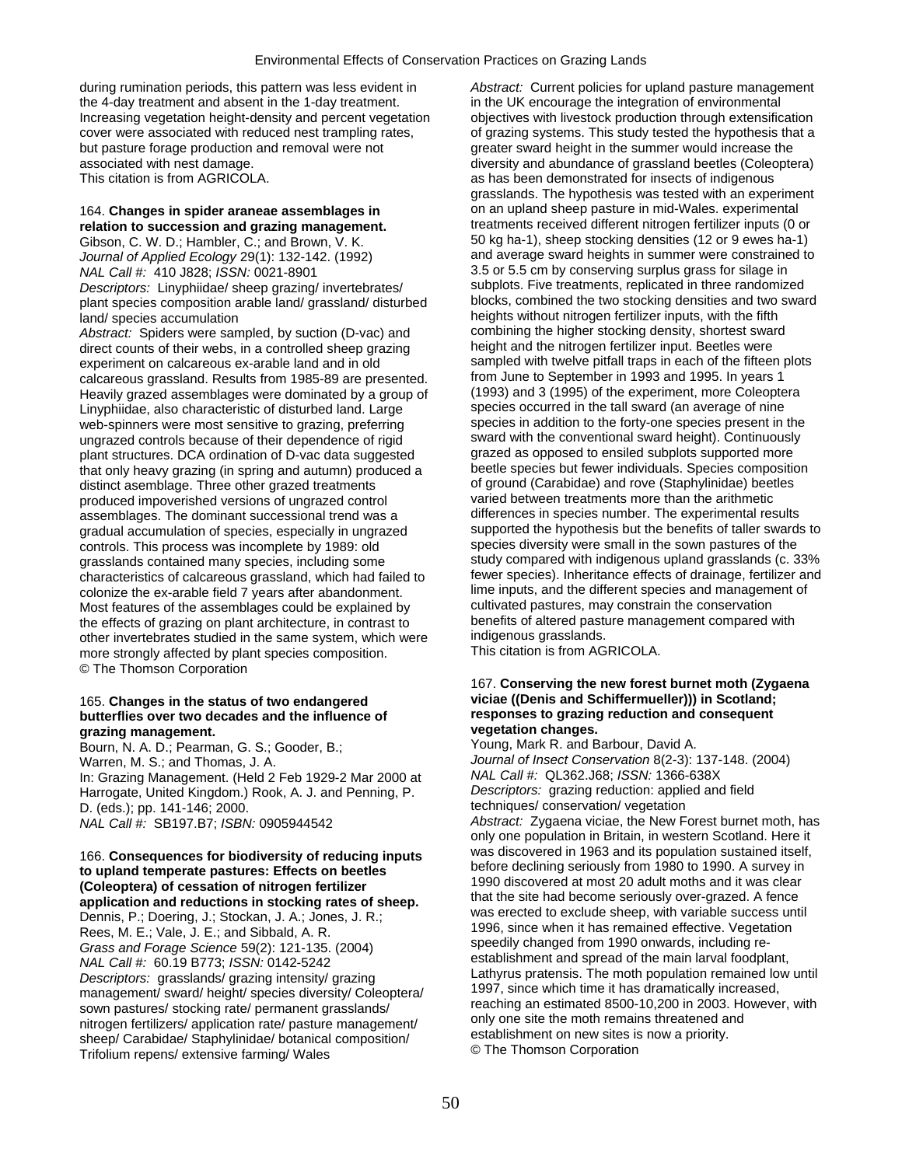during rumination periods, this pattern was less evident in *Abstract:* Current policies for upland pasture management the 4-day treatment and absent in the 1-day treatment. in the UK encourage the integration of environmental Increasing vegetation height-density and percent vegetation objectives with livestock production through extensification cover were associated with reduced nest trampling rates, of grazing systems. This study tested the hypothesis that a but pasture forage production and removal were not greater sward height in the summer would increase the associated with nest damage. diversity and abundance of grassland beetles (Coleoptera)

Gibson, C. W. D.; Hambler, C.; and Brown, V. K. *NAL Call #:* 410 J828; *ISSN:* 0021-8901 3.5 or 5.5 cm by conserving surplus grass for silage in plant species composition arable land/ grassland/ disturbed

*Abstract:* Spiders were sampled, by suction (D-vac) and combining the higher stocking density, shortest sward combining the higher stocking density, shortest sward direct counts of their webs in a controlled sheen grazing direct counts of their webs, in a controlled sheep grazing height and the nitrogen fertilizer input. Beetles were<br>experiment on calcareous ex-arable land and in old<br>sampled with twelve pitfall traps in each of the fifteen experiment on calcareous ex-arable land and in old sampled with twelve pitfall traps in each of the fifteen plot<br>Calcareous grassland, Results from 1985-89 are presented from June to September in 1993 and 1995. In years 1 calcareous grassland. Results from 1985-89 are presented. From June to September in 1993 and 1995. In years 1<br>Heavily grazed assemblages were dominated by a group of (1993) and 3 (1995) of the experiment, more Coleoptera Heavily grazed assemblages were dominated by a group of (1993) and 3 (1995) of the experiment, more Coleopte<br>Linyphiidae, also characteristic of disturbed land, Large species occurred in the tall sward (an average of nine Linyphiidae, also characteristic of disturbed land. Large species occurred in the tall sward (an average of nine<br>web-spinners were most sensitive to grazing, preferring species in addition to the forty-one species present web-spinners were most sensitive to grazing, preferring ungrazed controls because of their dependence of rigid sward with the conventional sward height). Continuously<br>
plant structures. DCA ordination of D-vac data suggested grazed as opposed to ensiled subplots supported more plant structures. DCA ordination of D-vac data suggested grazed as opposed to ensiled subplots supported more<br>that only heavy grazing (in spring and autumn) produced a beetle species but fewer individuals. Species composit that only heavy grazing (in spring and autumn) produced a beetle species but fewer individuals. Species composition<br>distinct asemblage. Three other grazed treatments of ground (Carabidae) and rove (Staphylinidae) beetles distinct asemblage. Three other grazed treatments of ground (Carabidae) and rove (Staphylinidae) beet<br>or oduced impoverished versions of ungrazed control varied between treatments more than the arithmetic produced impoverished versions of ungrazed control varied between treatments more than the arithmetic assemblages. The dominant successional trend was a differences in species number. The experimental results<br>
and a differences in species a specially in ungrazed supported the hypothesis but the benefits of taller swards to gradual accumulation of species, especially in ungrazed supported the hypothesis but the benefits of taller sward<br>controls. This process was incomplete by 1989; old species diversity were small in the sown pastures of the controls. This process was incomplete by 1989: old grasslands contained many species, including some study compared with indigenous upland grasslands (c. 33%<br>characteristics of calcareous grassland, which had failed to fewer species). Inheritance effects of drainage, ferti characteristics of calcareous grassland, which had failed to fewer species). Inheritance effects of drainage, fertilizer and<br>colonize the ex-arable field 7 years after abandonment lime inputs, and the different species and colonize the ex-arable field 7 years after abandonment. lime inputs, and the different species and managem<br>Most features of the assemblages could be explained by exercitivated pastures, may constrain the conservation Most features of the assemblages could be explained by eultivated pastures, may constrain the conservation<br>the effects of grazing on plant architecture, in contrast to benefits of altered pasture management compared with the effects of grazing on plant architecture, in contrast to benefits of altered pasture invertebrates studied in the same system, which were indigenous grasslands. other invertebrates studied in the same system, which were indigenous grasslands.<br>more strongly affected by plant species composition This citation is from AGRICOLA. more strongly affected by plant species composition. © The Thomson Corporation

## **butterflies over two decades and the influence of responses to grazing responses to grazing reduction and consequent in the consequent of the consequent of angles. grazing management. vegetation changes.**

Bourn, N. A. D.; Pearman, G. S.; Gooder, B.; Warren, M. S.; and Thomas, J. A. **Journal of Insect Conservation** 8(2-3): 137-148. (2004)<br>In: Grazing Management (Held 2 Feb 1929-2 Mar 2000 at **NAL Call #: QL362.J68; ISSN: 1366-638X** In: Grazing Management. (Held 2 Feb 1929-2 Mar 2000 at *NAL Call #:* QL362.J68; *ISSN:* 1366-638X Harrogate, United Kingdom.) Rook, A. J. and Penning, P. D. (eds.); pp. 141-146; 2000. techniques/ conservation/ vegetation

Rees, M. E.; Vale, J. E.; and Sibbald, A. R.<br>Grass and Forage Science 59(2): 121-135. (2004) <sup>1996</sup>, since when it has remained effective. Vegetation<br>*NAL Call #:* 60.19 B773; *ISSN:* 0142-5242<br>establishment and spread of sown pastures/ stocking rate/ permanent grasslands/<br>
introgen fertilizers/ application rate/ pasture management/<br>
sheep/ Carabidae/ Staphylinidae/ botanical composition/<br>
Trifolium repens/ extensive farming/ Wales<br>  $\bullet$  Th

This citation is from AGRICOLA. **All interests of indigenous** as has been demonstrated for insects of indigenous grasslands. The hypothesis was tested with an experiment 164. **Changes in spider araneae assemblages in** on an upland sheep pasture in mid-Wales. experimental **relation to succession and grazing management. treatments received different nitrogen fertilizer inputs (0 or**<br> **Gibson C. W. D. Hambler C. and Brown V. K.** 50 kg ha-1), sheep stocking densities (12 or 9 ewes ha-1) *Journal of Applied Ecology* 29(1): 132-142. (1992) and average sward heights in summer were constrained to *Descriptors:* Linyphiidae/ sheep grazing/ invertebrates/ subplots. Five treatments, replicated in three randomized land/ species accumulation<br>
Abstract: Spiders were sampled, by suction (D-vac) and combining the higher stocking density, shortest sward

## 167. **Conserving the new forest burnet moth (Zygaena**  165. **Changes in the status of two endangered viciae ((Denis and Schiffermueller))) in Scotland;**

*NAL Call #:* SB197.B7; *ISBN:* 0905944542 *Abstract:* Zygaena viciae, the New Forest burnet moth, has only one population in Britain, in western Scotland. Here it 166. Consequences for biodiversity of reducing inputs<br>
to upland temperate pastures: Effects on beetles<br>
(Coleoptera) of cessation of nitrogen fertilizer<br>
application and reductions in stocking rates of sheep.<br>
Dennis, P.; Lathyrus pratensis. The moth population remained low until *Descriptors:* grasslands/ grazing intensity/ grazing management/ sward/ height/ species diversity/ Coleoptera/ 1997, since which time it has dramatically increased,<br>sown pastures/ stocking rate/ permanent grasslands/ reaching an estimated 8500-10,200 in 2003. However, with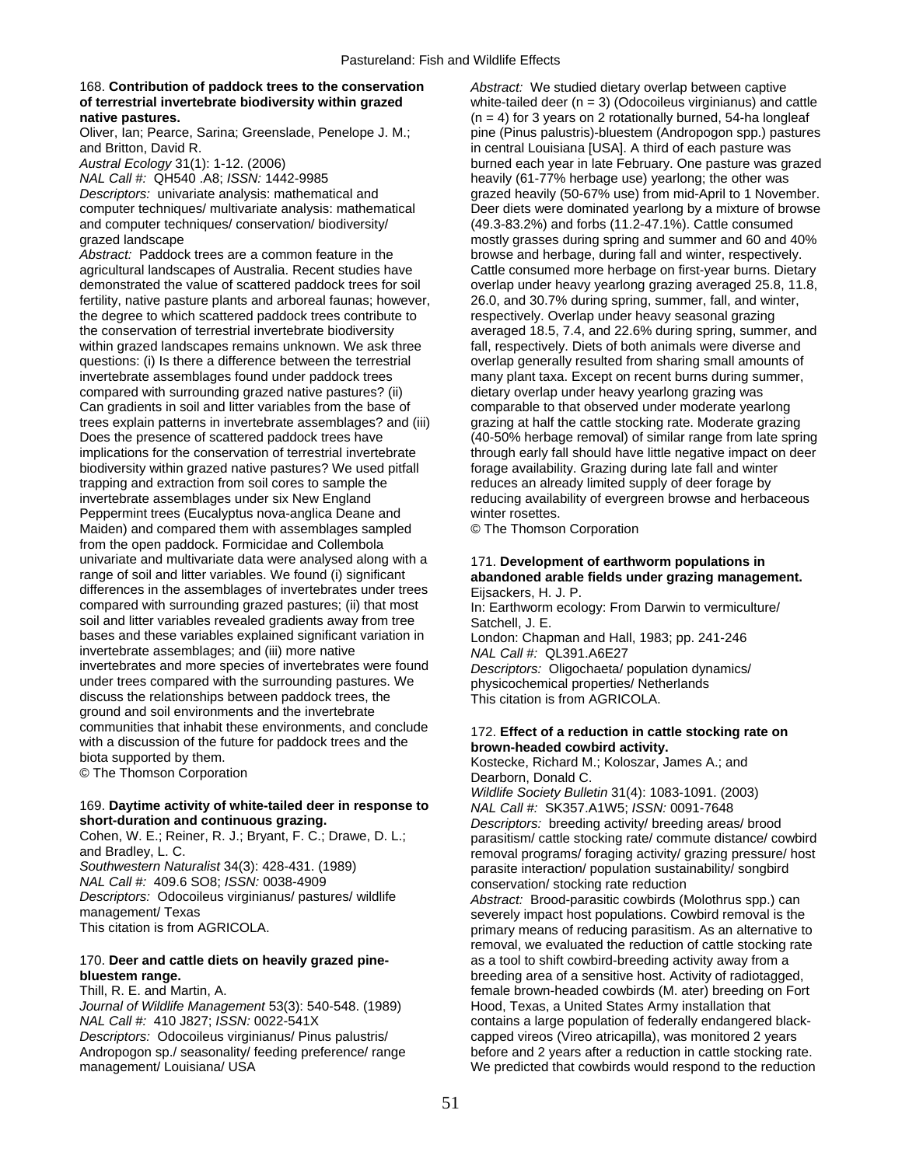# 168. **Contribution of paddock trees to the conservation** *Abstract:* We studied dietary overlap between captive

and Britton, David R. in central Louisiana [USA]. A third of each pasture was

and computer techniques/ conservation/ biodiversity/ (49.3-83.2%) and forbs (11.2-47.1%). Cattle consumed

agricultural landscapes of Australia. Recent studies have Cattle consumed more herbage on first-year burns. Dietary demonstrated the value of scattered paddock trees for soil overlap under heavy yearlong grazing averaged 25.8, 11.8, fertility, native pasture plants and arboreal faunas; however, 26.0, and 30.7% during spring, summer, fall, and winter, the degree to which scattered paddock trees contribute to respectively. Overlap under heavy seasonal grazing<br>the conservation of terrestrial invertebrate biodiversity averaged 18.5. 7.4. and 22.6% during spring. summer within grazed landscapes remains unknown. We ask three questions: (i) Is there a difference between the terrestrial overlap generally resulted from sharing small amounts of invertebrate assemblages found under paddock trees many plant taxa. Except on recent burns during summer, compared with surrounding grazed native pastures? (ii) dietary overlap under heavy yearlong grazing was Can gradients in soil and litter variables from the base of comparable to that observed under moderate yearlong trees explain patterns in invertebrate assemblages? and (iii) grazing at half the cattle stocking rate. Moderate grazing Does the presence of scattered paddock trees have (40-50% herbage removal) of similar range from late spring implications for the conservation of terrestrial invertebrate through early fall should have little negative impact on deer biodiversity within grazed native pastures? We used pitfall forage availability. Grazing during late fall and winter trapping and extraction from soil cores to sample the reduces an already limited supply of deer forage by invertebrate assemblages under six New England reducing availability of evergreen browse and herbaceous Peppermint trees (Eucalyptus nova-anglica Deane and winter rosettes. Maiden) and compared them with assemblages sampled © The Thomson Corporation from the open paddock. Formicidae and Collembola univariate and multivariate data were analysed along with a 171. **Development of earthworm populations in** range of soil and litter variables. We found (i) significant abandoned arable fields under grazing manager differences in the assemblages of invertebrates under trees Eijsackers, H. J. P.<br>
compared with surrounding grazed pastures; (ii) that most ln: Farthworm ecol soil and litter variables revealed gradients away from tree Satchell, J. E. bases and these variables explained significant variation in London: Chapman and Hall, 1983; pp. 241-246 invertebrate assemblages; and (iii) more native *NAL Call #:* QL391.A6E27 invertebrates and more species of invertebrates were found *Descriptors:* Oligochaeta/ population dynamics/ under trees compared with the surrounding pastures. We physicochemical properties/ Netherlands discuss the relationships between paddock trees, the This citation is from AGRICOLA. ground and soil environments and the invertebrate<br>communities that inhabit these environments, and conclude communities that inhabit these environments, and conclude<br>with a discussion of the future for paddock trees and the<br>biota supported by them.<br>
Effect of a reduction in cattle stocking rate on<br>
brown-headed cowbird activity.

## 169. **Daytime activity of white-tailed deer in response to** *NAL Call #:* SK357.A1W5; *ISSN:* 0091-7648

*NAL Call #:* 409.6 SO8; *ISSN:* 0038-4909<br> *Descriptors:* Odocoileus virginianus/ pastures/ wildlife *Abstract:* Brood-parasitic cowbirds (N

*Journal of Wildlife Management* 53(3): 540-548. (1989) Hood, Texas, a United States Army installation that *Descriptors:* Odocoileus virginianus/ Pinus palustris/ capped vireos (Vireo atricapilla), was monitored 2 years

**of terrestrial invertebrate biodiversity within grazed** white-tailed deer (n = 3) (Odocoileus virginianus) and cattle native pastures.<br>(n = 4) for 3 years on 2 rotationally burned, 54-ha longleaf **native pastures.** (n = 4) for 3 years on 2 rotationally burned, 54-ha longleaf Oliver, Ian; Pearce, Sarina; Greenslade, Penelope J. M.; pine (Pinus palustris)-bluestem (Andropogon spp.) pastures Austral Ecology 31(1): 1-12. (2006)<br>*NAL Call #:* QH540 .A8; *ISSN:* 1442-9985 **burned each year in late February. One pasture was grazed heavily (61-77% herbage use) yearlong; the other was** heavily (61-77% herbage use) yearlong; the other was *Descriptors:* univariate analysis: mathematical and grazed heavily (50-67% use) from mid-April to 1 November. computer techniques/ multivariate analysis: mathematical Deer diets were dominated yearlong by a mixture of browse grazed landscape mostly grasses during spring and summer and 60 and 40% *Abstract:* Paddock trees are a common feature in the browse and herbage, during fall and winter, respectively. averaged 18.5, 7.4, and 22.6% during spring, summer, and fall, respectively. Diets of both animals were diverse and

# abandoned arable fields under grazing management.

In: Earthworm ecology: From Darwin to vermiculture/

*Wildlife Society Bulletin* 31(4): 1083-1091. (2003) **short-duration and continuous grazing.** *Descriptors:* breeding activity/ breeding areas/ brood Cohen, W. E.; Reiner, R. J.; Bryant, F. C.; Drawe, D. L.; **and areas/ propriated areas/ commute** distance/ co Cohen, W. E.; Reiner, R. J.; Bryant, F. C.; Drawe, D. L.; parasitism/ cattle stocking rate/ commute distance/ cowbird<br>Femoval programs/ foraging activity/ grazing pressure/ host and Bradley, L. C.<br>2007 - removal programs/ foraging activity/ grazing pressure/ host<br>2007 - parasite interaction/ population sustainability/ songbird parasite interaction/ population sustainability/ songbird

*Descriptors:* Odocoileus virginianus/ pastures/ wildlife *Abstract:* Brood-parasitic cowbirds (Molothrus spp.) can management/ Texas management/ Texas severely impact host populations. Cowbird removal is the<br>This citation is from AGRICOLA. This citation is the primary means of reducing parasitism. As an alternative to primary means of reducing parasitism. As an alternative to removal, we evaluated the reduction of cattle stocking rate 170. **Deer and cattle diets on heavily grazed pine-** as a tool to shift cowbird-breeding activity away from a **bluestem range. bluestem range. bluestem range. bluestem range. bluestem range. bluestem range. bluestem range. bluestem range. bluestem range. bluestem range. bluestem range. bluestem range. blues** Thill, R. E. and Martin, A. female brown-headed cowbirds (M. ater) breeding on Fort *NAL Call #:* 410 J827; *ISSN:* 0022-541X contains a large population of federally endangered black-Andropogon sp./ seasonality/ feeding preference/ range before and 2 years after a reduction in cattle stocking rate. management/ Louisiana/ USA We predicted that cowbirds would respond to the reduction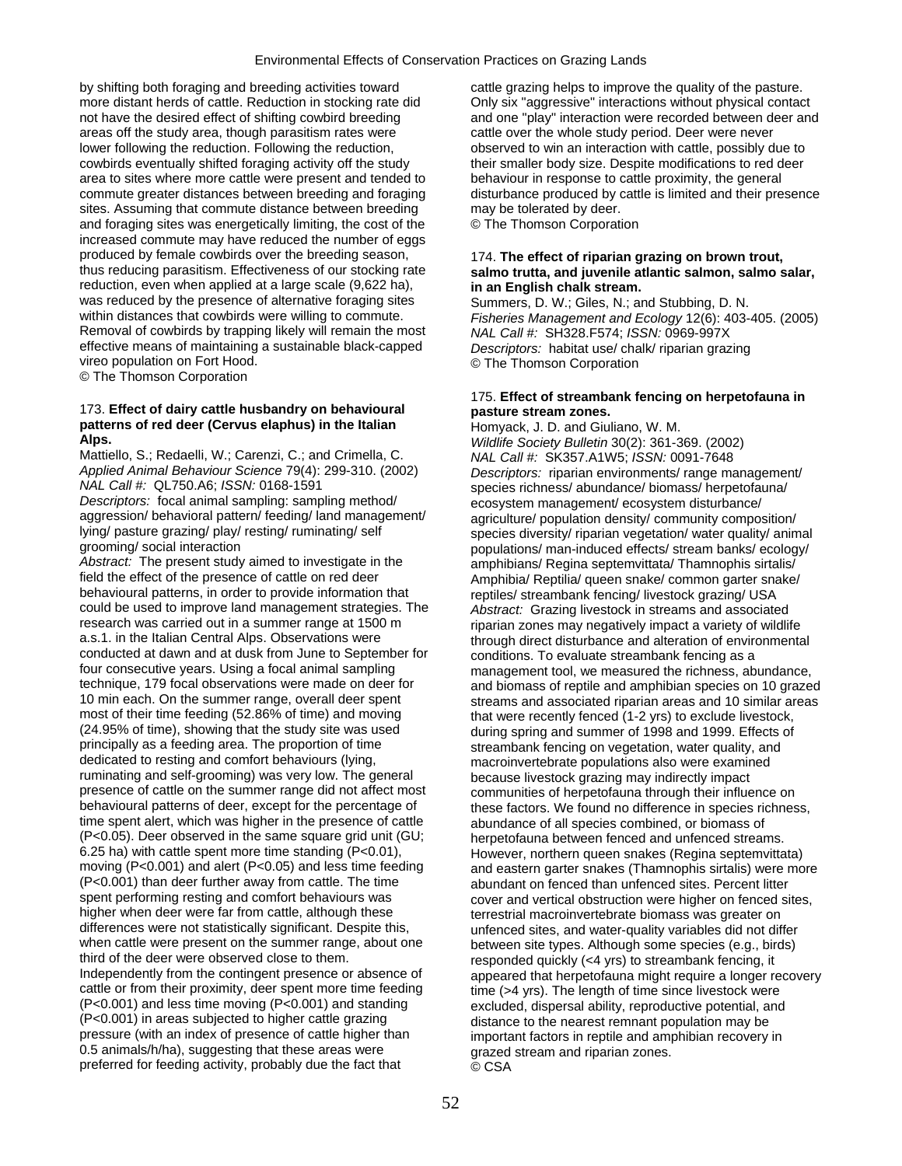by shifting both foraging and breeding activities toward cattle grazing helps to improve the quality of the pasture. more distant herds of cattle. Reduction in stocking rate did Only six "aggressive" interactions without physical contact not have the desired effect of shifting cowbird breeding and one "play" interaction were recorded between deer and areas off the study area, though parasitism rates were cattle over the whole study period. Deer were never lower following the reduction. Following the reduction, observed to win an interaction with cattle, possibly due to cowbirds eventually shifted foraging activity off the study their smaller body size. Despite modifications to red deer area to sites where more cattle were present and tended to behaviour in response to cattle proximity, the general commute greater distances between breeding and foraging disturbance produced by cattle is limited and their presence sites. Assuming that commute distance between breeding may be tolerated by deer. and foraging sites was energetically limiting, the cost of the © The Thomson Corporation increased commute may have reduced the number of eggs produced by female cowbirds over the breeding season, 174. **The effect of riparian grazing on brown trout,** thus reducing parasitism. Effectiveness of our stocking rate **salmo trutta, and juvenile atlantic salmon, salmo salar,**  reduction, even when applied at a large scale (9,622 ha), **in an English chalk stream.**  was reduced by the presence of alternative foraging sites Summers, D. W.; Giles, N.; and Stubbing, D. N. within distances that cowbirds were willing to commute. Fisheries Management and Ecology 12(6): 403-Removal of cowbirds by trapping likely will remain the most *NAL Call #:* SH328.F574; *ISSN:* 0969-997X effective means of maintaining a sustainable black-capped *Descriptors:* habitat use/ chalk/ riparian grazing © The Thomson Corporation

### 173. **Effect of dairy cattle husbandry on behavioural pasture stream zones. patterns of red deer (Cervus elaphus) in the Italian Franklin Homyack, J. D. and Giuliano, W. M.<br>Alps.** Milalife Society Rulletin 30(2): 361-3

Mattiello, S.; Redaelli, W.; Carenzi, C.; and Crimella, C. *NAL Call #: SK357.A1W5; ISSN: 0091-7648*<br>Applied Animal Behaviour Science 79(4): 299-310. (2002) Descriptors: riparian environments/ range ma *Applied Animal Behaviour Science* 79(4): 299-310. (2002) *Descriptors:* riparian environments/ range management/ *NAL Call #:* QL750.A6; *ISSN:* 0168-1591 species richness/ abundance/ biomass/ herpetofauna/<br>Descriptors: focal animal sampling: sampling method/ ecosystem management/ ecosystem disturbance/ *Descriptors:* focal animal sampling: sampling method/ ecosystem management/ ecosystem disturbance/ aggression/ behavioral pattern/ feeding/ land management/ aggression/ behavioral pattern/ feeding/ land management/ aggres aggression/ behavioral pattern/ feeding/ land management/ agriculture/ population density/ community composition/<br>lying/ pasture grazing/ play/ resting/ ruminating/ self self species diversity/ riparian vegetation/ water q lying/ pasture grazing/ play/ resting/ ruminating/ self species diversity/ riparian vegetation/ water quality/ animal<br>species diversity/ riparian vegetation/ water quality/ animal<br>nopulations/ man-induced effects/ stream b

*Abstract:* The present study aimed to investigate in the amphibians/ Regina septemvittata/ Thamnophis sirtalis/<br>field the effect of the presence of cattle on red deer **Amphibia/ Reptilia/ queen snake/ common garter snake** behavioural patterns, in order to provide information that reptiles/ streambank fencing/ livestock grazing/ USA could be used to improve land management strategies. The *Abstract:* Grazing livestock in streams and associated research was carried out in a summer range at 1500 m riparian zones may negatively impact a variety of wildlife<br>a.s.1. in the Italian Central Alps. Observations were really represent through direct disturbance and alterati conducted at dawn and at dusk from June to September for conditions. To evaluate streambank fencing as a<br>four consecutive years. Using a focal animal sampling management tool we measured the richness ab four consecutive years. Using a focal animal sampling management tool, we measured the richness, abundance, fechnique, 179 focal observations were made on deer for management tool, we measured the richness, abundance, technique, 179 focal observations were made on deer for and biomass of reptile and amphibian species on 10 grazed<br>10 min each. On the summer range, overall deer spent streams and associated riparian areas and 10 similar ar 10 min each. On the summer range, overall deer spent streams and associated riparian areas and 10 similar areas<br>10 most of their time feeding (52.86% of time) and moving that were recently fenced (1-2 yrs) to exclude lives most of their time feeding (52.86% of time) and moving that were recently fenced (1-2 yrs) to exclude livestock,<br>(24.95% of time), showing that the study site was used during spring and summer of 1998 and 1999. Effects of (24.95% of time), showing that the study site was used during spring and summer of 1998 and 1999. Effects of principally as a feeding area. The proportion of time principally as a feeding area. The proportion of time streambank fencing on vegetation, water quality, and<br>dedicated to resting and comfort behaviours (lying, entity and macroinvertebrate populations also were examined ruminating and self-grooming) was very low. The general because livestock grazing may indirectly impact<br>presence of cattle on the summer range did not affect most<br>communities of hernetofauna through their influe presence of cattle on the summer range did not affect most communities of herpetofauna through their influence on<br>behavioural patterns of deer, except for the percentage of these factors. We found no difference in species behavioural patterns of deer, except for the percentage of these factors. We found no difference in species richness,<br>time spent alert, which was higher in the presence of cattle abundance of all species combined or biomas (P<0.05). Deer observed in the same square grid unit (GU; herpetofauna between fenced and unfenced streams.<br>6.25 ha) with cattle spent more time standing (P<0.01). However northern queen snakes (Regina septemvittation) 6.25 ha) with cattle spent more time standing (P<0.01), However, northern queen snakes (Regina septemvittata)<br>moving (P<0.001) and alert (P<0.05) and less time feeding and eastern garter snakes (Thamnophis sirtalis) were m moving (P<0.001) and alert (P<0.05) and less time feeding and eastern garter snakes (Thamnophis sirtalis) were more<br>(P<0.001) than deer further away from cattle. The time abundant on fenced than unfenced sites. Percent lit (P<0.001) than deer further away from cattle. The time abundant on fenced than unfenced sites. Percent litter<br>spent performing resting and comfort behaviours was cover and vertical obstruction were higher on fenced sites spent performing resting and comfort behaviours was cover and vertical obstruction were higher on fenced sites,<br>higher when deer were far from cattle, although these the restrial macroinvertebrate biomass was greater on higher when deer were far from cattle, although these terrestrial macroinvertebrate biomass was greater on<br>differences were not statistically significant. Despite this, unfenced sites and water-quality variables did not di differences were not statistically significant. Despite this, unfenced sites, and water-quality variables did not differ<br>when cattle were present on the summer range, about one between site types. Although some species (e. when cattle were present on the summer range, about one between site types. Although some species (e.g., birds)  $\frac{1}{100}$  third of the deer were observed close to them. third of the deer were observed close to them.<br>Independently from the contingent presence or absence of  $\qquad$  appeared that herpetofauna might require a longer require cattle or from their proximity, deer spent more time feeding time (>4 yrs). The length of time since livestock were (P<0.001) and less time moving (P<0.001) and standing excluded, dispersal ability, reproductive potential, and (P<0.001) in areas subjected to higher cattle grazing distance to the nearest remnant population may be (P<0.001) in areas subjected to higher cattle grazing distance to the nearest remnant population may be pressure (with an index of presence of cattle higher than index of presence of cattle higher than 0.5 animals/h/ha), suggesting that these areas were grazed stream and riparian zones. preferred for feeding activity, probably due the fact that  $\circ$  CSA

Fisheries Management and Ecology 12(6): 403-405. (2005) © The Thomson Corporation

## 175. **Effect of streambank fencing on herpetofauna in**

**Alps.** *Wildlife Society Bulletin* 30(2): 361-369. (2002) grooming/ social interaction<br>Abstract: The present study aimed to investigate in the propulations/ Regina septemyittata/ Thampophis sirtalis Amphibia/ Reptilia/ queen snake/ common garter snake/ through direct disturbance and alteration of environmental macroinvertebrate populations also were examined abundance of all species combined, or biomass of appeared that herpetofauna might require a longer recovery important factors in reptile and amphibian recovery in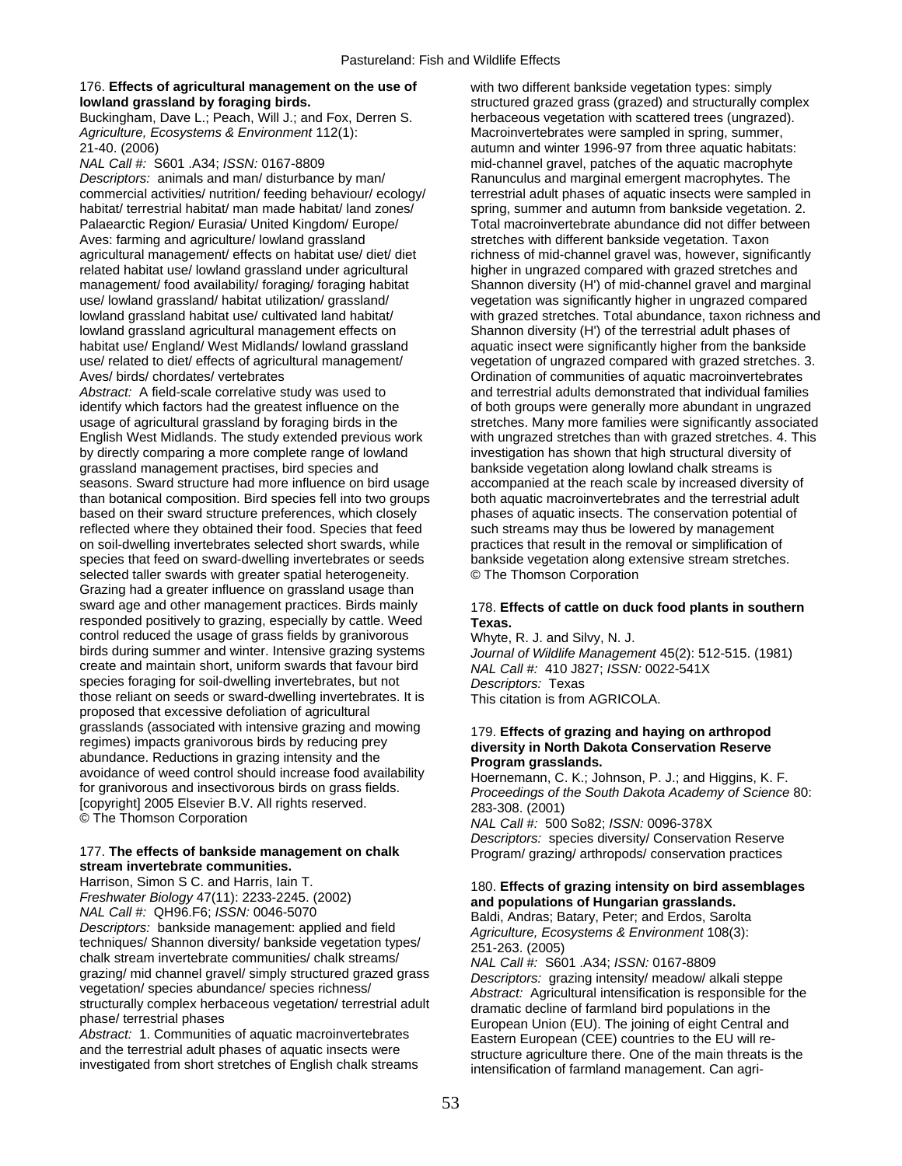## 176. **Effects of agricultural management on the use of** with two different bankside vegetation types: simply

Buckingham, Dave L.; Peach, Will J.; and Fox, Derren S. herbaceous vegetation with scattered trees (ungrazed).<br>Agriculture, Ecosystems & Environment 112(1): Nacroinvertebrates were sampled in spring, summer, 21-40. (2006) autumn and winter 1996-97 from three aquatic habitats:

*Descriptors:* animals and man/ disturbance by man/ Ranunculus and marginal emergent macrophytes. The commercial activities/ nutrition/ feeding behaviour/ ecology/ terrestrial adult phases of aquatic insects were sampled in habitat/ terrestrial habitat/ man made habitat/ land zones/ spring, summer and autumn from bankside vegetation. 2. Palaearctic Region/ Eurasia/ United Kingdom/ Europe/ Total macroinvertebrate abundance did not differ between Aves: farming and agriculture/ lowland grassland stretches with different bankside vegetation. Taxon agricultural management/ effects on habitat use/ diet/ diet richness of mid-channel gravel was, however, significantly related habitat use/ lowland grassland under agricultural higher in ungrazed compared with grazed stretches and management/ food availability/ foraging/ foraging habitat Shannon diversity (H') of mid-channel gravel and marginal<br>use/ lowland grassland/ habitat utilization/ grassland/ yegetation was significantly higher in ungrazed co habitat use/ England/ West Midlands/ lowland grassland aquatic insect were significantly higher from the bankside use/ related to diet/ effects of agricultural management/ vegetation of ungrazed compared with grazed stretches. 3. Aves/ birds/ chordates/ vertebrates **Channel Communities** of aquatic macroinvertebrates **Ordination of communities of aquatic macroinvertebrates** 

*Abstract:* A field-scale correlative study was used to and terrestrial adults demonstrated that individual families identify which factors had the greatest influence on the of both groups were generally more abundant in ungrazed usage of agricultural grassland by foraging birds in the stretches. Many more families were significantly associated English West Midlands. The study extended previous work with ungrazed stretches than with grazed stretches. 4. This by directly comparing a more complete range of lowland investigation has shown that high structural diversity of grassland management practises, bird species and bankside vegetation along lowland chalk streams is seasons. Sward structure had more influence on bird usage accompanied at the reach scale by increased diversity of than botanical composition. Bird species fell into two groups both aquatic macroinvertebrates and the terrestrial adult based on their sward structure preferences, which closely phases of aquatic insects. The conservation potential of reflected where they obtained their food. Species that feed such streams may thus be lowered by management on soil-dwelling invertebrates selected short swards, while practices that result in the removal or simplification of species that feed on sward-dwelling invertebrates or seeds bankside vegetation along extensive stream stretches. selected taller swards with greater spatial heterogeneity.  $\bullet$  The Thomson Corporation Grazing had a greater influence on grassland usage than sward age and other management practices. Birds mainly 178. **Effects of cattle on duck food plants in southern** responded positively to grazing, especially by cattle. Weed **Texas.** control reduced the usage of grass fields by granivorous Whyte, R. J. and Silvy, N. J.<br>birds during summer and winter. Intensive grazing systems Journal of Wildlife Managem create and maintain short, uniform swards that favour bird *NAL Call #:* 410 J827; *ISSN:* 0022-541X species foraging for soil-dwelling invertebrates, but not *Descriptors:* Texas those reliant on seeds or sward-dwelling invertebrates. It is This citation is from AGRICOLA. proposed that excessive defoliation of agricultural grasslands (associated with intensive grazing and mowing<br>regimes) impacts granivorous birds by reducing prey<br>abundance. Reductions in grazing intensity and the<br>avoidance of weed control should increase food availability<br>fo for granivorous and insectivorous birds on grass fields.<br>
[copyright] 2005 Elsevier B.V. All rights reserved.<br>
© The Thomson Corporation *NAL Call #:* 500 So82; *ISSN:* 0096-378X

### 177. **The effects of bankside management on chalk** Program/ grazing/ arthropods/ conservation practices **stream invertebrate communities.**

Harrison, Simon S C. and Harris, Iain T.<br>
Freshwater Biology 47(11): 2233-2245. (2002)<br>
NAL Call #: QH96.F6; ISSN: 0046-5070<br>
Descriptors: bankside management: applied and field<br>
techniques/ Shannon diversity/ bankside veg

**lowland grassland by foraging birds. structured** grazed grazed grass (grazed) and structurally complex Macroinvertebrates were sampled in spring, summer, *NAL Call #:* S601 .A34; *ISSN:* 0167-8809 mid-channel gravel, patches of the aquatic macrophyte vegetation was significantly higher in ungrazed compared lowland grassland habitat use/ cultivated land habitat/ with grazed stretches. Total abundance, taxon richness and<br>Iowland grassland agricultural management effects on Shannon diversity (H') of the terrestrial adult phases Shannon diversity (H') of the terrestrial adult phases of

Journal of Wildlife Management 45(2): 512-515. (1981)

*Descriptors:* species diversity/ Conservation Reserve

grazing/mid channel gravel/simply structured grazed grass<br>vegetation/species abundance/species richness/<br>structurally complex herbaceous vegetation/terrestrial adult<br>phase/terrestrial phases<br>phase/terrestrial phases<br>and th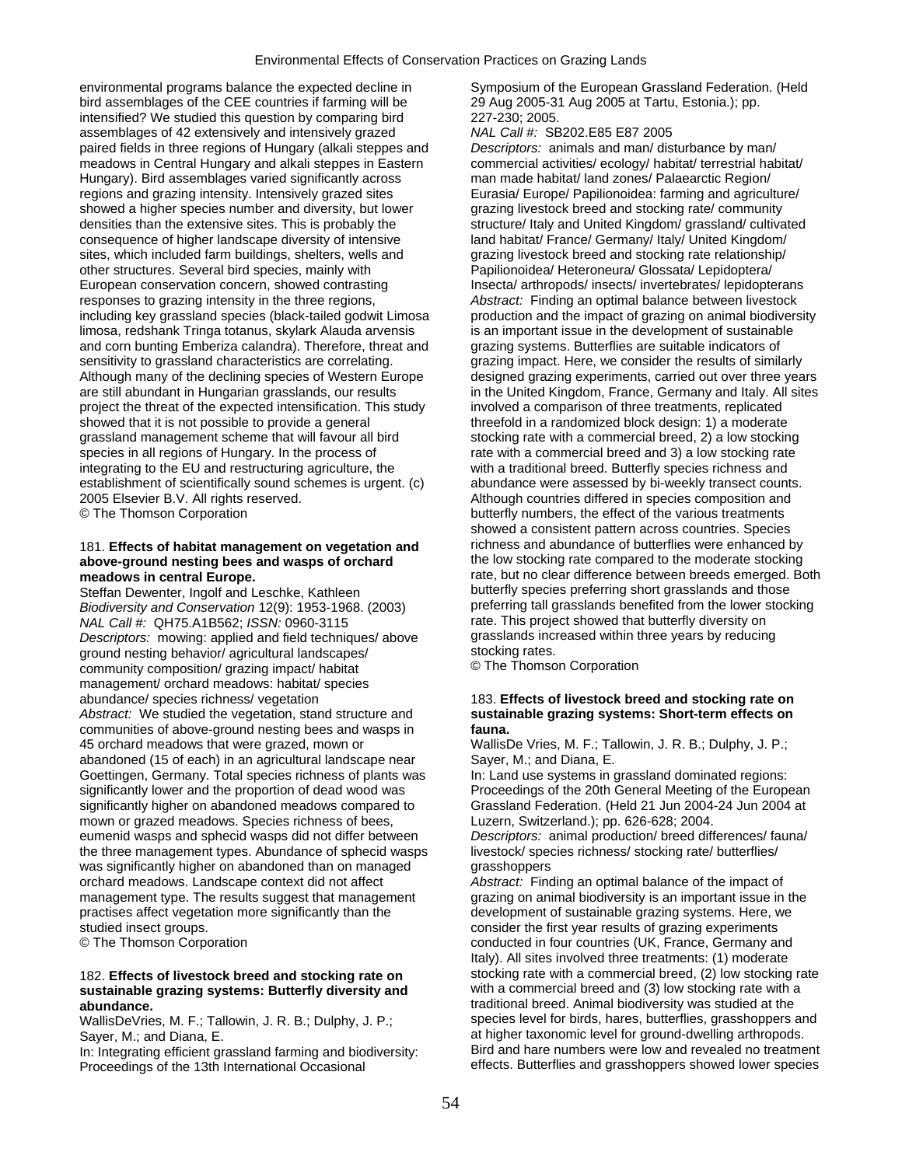environmental programs balance the expected decline in Symposium of the European Grassland Federation. (Held bird assemblages of the CEE countries if farming will be 29 Aug 2005-31 Aug 2005 at Tartu, Estonia.); pp. intensified? We studied this question by comparing bird 227-230; 2005. assemblages of 42 extensively and intensively grazed *NAL Call #:* SB202.E85 E87 2005 paired fields in three regions of Hungary (alkali steppes and *Descriptors:* animals and man/ disturbance by man/ meadows in Central Hungary and alkali steppes in Eastern commercial activities/ ecology/ habitat/ terrestrial habitat/ Hungary). Bird assemblages varied significantly across man made habitat/ land zones/ Palaearctic Region/ regions and grazing intensity. Intensively grazed sites Eurasia/ Europe/ Papilionoidea: farming and agriculture/ showed a higher species number and diversity, but lower grazing livestock breed and stocking rate/ community densities than the extensive sites. This is probably the structure/ Italy and United Kingdom/ grassland/ cultivated consequence of higher landscape diversity of intensive land habitat/ France/ Germany/ Italy/ United Kingdom/ sites, which included farm buildings, shelters, wells and grazing livestock breed and stocking rate relationship/ other structures. Several bird species, mainly with Papilionoidea/ Heteroneura/ Glossata/ Lepidoptera/ European conservation concern, showed contrasting **Insecta**/ arthropods/ insects/ invertebrates/ lepidopterans responses to grazing intensity in the three regions, *Abstract:* Finding an optimal balance between livestock including key grassland species (black-tailed godwit Limosa production and the impact of grazing on animal biodiversity<br>Iimosa, redshank Tringa totanus, skylark Alauda arvensis san important issue in the development of sus limosa, redshank Tringa totanus, skylark Alauda arvensis and corn bunting Emberiza calandra). Therefore, threat and grazing systems. Butterflies are suitable indicators of sensitivity to grassland characteristics are correlating. example are grazing impact. Here, we consider the results of similarly Although many of the declining species of Western Europe designed grazing experiments, carried out over three years are still abundant in Hungarian grasslands, our results in the United Kingdom, France, Germany and Italy. All sites project the threat of the expected intensification. This study involved a comparison of three treatments, replicated showed that it is not possible to provide a general threefold in a randomized block design: 1) a moderate grassland management scheme that will favour all bird stocking rate with a commercial breed, 2) a low stocking species in all regions of Hungary. In the process of rate with a commercial breed and 3) a low stocking rate integrating to the EU and restructuring agriculture, the with a traditional breed. Butterfly species richness and establishment of scientifically sound schemes is urgent. (c) abundance were assessed by bi-weekly transect counts. 2005 Elsevier B.V. All rights reserved. Although countries differed in species composition and © The Thomson Corporation butterfly numbers, the effect of the various treatments

# above-ground nesting bees and wasps of orchard

Steffan Dewenter, Ingolf and Leschke, Kathleen butterfly species preferring short grasslands and those<br>Biodiversity and Conservation 12(9): 1953-1968 (2003) preferring tall grasslands benefited from the lower stocking *Biodiversity and Conservation* 12(9): 1953-1968. (2003) preferring tall grasslands benefited from the lower stocking tall grasslands benefited from the lower stocking nate. This project showed that butterfly diversity on *NAL Call #:* QH75.A1B562; *ISSN:* 0960-3115 rate. This project showed that butterfly diversity on<br>Descriptors: mowing: applied and field techniques/ above grasslands increased within three years by reducing *Descriptors:* mowing: applied and field techniques/ above grasslands increased with the year of the year of the year of the year of the year of the year of the year of the year of the year of the year of the year of the y ground nesting behavior/ agricultural landscapes/ stocking rates.<br>
community composition/ grazing impact/ habitat stocked in the Thomson Corporation community composition/ grazing impact/ habitat management/ orchard meadows: habitat/ species abundance/ species richness/ vegetation 183. **Effects of livestock breed and stocking rate on**  *Abstract:* We studied the vegetation, stand structure and **sustainable grazing systems: Short-term effects on**  communities of above-ground nesting bees and wasps in **fauna.** 45 orchard meadows that were grazed, mown or WallisDe Vries, M. F.; Tallowin, J. R. B.; Dulphy, J. P.; abandoned (15 of each) in an agricultural landscape near Sayer, M.; and Diana, E. Goettingen, Germany. Total species richness of plants was In: Land use systems in grassland dominated regions: significantly lower and the proportion of dead wood was Proceedings of the 20th General Meeting of the European significantly higher on abandoned meadows compared to Grassland Federation. (Held 21 Jun 2004-24 Jun 2004 at mown or grazed meadows. Species richness of bees, Luzern, Switzerland.); pp. 626-628; 2004. eumenid wasps and sphecid wasps did not differ between *Descriptors:* animal production/ breed differences/ fauna/ the three management types. Abundance of sphecid wasps livestock/ species richness/ stocking rate/ butterflies/ was significantly higher on abandoned than on managed grasshoppers orchard meadows. Landscape context did not affect *Abstract:* Finding an optimal balance of the impact of management type. The results suggest that management grazing on animal biodiversity is an important issue in the practises affect vegetation more significantly than the development of sustainable grazing systems. Here, we studied insect groups. consider the first year results of grazing experiments

# sustainable grazing systems: Butterfly diversity and

WallisDeVries, M. F.; Tallowin, J. R. B.; Dulphy, J. P.;

Proceedings of the 13th International Occasional

showed a consistent pattern across countries. Species 181. **Effects of habitat management on vegetation and** richness and abundance of butterflies were enhanced by **meadows in central Europe.**<br> **Fraction Clear States of the Current Current Clear States in the Steffan Dewenter.** Ingolf and Leschke. Kathleen<br> **Steffan Dewenter.** Ingolf and Leschke. Kathleen<br> **Steffan Dewenter.** Ingolf

© The Thomson Corporation conducted in four countries (UK, France, Germany and Italy). All sites involved three treatments: (1) moderate 182. **Effects of livestock breed and stocking rate on** stocking rate with a commercial breed, (2) low stocking rate **abundance.**<br>WallisDeVries M F : Tallowin L R B : Dulphy L P · species level for birds, hares, butterflies, grasshoppers and Sayer, M.; and Diana, E.<br>In: Integrating efficient grassland farming and biodiversity:<br>Bird and hare numbers were low and revealed no treatment In: Integrating efficient grassland farming and biodiversity: Bird and hare numbers were low and revealed no treatment<br>Proceedings of the 13th International Occasional effects. Butterflies and grasshoppers showed lower spe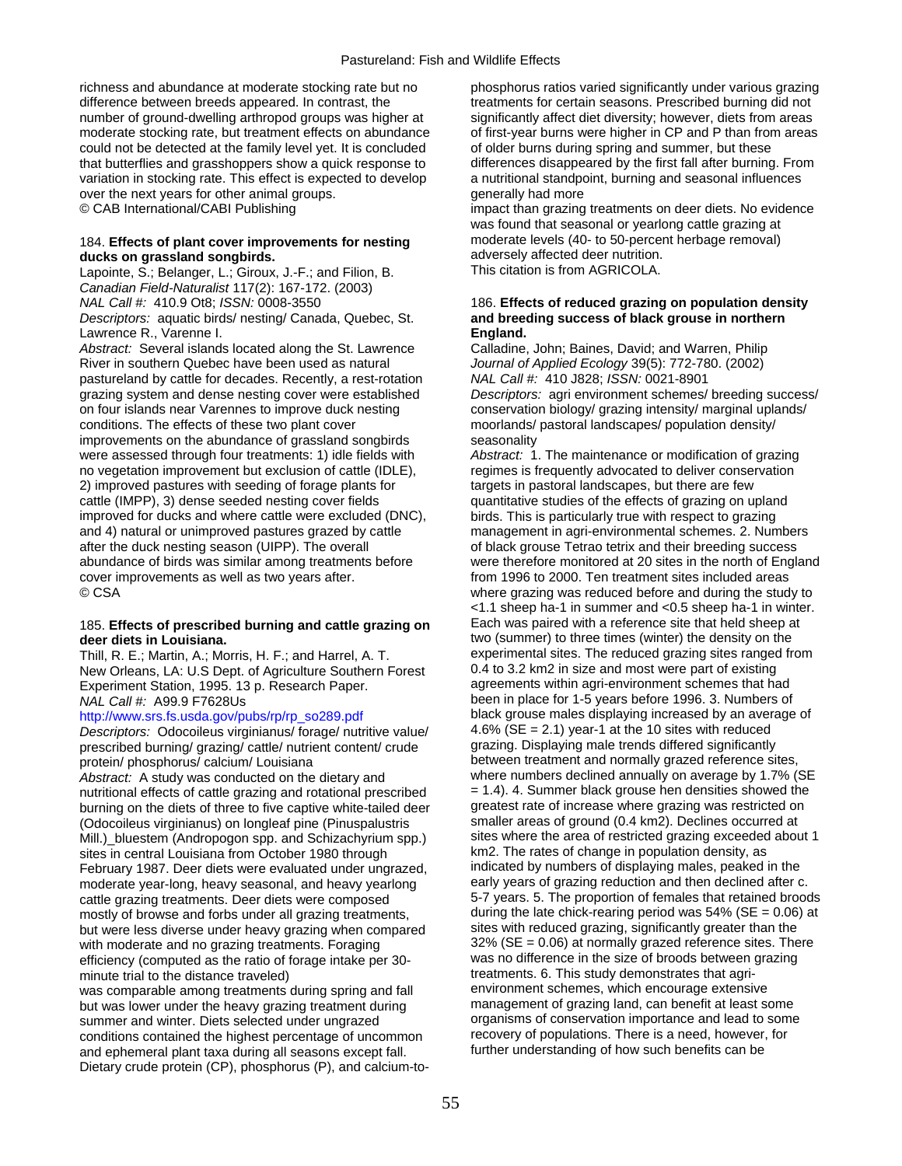richness and abundance at moderate stocking rate but no phosphorus ratios varied significantly under various grazing difference between breeds appeared. In contrast, the treatments for certain seasons. Prescribed burning did not<br>number of ground-dwelling arthropod groups was higher at significantly affect diet diversity; however, diets f number of ground-dwelling arthropod groups was higher at moderate stocking rate, but treatment effects on abundance of first-year burns were higher in CP and P than from areas could not be detected at the family level yet. It is concluded of older burns during spring and summer, but these that butterflies and grasshoppers show a quick response to differences disappeared by the first fall after burning. From variation in stocking rate. This effect is expected to develop a nutritional standpoint, burning and seasonal influences over the next years for other animal groups. generally had more

## 184. **Effects of plant cover improvements for nesting** and the moderate levels (40- to 50-percent ducks on grassland song birds on the moderate removal adversely affected deer nutrition.

Lapointe, S.; Belanger, L.; Giroux, J.-F.; and Filion, B. *Canadian Field-Naturalist* 117(2): 167-172. (2003) *Descriptors:* aquatic birds/ nesting/ Canada, Quebec, St. **and breeding success of black grouse in northern**  Lawrence R., Varenne I. **England. England.** 

*Abstract:* Several islands located along the St. Lawrence Calladine, John; Baines, David; and Warren, Philip River in southern Quebec have been used as natural *Journal of Applied Ecology* 39(5): 772-780. (2002) pastureland by cattle for decades. Recently, a rest-rotation *NAL Call #:* 410 J828; *ISSN:* 0021-8901 on four islands near Varennes to improve duck nesting conservation biology/ grazing intensity/ marginal uplands/ conditions. The effects of these two plant cover moorlands/ pastoral landscapes/ population density/ improvements on the abundance of grassland songbirds seasonality were assessed through four treatments: 1) idle fields with *Abstract:* 1. The maintenance or modification of grazing no vegetation improvement but exclusion of cattle (IDLE), regimes is frequently advocated to deliver conservation 2) improved pastures with seeding of forage plants for targets in pastoral landscapes, but there are few cattle (IMPP), 3) dense seeded nesting cover fields quantitative studies of the effects of grazing on upland improved for ducks and where cattle were excluded (DNC), birds. This is particularly true with respect to grazing and 4) natural or unimproved pastures grazed by cattle management in agri-environmental schemes. 2. Numbers<br>after the duck nesting season (UIPP). The overall and their of black grouse Tetrao tetrix and their breeding succe cover improvements as well as two years after.<br>
© CSA where grazing was reduced before and during the students included areas

## 185. **Effects of prescribed burning and cattle grazing on** Each was paired with a reference site that held sheep at

Thill, R. E.; Martin, A.; Morris, H. F.; and Harrel, A. T. experimental sites. The reduced grazing sites ranged<br>New Orleans LA: U.S. Dent, of Agriculture Southern Forest 0.4 to 3.2 km2 in size and most were part of existin New Orleans, LA: U.S Dept. of Agriculture Southern Forest 0.4 to 3.2 km2 in size and most were part of existing<br>Experiment Station 1995, 13 p. Research Paper and agreements within agri-environment schemes that had Experiment Station, 1995. 13 p. Research Paper. *NAL Call #:* A99.9 F7628Us been in place for 1-5 years before 1996. 3. Numbers of

*Descriptors:* Odocoileus virginianus/ forage/ nutritive value/ 4.6% (SE = 2.1) year-1 at the 10 sites with reduced<br>prescribed burning/ grazing/ cattle/ nutrient content/ crude grazing. Displaying male trends differed sign prescribed burning/ grazing/ cattle/ nutrient content/ crude protein/ phosphorus/ calcium/ Louisiana

*Abstract:* A study was conducted on the dietary and where numbers declined annually on average by 1.7% (SE<br>nutritional effects of cattle grazing and rotational prescribed = 1.4). 4. Summer black grouse hen densities showe nutritional effects of cattle grazing and rotational prescribed = 1.4). 4. Summer black grouse hen densities showed the<br>burning on the diets of three to five captive white-tailed deer areatest rate of increase where grazin burning on the diets of three to five captive white-tailed deer greatest rate of increase where grazing was restricted or<br>Codocoileus virginianus) on longleaf pine (Pinuspalustris smaller areas of ground (0.4 km2). Decline (Odocoileus virginianus) on longleaf pine (Pinuspalustris smaller areas of ground (0.4 km2). Declines occurred at<br>Mill ) bluestem (Andropogon spp. and Schizachyrium spp.) sites where the area of restricted grazing exceeded Mill.)\_bluestem (Andropogon spp. and Schizachyrium spp.) sites where the area of restricted grazing exceeded about 1980 in section of the states of change in population density, as sites in central Louisiana from October 1980 through km2. The rates of change in population density, as<br>February 1987, Deer diets were evaluated under ungrazed indicated by numbers of displaying males, peaked in the February 1987. Deer diets were evaluated under ungrazed, indicated by numbers of displaying males, peaked in the<br>moderate vear-long, heavy seasonal, and heavy vearlong early years of grazing reduction and then declined aft moderate year-long, heavy seasonal, and heavy yearlong cattle grazing treatments. Deer diets were composed 5-7 years. 5. The proportion of females that retained broods<br>mostly of browse and forbs under all grazing treatments. during the late chick-rearing period was 54% (SE = 0 mostly of browse and forbs under all grazing treatments, during the late chick-rearing period was 54% (SE = 0.06) but were less diverse under heavy grazing when compared sites with reduced grazing, significantly greater th but were less diverse under heavy grazing when compared with moderate and no grazing treatments. Foraging  $32\%$  (SE = 0.06) at normally grazed reference sites. There efficiency (computed as the ratio of forage intake per 30-<br>was no difference in the size of broods between gra efficiency (computed as the ratio of forage intake per 30-

was comparable among treatments during spring and fall environment schemes, which encourage extensive<br>hut was lower under the heavy grazing treatment during environment of grazing land, can benefit at least some but was lower under the heavy grazing treatment during management of grazing land, can benefit at least some<br>summer and winter Diets selected under ungrazed some organisms of conservation importance and lead to some summer and winter. Diets selected under ungrazed organisms of conservation importance and lead to som<br>conditions contained the bighest percentage of uncommon or a recovery of populations. There is a need, however, for conditions contained the highest percentage of uncommon recovery of populations. There is a need, however, conditions and enhanced the highest percentage of uncommon recovery of populations. There is a need, however, and e and ephemeral plant taxa during all seasons except fall. Dietary crude protein (CP), phosphorus (P), and calcium-to-

© CAB International/CABI Publishing impact than grazing treatments on deer diets. No evidence was found that seasonal or yearlong cattle grazing at moderate levels (40- to 50-percent herbage removal) **ducks on grassland songbirds.**<br>
Lapointe S: Belanger L: Giroux, L-F: and Filion, B. **This citation is from AGRICOLA**.

# *NAL Call #:* 410.9 Ot8; *ISSN:* 0008-3550 186. **Effects of reduced grazing on population density**

grazing system and dense nesting cover were established *Descriptors:* agri environment schemes/ breeding success/

of black grouse Tetrao tetrix and their breeding success abundance of birds was similar among treatments before were therefore monitored at 20 sites in the north of England where grazing was reduced before and during the study to <1.1 sheep ha-1 in summer and <0.5 sheep ha-1 in winter. **deer diets in Louisiana.**<br> **deer diets in Louisiana.**<br>
Thill R F Martin A Morris H F and Harrel A T experimental sites. The reduced grazing sites ranged from [http://www.srs.fs.usda.gov/pubs/rp/rp\\_so289.pdf](http://www.srs.fs.usda.gov/pubs/rp/rp_so289.pdf) black grouse males displaying increased by an average of<br>Descriptors: Odocoileus virginianus/ forage/ nutritive value/ 4.6% (SE = 2.1) year-1 at the 10 sites with reduced between treatment and normally grazed reference sites,<br>where numbers declined annually on average by 1.7% (SE minute trial to the distance traveled)<br>was comparable among treatments during spring and fall environment schemes, which encourage extensive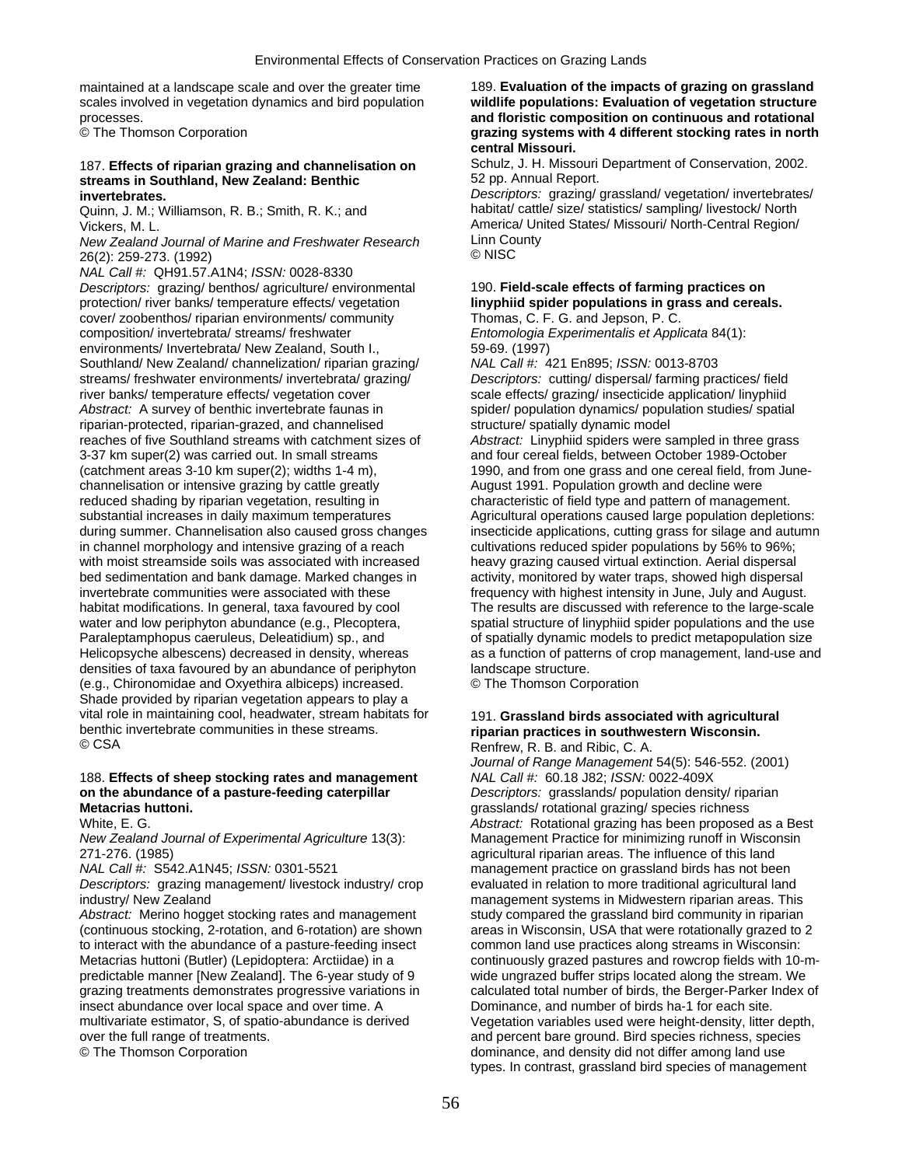# streams in Southland, New Zealand: Benthic

Quinn, J. M.; Williamson, R. B.; Smith, R. K.; and

*New Zealand Journal of Marine and Freshwater Research* Linn County 26(2): 259-273. (1992)

*NAL Call #:* QH91.57.A1N4; *ISSN:* 0028-8330 *Descriptors:* grazing/ benthos/ agriculture/ environmental 190. **Field-scale effects of farming practices on**  protection/ river banks/ temperature effects/ vegetation **linyphiid spider populations in grass and cereals.**  cover/ zoobenthos/ riparian environments/ community Thomas, C. F. G. and Jepson, P. C. composition/ invertebrata/ streams/ freshwater *Entomologia Experimentalis et Applicata* 84(1): environments/ Invertebrata/ New Zealand, South I., 59-69. (1997) Southland/ New Zealand/ channelization/ riparian grazing/ *NAL Call #:* 421 En895; *ISSN:* 0013-8703 streams/ freshwater environments/ invertebrata/ grazing/ *Descriptors:* cutting/ dispersal/ farming practices/ field river banks/ temperature effects/ vegetation cover scale effects/ grazing/ insecticide application/ linyphiid *Abstract:* A survey of benthic invertebrate faunas in spider/ population dynamics/ population studies/ spatial riparian-protected, riparian-grazed, and channelised structure/ spatially dynamic model reaches of five Southland streams with catchment sizes of *Abstract:* Linyphiid spiders were sampled in three grass 3-37 km super(2) was carried out. In small streams and four cereal fields, between October 1989-October (catchment areas 3-10 km super(2); widths 1-4 m), 1990, and from one grass and one cereal field, from Junechannelisation or intensive grazing by cattle greatly **August 1991. Population growth and decline were** reduced shading by riparian vegetation, resulting in characteristic of field type and pattern of management. substantial increases in daily maximum temperatures Agricultural operations caused large population depletions: in channel morphology and intensive grazing of a reach cultivations reduced spider populations by 56% to 96%; with moist streamside soils was associated with increased heavy grazing caused virtual extinction. Aerial dispersal bed sedimentation and bank damage. Marked changes in activity, monitored by water traps, showed high dispersal invertebrate communities were associated with these frequency with highest intensity in June, July and August. habitat modifications. In general, taxa favoured by cool The results are discussed with reference to the large-scale water and low periphyton abundance (e.g., Plecoptera, spatial structure of linyphiid spider populations and the use<br>Paraleptamphopus caeruleus, Deleatidium) sp., and of spatially dynamic models to predict metapopulation si densities of taxa favoured by an abundance of periphyton landscape structure. (e.g., Chironomidae and Oxyethira albiceps) increased. © The Thomson Corporation Shade provided by riparian vegetation appears to play a vital role in maintaining cool, headwater, stream habitats for 191. **Grassland birds associated with agricultural**  benthic invertebrate communities in these streams.<br>
© CSA **Rentrew, R. B. and Ribic, C. A. R. B. A.** C. A.

### 188. **Effects of sheep stocking rates and management** *NAL Call #:* 60.18 J82; *ISSN:* 0022-409X **on the abundance of a pasture-feeding caterpillar** *Descriptors:* grasslands/ population density/ riparian **Metacrias huttoni.** grasslands/ rotational grazing/ species richness

271-276. (1985) agricultural riparian areas. The influence of this land

*Descriptors:* grazing management/ livestock industry/ crop evaluated in relation to more traditional agricultural land

*Abstract:* Merino hogget stocking rates and management to interact with the abundance of a pasture-feeding insect common land use practices along streams in Wisconsin: predictable manner [New Zealand]. The 6-year study of 9 wide ungrazed buffer strips located along the stream. We insect abundance over local space and over time. A Dominance, and number of birds ha-1 for each site. over the full range of treatments. and percent bare ground. Bird species richness, species

### maintained at a landscape scale and over the greater time 189. **Evaluation of the impacts of grazing on grassland**  scales involved in vegetation dynamics and bird population **wildlife populations: Evaluation of vegetation structure**  and floristic composition on continuous and rotational © The Thomson Corporation **grazing systems with 4 different stocking rates in north central Missouri.**

187. **Effects of riparian grazing and channelisation on** Schulz, J. H. Missouri Department of Conservation, 2002.<br> **Samula Report.**<br>
52 pp. Annual Report.

**invertebrates.**<br> *Descriptors:* **grazing/ grassland/ vegetation/ invertebrates/<br>
Quinn. J. M.: Williamson. R. B.: Smith. R. K.: and <b>blue and habitat/ cattle/ size/ statistics/ sampling/ livestock/ North** Vickers, M. L.<br>New Zealand Journal of Marine and Freshwater Research Linn County<br>New Zealand Journal of Marine and Freshwater Research Linn County

during summer. Channelisation also caused gross changes insecticide applications, cutting grass for silage and autumn of spatially dynamic models to predict metapopulation size Helicopsyche albescens) decreased in density, whereas as a function of patterns of crop management, land-use and

# Renfrew, R. B. and Ribic, C. A.

*Journal of Range Management* 54(5): 546-552. (2001) White, E. G. *Abstract:* Rotational grazing has been proposed as a Best *New Zealand Journal of Experimental Agriculture* 13(3): Management Practice for minimizing runoff in Wisconsin *NAL Call #:* S542.A1N45; *ISSN:* 0301-5521 management practice on grassland birds has not been industry/ New Zealand<br>
Abstract: Merino hogget stocking rates and management study compared the grassland bird community in riparian (continuous stocking, 2-rotation, and 6-rotation) are shown areas in Wisconsin, USA that were rotationally grazed to 2 Metacrias huttoni (Butler) (Lepidoptera: Arctiidae) in a continuously grazed pastures and rowcrop fields with 10-mgrazing treatments demonstrates progressive variations in calculated total number of birds, the Berger-Parker Index of multivariate estimator, S, of spatio-abundance is derived Vegetation variables used were height-density, litter depth, © The Thomson Corporation dominance, and density did not differ among land use types. In contrast, grassland bird species of management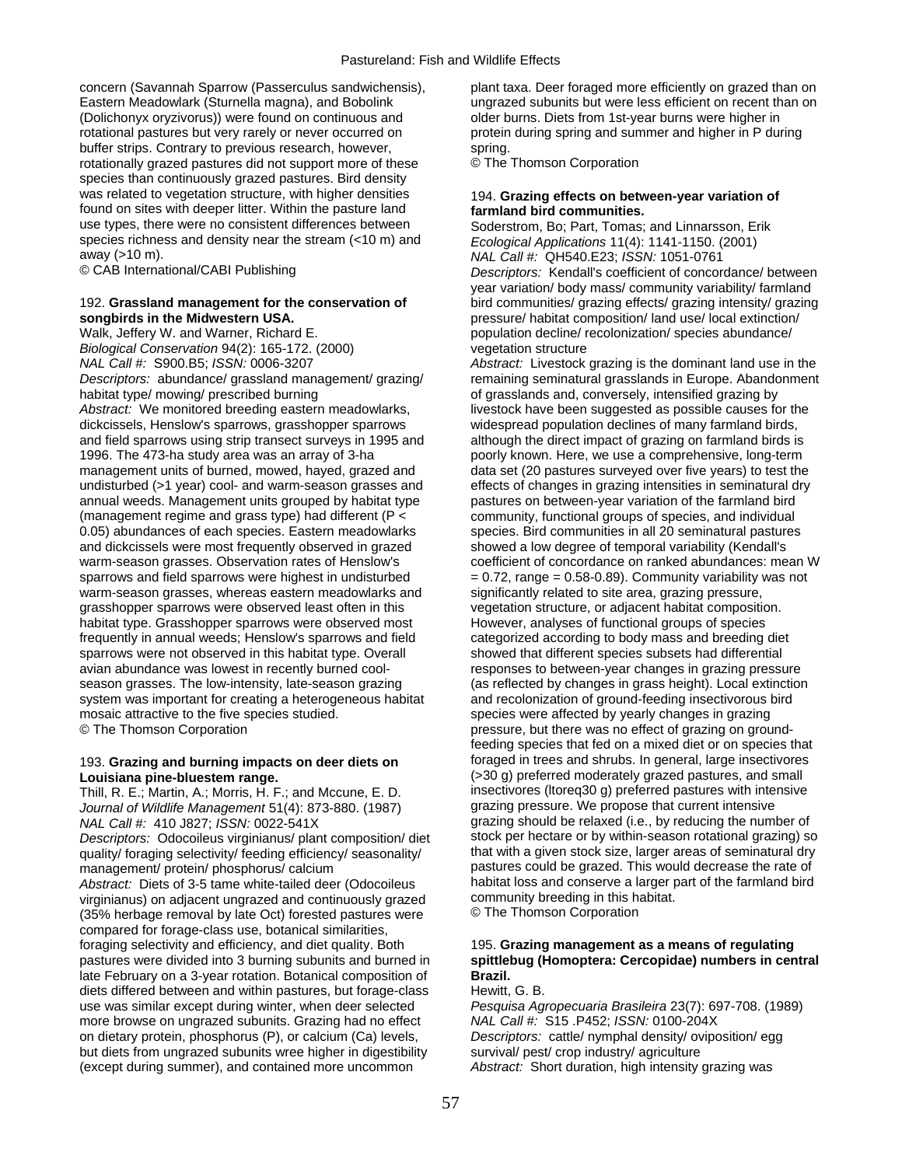concern (Savannah Sparrow (Passerculus sandwichensis), plant taxa. Deer foraged more efficiently on grazed than on (Dolichonyx oryzivorus)) were found on continuous and older burns. Diets from 1st-year burns were higher in rotational pastures but very rarely or never occurred on protein during spring and summer and higher in P during buffer strips. Contrary to previous research, however, spring. rotationally grazed pastures did not support more of these © The Thomson Corporation species than continuously grazed pastures. Bird density was related to vegetation structure, with higher densities 194. **Grazing effects on between-year variation of found** on sites with deeper litter. Within the pasture land **farmland bird communities.** found on sites with deeper litter. Within the pasture land use types, there were no consistent differences between species richness and density near the stream (<10 m) and *Ecological Applications* 11(4): 1141-1150. (2001)

*Biological Conservation* 94(2): 165-172. (2000) vegetation structure *NAL Call #:* S900.B5; *ISSN:* 0006-3207 *Abstract:* Livestock grazing is the dominant land use in the habitat type/ mowing/ prescribed burning of grasslands and, conversely, intensified grazing by Abstract: We monitored breeding eastern meadowlarks, livestock have been suggested as possible causes for the dickcissels, Henslow's sparrows, grasshopper sparrows widespread population declines of many farmland birds, and field sparrows using strip transect surveys in 1995 and although the direct impact of grazing on farmland birds is 1996. The 473-ha study area was an array of 3-ha poorly known. Here, we use a comprehensive, long-term management units of burned, mowed, hayed, grazed and data set (20 pastures surveyed over five years) to test the undisturbed (>1 year) cool- and warm-season grasses and effects of changes in grazing intensities in seminatural dry annual weeds. Management units grouped by habitat type pastures on between-year variation of the farmland bird (management regime and grass type) had different (P < community, functional groups of species, and individual 0.05) abundances of each species. Eastern meadowlarks species. Bird communities in all 20 seminatural pastures and dickcissels were most frequently observed in grazed showed a low degree of temporal variability (Kendall's sparrows and field sparrows were highest in undisturbed  $= 0.72$ , range = 0.58-0.89). Community variability was not warm-season grasses, whereas eastern meadowlarks and significantly related to site area, grazing pressure, grasshopper sparrows were observed least often in this vegetation structure, or adjacent habitat composition. habitat type. Grasshopper sparrows were observed most However, analyses of functional groups of species frequently in annual weeds; Henslow's sparrows and field categorized according to body mass and breeding diet sparrows were not observed in this habitat type. Overall showed that different species subsets had differential avian abundance was lowest in recently burned cool- responses to between-year changes in grazing pressure season grasses. The low-intensity, late-season grazing (as reflected by changes in grass height). Local extinction system was important for creating a heterogeneous habitat and recolonization of ground-feeding insectivorous bird mosaic attractive to the five species studied. Species were affected by yearly changes in grazing © The Thomson Corporation **pressure, but there was no effect of grazing on ground-**

Thill, R. E.; Martin, A.; Morris, H. F.; and Mccune, E. D. insectivores (Itoreq30 g) preferred pastures with inte<br>Journal of Wildlife Management 51(4): 873-880 (1987) grazing pressure. We propose that current intensive *Journal of Wildlife Management* 51(4): 873-880. (1987) *NAL Call #:* 410 J827; *ISSN:* 0022-541X grazing should be relaxed (i.e., by reducing the number of perceptions: Odocoileus virginianus/ plant composition/ diet stock per hectare or by within-season rotational grazing) so *Descriptors:* Odocoileus virginianus/ plant composition/ diet stock per hectare or by within-season rotational grazing) so<br>
quality/ foraging selectivity/ feeding efficiency/ seasonality/ that with a given stock size, lar quality/ foraging selectivity/ feeding efficiency/ seasonality/ management/ protein/ phosphorus/ calcium<br>
Abstract: Diets of 3-5 tame white-tailed deer (Odocoileus habitat loss and conserve a larger part of the farmland bird *Abstract:* Diets of 3-5 tame white-tailed deer (Odocoileus habitat loss and conserve a larger part of the farmland birds.<br>
virginianus) on adjacent ungrazed and continuously grazed community breeding in this habitat. virginianus) on adjacent ungrazed and continuously grazed community breeding in this habitat.<br>G The Thomson Corporation. (35% herbage removal by late Oct) forested pastures were compared for forage-class use, botanical similarities, foraging selectivity and efficiency, and diet quality. Both 195. **Grazing management as a means of regulating**  pastures were divided into 3 burning subunits and burned in **spittlebug (Homoptera: Cercopidae) numbers in central**  late February on a 3-year rotation. Botanical composition of **Brazil.** diets differed between and within pastures, but forage-class Hewitt, G. B. use was similar except during winter, when deer selected *Pesquisa Agropecuaria Brasileira* 23(7): 697-708. (1989) more browse on ungrazed subunits. Grazing had no effect *NAL Call #:* S15 .P452; *ISSN:* 0100-204X on dietary protein, phosphorus (P), or calcium (Ca) levels, *Descriptors:* cattle/ nymphal density/ oviposition/ egg but diets from ungrazed subunits wree higher in digestibility survival/ pest/ crop industry/ agriculture (except during summer), and contained more uncommon *Abstract:* Short duration, high intensity grazing was

Eastern Meadowlark (Sturnella magna), and Bobolink ungrazed subunits but were less efficient on recent than on

Soderstrom, Bo; Part, Tomas; and Linnarsson, Erik away (>10 m).<br>© CAB International/CABI Publishing **and the controllational CAB International/CABI Publishing and the controllation** *Descriptors:* Kendall's coefficient of concor Descriptors: Kendall's coefficient of concordance/ between year variation/ body mass/ community variability/ farmland 192. **Grassland management for the conservation of** bird communities/ grazing effects/ grazing intensity/ grazing **songbirds in the Midwestern USA. pressure/ habitat composition/ land use/ local extinction/** Walk, Jeffery W. and Warner, Richard E. etc. population decline/ recolonization/ species abundance/

*Descriptors:* abundance/ grassland management/ grazing/ remaining seminatural grasslands in Europe. Abandonment warm-season grasses. Observation rates of Henslow's coefficient of concordance on ranked abundances: mean W feeding species that fed on a mixed diet or on species that 193. **Grazing and burning impacts on deer diets on** foraged in trees and shrubs. In general, large insectivores **Louisiana pine-bluestem range.** (>30 g) preferred moderately grazed pastures, and small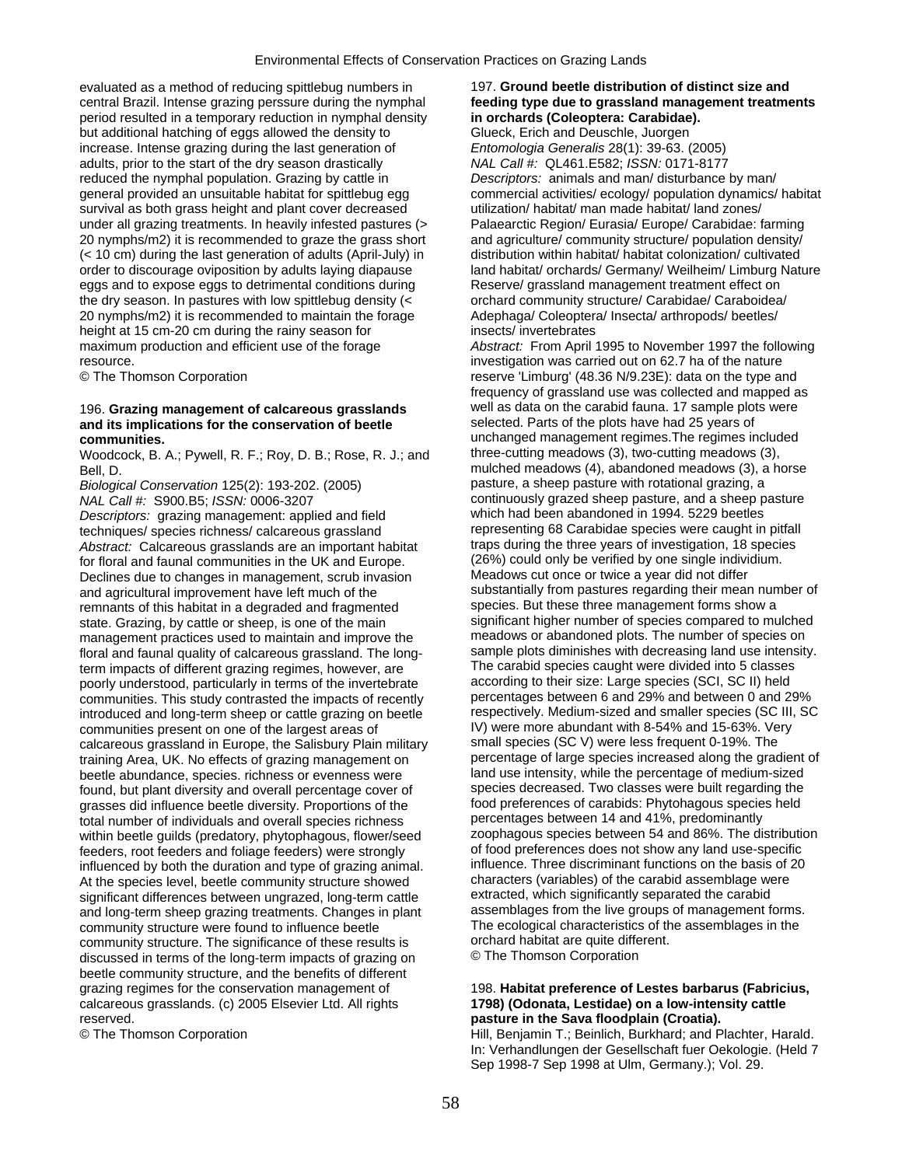evaluated as a method of reducing spittlebug numbers in 197. **Ground beetle distribution of distinct size and**  central Brazil. Intense grazing perssure during the nymphal **feeding type due to grassland management treatments**  period resulted in a temporary reduction in nymphal density **in orchards (Coleoptera: Carabidae).**  but additional hatching of eggs allowed the density to Glueck, Erich and Deuschle, Juorgen increase. Intense grazing during the last generation of *Entomologia Generalis* 28(1): 39-63. (2005) adults, prior to the start of the dry season drastically *NAL Call #:* QL461.E582; *ISSN:* 0171-8177 reduced the nymphal population. Grazing by cattle in *Descriptors:* animals and man/ disturbance by man/ general provided an unsuitable habitat for spittlebug egg commercial activities/ ecology/ population dynamics/ habitat survival as both grass height and plant cover decreased utilization/ habitat/ man made habitat/ land zones/ under all grazing treatments. In heavily infested pastures (> Palaearctic Region/ Eurasia/ Europe/ Carabidae: farming 20 nymphs/m2) it is recommended to graze the grass short and agriculture/ community structure/ population density/ (< 10 cm) during the last generation of adults (April-July) in distribution within habitat/ habitat colonization/ cultivated order to discourage oviposition by adults laying diapause land habitat/ orchards/ Germany/ Weilheim/ Limburg Nature eggs and to expose eggs to detrimental conditions during Reserve/ grassland management treatment effect on the dry season. In pastures with low spittlebug density (< orchard community structure/ Carabidae/ Caraboidea/ 20 nymphs/m2) it is recommended to maintain the forage Adephaga/ Coleoptera/ Insecta/ arthropods/ beetles/ height at 15 cm-20 cm during the rainy season for insects/ invertebrates<br>maximum production and efficient use of the forage *Abstract:* From April resource. investigation was carried out on 62.7 ha of the nature

# and its implications for the conservation of beetle

Woodcock, B. A.; Pywell, R. F.; Roy, D. B.; Rose, R. J.; and

*Biological Conservation* 125(2): 193-202. (2005) *NAL Call #:* S900.B5; *ISSN:* 0006-3207 continuously grazed sheep pasture, and a sheep pasture<br>Descriptors: grazing management: applied and field which had been abandoned in 1994. 5229 beetles *Descriptors:* grazing management: applied and field which had been abandoned in 1994. 5229 beetles techniques/ species richness/ calcareous grassland representing 68 Carabidae species were caught in pitfal<br>Abstract: Calcareous grasslands are an important habitat traps during the three years of investigation, 18 species Abstract: Calcareous grasslands are an important habitat traps during the three years of investigation, 18 specie<br>for floral and faunal communities in the UK and Furope. (26%) could only be verified by one single individiu for floral and faunal communities in the UK and Europe. (26%) could only be verified by one single individium.<br>Declines due to changes in management, scrub invasion (Meadows cut once or twice a year did not differ Declines due to changes in management, scrub invasion and agricultural improvement have left much of the remnants of this habitat in a degraded and fragmented state. Grazing, by cattle or sheep, is one of the main significant higher number of species compared to mulched<br>management practices used to maintain and improve the meadows or abandoned plots. The number of species on management practices used to maintain and improve the term impacts of different grazing regimes, however, are The carabid species caught were divided into 5 classes<br>poorly understood, particularly in terms of the invertebrate according to their size: Large species (SCI, SC II poorly understood, particularly in terms of the invertebrate according to their size: Large species (SCI, SC II) held<br>communities This study contrasted the impacts of recently percentages between 6 and 29% and between 0 an introduced and long-term sheep or cattle grazing on beetle respectively. Medium-sized and smaller species (SC III<br>Communities present on one of the largest areas of IV) were more abundant with 8-54% and 15-63%. Very communities present on one of the largest areas of IV) were more abundant with 8-54% and 15-63%. Ve<br>calcareous grassland in Europe, the Salisbury Plain military small species (SCV) were less frequent 0-19%. The training Area, UK. No effects of grazing management on percentage of large species increased along the gradient<br>beetle abundance, species, richness or evenness were land use intensity, while the percentage of medium-sized beetle abundance, species. richness or evenness were land use intensity, while the percentage of medium-sized<br>
found but plant diversity and overall percentage cover of species decreased. Two classes were built regarding t found, but plant diversity and overall percentage cover of species decreased. Two classes were built regarding the<br>grasses did influence beetle diversity. Proportions of the food preferences of carabids: Phytohagous specie grasses did influence beetle diversity. Proportions of the food preferences of carabids: Phytohagous specie<br>total number of individuals and overall species richness percentages between 14 and 41%, predominantly within beetle guilds (predatory, phytophagous, flower/seed zoophagous species between 54 and 86%. The distribution<br>feeders root feeders and foliage feeders) were strongly of food preferences does not show any land use-spec feeders, root feeders and foliage feeders) were strongly of food preferences does not show any land use-specific<br>influenced by both the duration and type of grazing animal influence. Three discriminant functions on the bas influenced by both the duration and type of grazing animal. influence. Three discriminant functions on the basis of 2<br>At the species level, beetle community structure showed characters (variables) of the carabid assemblage At the species level, beetle community structure showed characters (variables) of the carabid assemblage we<br>significant differences between ungrazed long-term cattle extracted, which significantly separated the carabid significant differences between ungrazed, long-term cattle extracted, which significantly separated the carabid<br>and long-term sheep grazing treatments. Changes in plant assemblages from the live groups of management forms. and long-term sheep grazing treatments. Changes in plant community structure were found to influence beetle The ecological characteristics of the assemblages in the community structure. The significance of these results is orchard habitat are quite different. community structure. The significance of these results is orchard habitat are quite different.<br>Community structure. The significance of these results is  $\bullet$  The Thomson Corporation discussed in terms of the long-term impacts of grazing on beetle community structure, and the benefits of different grazing regimes for the conservation management of 198. **Habitat preference of Lestes barbarus (Fabricius, calcareous grasslands. (c) 2005 Elsevier Ltd. All rights 1798) (Odonata, Lestidae) on a low-intensity cattle** calcareous grasslands. (c) 2005 Elsevier Ltd. All rights **pasture in the Sava floodplain (Croatia).**<br> **pasture in the Sava floodplain (Croatia).**<br> **pasture in the Sava floodplain (Croatia).**<br>
Hill, Benjamin T.; Beinlich, Burkhard; and P

Abstract: From April 1995 to November 1997 the following © The Thomson Corporation reserve 'Limburg' (48.36 N/9.23E): data on the type and frequency of grassland use was collected and mapped as 196. **Grazing management of calcareous grasslands** well as data on the carabid fauna. 17 sample plots were **communities.**<br> **communities.**<br>
Woodcock, B. A.: Pywell, R. F.: Roy, D. B.: Rose, R. J.: and three-cutting meadows (3), two-cutting meadows (3), Bell, D.<br>Biological Conservation 125(2): 193-202. (2005) mulched meadows (4), abandoned meadows (3), a horse substantially from pastures regarding their mean number of species. But these three management forms show a floral and faunal quality of calcareous grassland. The long-<br>
Free carabid species caught were divided into 5 classes communities. This study contrasted the impacts of recently percentages between 6 and 29% and between 0 and 29% calcareous grassland in Europe, the Salisbury Plain military small species (SC V) were less frequent 0-19%. The<br>training Area TIK, No effects of grazing management on sell percentage of large species increased along the gr total number of individuals and overall species richness entity percentages between 14 and 41%, predominantly<br>within beetle quilds (predatory, phytophagous, flower/seed zoophagous species between 54 and 86%. The distributi

Hill, Benjamin T.; Beinlich, Burkhard; and Plachter, Harald. In: Verhandlungen der Gesellschaft fuer Oekologie. (Held 7 Sep 1998-7 Sep 1998 at Ulm, Germany.); Vol. 29.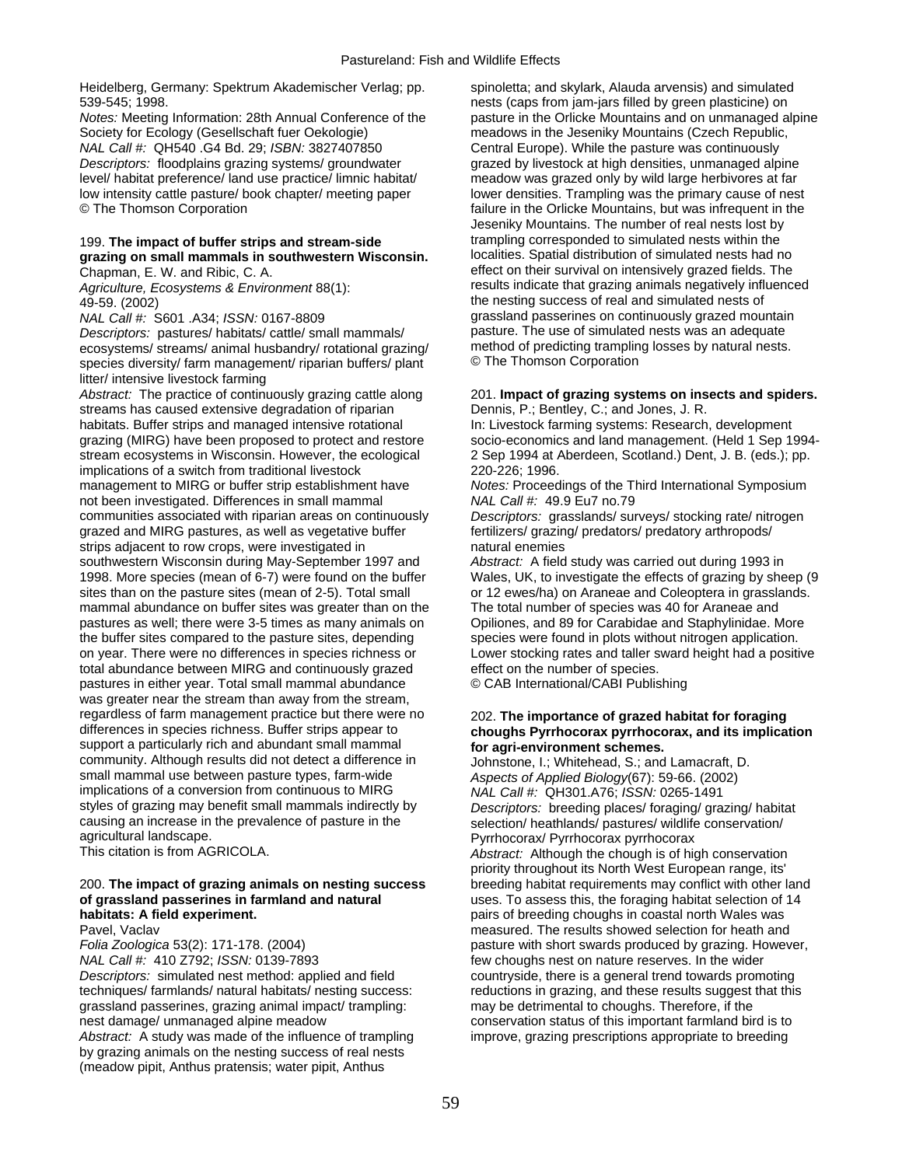Heidelberg, Germany: Spektrum Akademischer Verlag; pp. spinoletta; and skylark, Alauda arvensis) and simulated 539-545; 1998. nests (caps from jam-jars filled by green plasticine) on

Society for Ecology (Gesellschaft fuer Oekologie) meadows in the Jeseniky Mountains (Czech Republic, *NAL Call #:* QH540 .G4 Bd. 29; *ISBN:* 3827407850 Central Europe). While the pasture was continuously *Descriptors:* floodplains grazing systems/ groundwater grazed by livestock at high densities, unmanaged alpine level/ habitat preference/ land use practice/ limnic habitat/ meadow was grazed only by wild large herbivores at far low intensity cattle pasture/ book chapter/ meeting paper lower densities. Trampling was the primary cause of nest © The Thomson Corporation **failure in the Orlicke Mountains, but was infrequent in the** 

# grazing on small mammals in southwestern Wisconsin.

*Descriptors:* pastures/ habitats/ cattle/ small mammals/ pasture. The use of simulated nests was an adequate ecosystems/ streams/ animal husbandry/ rotational grazing/ method of predicting trampling losses by natural nest ecosystems/ streams/ animal husbandry/ rotational grazing/ method of predicting tramplin<br>species diversity/ farm management/ riparian buffers/ plant © The Thomson Corporation species diversity/ farm management/ riparian buffers/ plant litter/ intensive livestock farming

*Abstract:* The practice of continuously grazing cattle along 201. **Impact of grazing systems on insects and spiders.** streams has caused extensive degradation of riparian Dennis, P.; Bentley, C.; and Jones, J. R. habitats. Buffer strips and managed intensive rotational In: Livestock farming systems: Research, development grazing (MIRG) have been proposed to protect and restore socio-economics and land management. (Held 1 Sep 1994 stream ecosystems in Wisconsin. However, the ecological 2 Sep 1994 at Aberdeen, Scotland.) Dent, J. B. (eds.); pp. implications of a switch from traditional livestock 220-226; 1996. management to MIRG or buffer strip establishment have *Notes:* Proceedings of the Third International Symposium not been investigated. Differences in small mammal *NAL Call #:* 49.9 Eu7 no.79 communities associated with riparian areas on continuously *Descriptors:* grasslands/ surveys/ stocking rate/ nitrogen grazed and MIRG pastures, as well as vegetative buffer fertilizers/ grazing/ predators/ predatory arthropods/ strips adjacent to row crops, were investigated in natural enemies southwestern Wisconsin during May-September 1997 and *Abstract:* A field study was carried out during 1993 in mammal abundance on buffer sites was greater than on the The total number of species was 40 for Araneae and<br>
pastures as well: there were 3-5 times as many animals on Opiliones, and 89 for Carabidae and Staphylinidae. More pastures as well; there were 3-5 times as many animals on the buffer sites compared to the pasture sites, depending species were found in plots without nitrogen application. on year. There were no differences in species richness or Lower stocking rates and taller sward height had a positive total abundance between MIRG and continuously grazed effect on the number of species. pastures in either year. Total small mammal abundance © CAB International/CABI Publishing was greater near the stream than away from the stream, regardless of farm management practice but there were no 202. **The importance of grazed habitat for foraging**  support a particularly rich and abundant small mammal **for agri-environment schemes.**<br>
community. Although results did not detect a difference in Johnstone, I.; Whitehead, S.; and Lamacraft, D. community. Although results did not detect a difference in small mammal use between pasture types, farm-wide *Aspects of Applied Biology*(67): 59-66. (2002) implications of a conversion from continuous to MIRG *NAL Call #:* QH301.A76; *ISSN:* 0265-1491<br>
styles of grazing may benefit small mammals indirectly by *Descriptors:* breeding places/ foraging/ gra styles of grazing may benefit small mammals indirectly by *Descriptors:* breeding places/ foraging/ grazing/ habitat causing an increase in the prevalence of pasture in the selection/ heathlands/ pastures/ wildlife conservation/<br>
Pyrrhocorax / Pyrrhocorax pyrrhocorax

## 200. **The impact of grazing animals on nesting success** breeding habitat requirements may conflict with other land **of grassland passerines in farmland and natural** *uses.* **To assess this, the foraging habitat selection of 14<br>
habitats: A field experiment. <b>habitats: A field experiment.** Pairs of breeding choughs in coastal north Wales

*Descriptors:* simulated nest method: applied and field countryside, there is a general trend towards promoting techniques/ farmlands/ natural habitats/ nesting success: reductions in grazing, and these results suggest that this grassland passerines, grazing animal impact/ trampling: may be detrimental to choughs. Therefore, if the nest damage/ unmanaged alpine meadow conservation status of this important farmland bird is to *Abstract:* A study was made of the influence of trampling improve, grazing prescriptions appropriate to breeding by grazing animals on the nesting success of real nests (meadow pipit, Anthus pratensis; water pipit, Anthus

*Notes:* Meeting Information: 28th Annual Conference of the pasture in the Orlicke Mountains and on unmanaged alpine Jeseniky Mountains. The number of real nests lost by 199. **The impact of buffer strips and stream-side** trampling corresponded to simulated nests within the Chapman, E. W. and Ribic, C. A. effect on their survival on intensively grazed fields. The *Agriculture, Ecosystems & Environment* 88(1): results indicate that grazing animals negatively influenced 49-59. (2002) the nesting success of real and simulated nests of *NAL Call #:* S601 .A34; *ISSN:* 0167-8809 grassland passerines on continuously grazed mountain<br>Descriptors: pastures/ babitats/ cattle/ small mammals/ pasture. The use of simulated nests was an adequate

1998. More species (mean of 6-7) were found on the buffer Wales, UK, to investigate the effects of grazing by sheep (9 sites than on the pasture sites (mean of 2-5). Total small or 12 ewes/ha) on Araneae and Coleoptera in or 12 ewes/ha) on Araneae and Coleoptera in grasslands.<br>The total number of species was 40 for Araneae and

# choughs Pyrrhocorax pyrrhocorax, and its implication

agricultural landscape.<br>
This citation is from AGRICOLA. This citation is from AGRICOLA.<br>
Abstract: Although the chough is of hic Abstract: Although the chough is of high conservation priority throughout its North West European range, its' pairs of breeding choughs in coastal north Wales was Pavel, Vaclav measured. The results showed selection for heath and *Folia Zoologica* 53(2): 171-178. (2004) pasture with short swards produced by grazing. However, *NAL Call #:* 410 Z792; *ISSN:* 0139-7893 *ISSN:* 1399 *Property of the wider state of the wider of the wider state of the wider state of the wider state of the wider state of the wider state of the wider state of the w*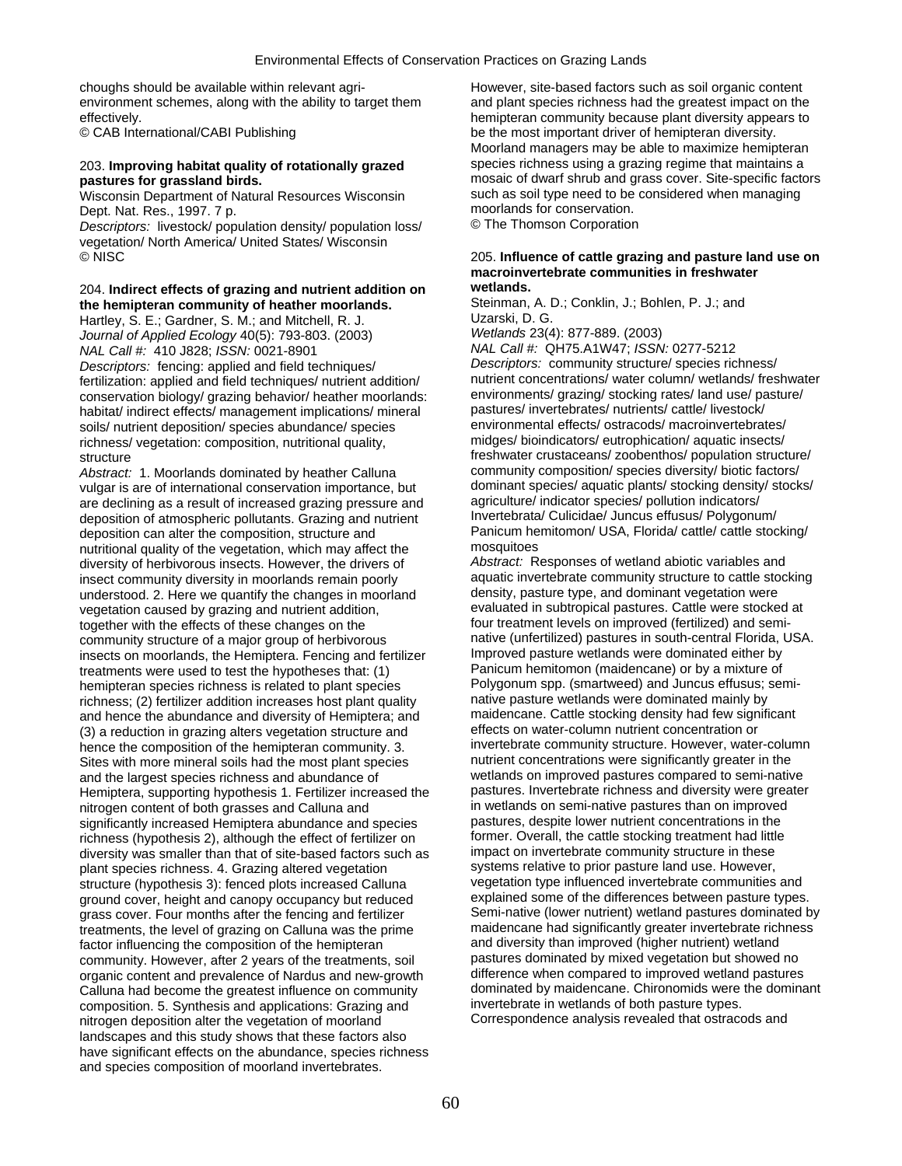environment schemes, along with the ability to target them and plant species richness had the greatest impact on the effectively. hemipteran community because plant diversity appears to

Wisconsin Department of Natural Resources Wisconsin such as soil type need to be conservation.<br>
Dept Nat Res 1997 7 p Dept. Nat. Res., 1997. 7 p.<br>
Descriptors: livestock/ population density/ population loss/ <br>
O The Thomson Corporation

*Descriptors:* livestock/ population density/ population loss/ vegetation/ North America/ United States/ Wisconsin

### 204. **Indirect effects of grazing and nutrient addition on wetlands. the hemipteran community of heather moorlands.** Steinman, A. I.; Bohlen, A. D.; G.; Contract of A. D.; G.; G.; Bohlen, P.; Bohlen, D.; G.; Bohlen, P.; Bohlen, D.; G.; Bohlen, P.; Bohlen, D.; G.; Bohlen, P.; Bohlen, P.; an

Hartley, S. E.; Gardner, S. M.; and Mitchell, R. J. Uzarski, D. G. Uzarski, D. G. S. G. Uzarski, D. G. Uzarski, D. G. Uzarski, D. G. Uzarski, D. G. Uzarski, D. G. Uzarski, D. G. Uzarski, D. G. Uzarski, D. G. Uzarski, D. G. *Journal of Applied Ecology* 40(5): 793-803. (2003)<br>*NAL Call #: 410 J828: ISSN: 0021-8901* 

fertilization: applied and field techniques/ nutrient addition/ nutrient concentrations/ water column/ wetlands/ freshwater conservation biology/ grazing behavior/ heather moorlands: environments/ grazing/ stocking rates/ conservation biology/ grazing behavior/ heather moorlands: environments/ grazing/ stocking rates/ land use/ pa<br>habitat/ indirect effects/ management implications/ mineral pastures/ invertebrates/ nutrients/ cattle/ livesto habitat/ indirect effects/ management implications/ mineral pastures/ invertebrates/ nutrients/ cattle/ livestock/<br>soils/ nutrient deposition/ species abundance/ species environmental effects/ ostracods/ macroinvertebrates soils/ nutrient deposition/ species abundance/ species environmental effects/ ostracods/ macroinvertebrates/<br>
richness/ vegetation: composition, nutritional quality midges/ bioindicators/ eutrophication/ aquatic insects/ richness/ vegetation: composition, nutritional quality,

*Abstract:* 1. Moorlands dominated by heather Calluna community composition/ species diversity/ biotic factors/<br>vulgar is are of international conservation importance, but dominant species/ aquatic plants/ stocking density vulgar is are of international conservation importance, but dominant species/ aquatic plants/ stocking density<br>are declining as a result of increased grazing pressure and agriculture/ indicator species/ pollution indicator are declining as a result of increased grazing pressure and agriculture/ indicator species/ pollution indicators/<br>deposition of atmospheric pollutants. Grazing and nutrient linvertebrata/ Culicidae/ Juncus effusus/ Polygon deposition of atmospheric pollutants. Grazing and nutrient Invertebrata/ Culicidae/ Juncus effusus/ Polygonum/<br>Invertebrata/ Culicidae/ Juncus effusus/ Polygonum/<br>Panicum hemitomon/ USA, Florida/ cattle/ cattle stocking/ deposition can alter the composition, structure and Panicum he<br>
putritional quality of the vegetation, which may affect the mosquitoes nutritional quality of the vegetation, which may affect the mosquitoes<br>diversity of herbivorous insects. However, the drivers of *Abstract:* Responses of wetland abiotic variables and diversity of herbivorous insects. However, the drivers of insect community diversity in moorlands remain poorly aquatic invertebrate community structure to cattle stocking understood. 2. Here we quantify the changes in moorland density, pasture type, and dominant vegetation were vegetation caused by grazing and nutrient addition, evaluated in subtropical pastures. Cattle were stocked at<br>together with the effects of these changes on the four treatment levels on improved (fertilized) and semitogether with the effects of these changes on the four treatment levels on improved (fertilized) and semi-<br>community structure of a major group of berbivorous hative (unfertilized) pastures in south-central Florida, USA. community structure of a major group of herbivorous native (unfertilized) pastures in south-central Florida, community structure of a major group of herbivorous community structure wetlands were dominated either by insects on moorlands, the Hemiptera. Fencing and fertilizer Improved pasture wetlands were dominated either by<br>Improved pasture were used to test the bypotheses that: (1) Panicum hemitomon (maidencane) or by a mixture of treatments were used to test the hypotheses that: (1) Panicum hemitomon (maidencane) or by a mixture of<br>hemipteran species richness is related to plant species Polygonum spp. (smartweed) and Juncus effusus; semihemipteran species richness is related to plant species Polygonum spp. (smartweed) and Juncus effusus; semi-<br>Frichness: (2) fertilizer addition increases host plant quality native pasture wetlands were dominated mainly by richness; (2) fertilizer addition increases host plant quality native pasture wetlands were dominated mainly by<br>and hence the abundance and diversity of Hemiptera: and maidencane. Cattle stocking density had few significan and hence the abundance and diversity of Hemiptera; and maidencane. Cattle stocking density had few sign<br>(3) a reduction in grazing alters vegetation structure and effects on water-column nutrient concentration or (3) a reduction in grazing alters vegetation structure and effects on water-column nutrient concentration or<br>hence the composition of the hemipteran community, 3. The protection of the community structure. However, water-c hence the composition of the hemipteran community. 3. invertebrate community structure. However, water-column<br>Sites with more mineral soils had the most plant species in utrient concentrations were significantly greater in Sites with more mineral soils had the most plant species nutrient concentrations were significantly greater in the<br>and the largest species richness and abundance of metal wetlands on improved pastures compared to semi-nati and the largest species richness and abundance of wetlands on improved pastures compared to semi-native<br>Hemiptera, supporting hypothesis 1. Fertilizer increased the pastures. Invertebrate richness and diversity were greate Hemiptera, supporting hypothesis 1. Fertilizer increased the pastures. Invertebrate richness and diversity were grea<br>nitrogen content of both grasses and Calluna and and price the wetlands on semi-native pastures than on i nitrogen content of both grasses and Calluna and in wetlands on semi-native pastures than on improved<br>significantly increased Hemintera abundance and species pastures, despite lower nutrient concentrations in the significantly increased Hemiptera abundance and species pastures, despite lower nutrient concentrations in the<br>
richness (hypothesis 2) although the effect of fertilizer on former. Overall, the cattle stocking treatment ha richness (hypothesis 2), although the effect of fertilizer on former. Overall, the cattle stocking treatment had littl<br>diversity was smaller than that of site-based factors such as filmpact on invertebrate community struct diversity was smaller than that of site-based factors such as impact on invertebrate community structure in these<br>
plant species richness 4. Grazing altered vegetation systems relative to prior pasture land use. However, plant species richness. 4. Grazing altered vegetation systems relative to prior pasture land use. However,<br>structure (hypothesis 3): fenced plots increased Calluna vegetation type influenced invertebrate communities and structure (hypothesis 3): fenced plots increased Calluna vegetation type influenced invertebrate communities and<br>
ground cover, height and canopy occupancy but reduced explained some of the differences between pasture type ground cover, height and canopy occupancy but reduced explained some of the differences between pasture types.<br>The state over Four months after the fencing and fertilizer Semi-native (lower nutrient) wetland pastures domin grass cover. Four months after the fencing and fertilizer Semi-native (lower nutrient) wetland pastures dominated by<br>treatments, the level of grazing on Calluna was the prime maidencane had significantly greater invertebra treatments, the level of grazing on Calluna was the prime maidencane had significantly greater invertebrate rich<br>factor influencing the composition of the hemipteran and diversity than improved (higher nutrient) wetland factor influencing the composition of the hemipteran and diversity than improved (higher nutrient) wetland<br>
community. However, after 2 years of the treatments, soil pastures dominated by mixed vegetation but showed no community. However, after 2 years of the treatments, soil explores dominated by mixed vegetation but showed no<br>organic content and prevalence of Nardus and new-growth difference when compared to improved wetland pastures organic content and prevalence of Nardus and new-growth Calluna had become the greatest influence on community dominated by maidencane. Chironomids were the dominant composition 5. Synthesis and applications: Grazing and invertebrate in wetlands of both pasture types. composition. 5. Synthesis and applications: Grazing and invertebrate in wetlands of both pasture types.<br>introgen deposition alter the vegetation of moorland Correspondence analysis revealed that ostracods and nitrogen deposition alter the vegetation of moorland landscapes and this study shows that these factors also have significant effects on the abundance, species richness and species composition of moorland invertebrates.

choughs should be available within relevant agri- However, site-based factors such as soil organic content © CAB International/CABI Publishing be the most important driver of hemipteran diversity. Moorland managers may be able to maximize hemipteran 203. **Improving habitat quality of rotationally grazed** species richness using a grazing regime that maintains a **pastures for grassland birds. pastures for grassland birds.** The specific factors mosaic of dwarf shrub and grass cover. Site-specific factors wisconsin menaging wisconsin wisconsine wisconsine wisconsine wisconsine wis

### © NISC 205. **Influence of cattle grazing and pasture land use on macroinvertebrate communities in freshwater**

*NAL Call #: QH75.A1W47; <i>ISSN: 0277-5212*<br>*Descriptors: community structure/ species richness/ Descriptors:* fencing: applied and field techniques/ *Descriptors:* community structure/ species richness/ structure<br>
Abstract: 1 Moorlands dominated by beather Calluna<br>
Abstract: 1 Moorlands dominated by beather Calluna<br>
community composition/ species diversity/ biotic factors/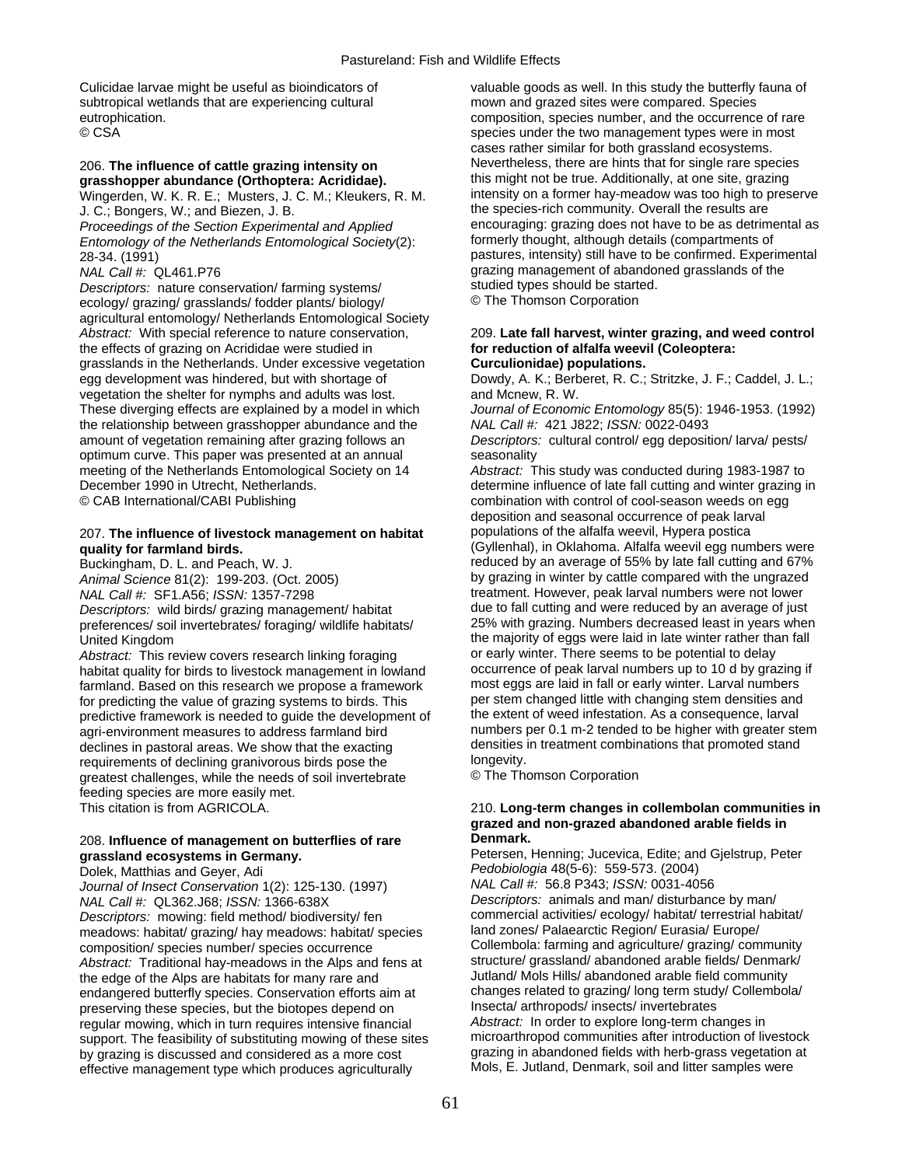subtropical wetlands that are experiencing cultural mown and grazed sites were compared. Species

Wingerden, W. K. R. E.; Musters, J. C. M.; Kleukers, R. M.

*Proceedings of the Section Experimental and Applied* encouraging: grazing does not have to be as detriments of entiments of entiments of entiments of entiments of entiments of entiments of **Entomology of the Netherlands Entomological Society(2):** 

*Descriptors:* nature conservation/ farming systems/ studied types should be started.<br>Exploring the distribution of the Thomson Corporation ecology/ grazing/ grasslands/ fodder plants/ biology/ agricultural entomology/ Netherlands Entomological Society *Abstract:* With special reference to nature conservation, 209. **Late fall harvest, winter grazing, and weed control**  the effects of grazing on Acrididae were studied in **for reduction of alfalfa weevil (Coleoptera:**  grasslands in the Netherlands. Under excessive vegetation **Curculionidae) populations.**  egg development was hindered, but with shortage of Dowdy, A. K.; Berberet, R. C.; Stritzke, J. F.; Caddel, J. L.; vegetation the shelter for nymphs and adults was lost. and Mcnew, R. W. These diverging effects are explained by a model in which *Journal of Economic Entomology* 85(5): 1946-1953. (1992) the relationship between grasshopper abundance and the *NAL Call #:* 421 J822; *ISSN:* 0022-0493 amount of vegetation remaining after grazing follows an *Descriptors:* cultural control/ egg deposition/ larva/ pests/ optimum curve. This paper was presented at an annual seasonality meeting of the Netherlands Entomological Society on 14 *Abstract:* This study was conducted during 1983-1987 to December 1990 in Utrecht, Netherlands. determine influence of late fall cutting and winter grazing in © CAB International/CABI Publishing example and combination with control of cool-season weeds on egg

## 207. **The influence of livestock management on habitat** populations of the alfalfa weevil, Hypera postica

preferences/ soil invertebrates/ foraging/ wildlife habitats/

habitat quality for birds to livestock management in lowland occurrence of peak larval numbers up to 10 d by grazing<br>farmland, Based on this research we propose a framework most eggs are laid in fall or early winter. Larva farmland. Based on this research we propose a framework most eggs are laid in fall or early winter. Larval numbers<br>for predicting the value of grazing systems to birds. This explorer stem changed little with changing stem for predicting the value of grazing systems to birds. This per stem changed little with changing stem densities and<br>predictive framework is needed to quide the development of the extent of weed infestation. As a consequenc predictive framework is needed to quide the development of agri-environment measures to address farmland bird numbers per 0.1 m-2 tended to be higher with greater stem<br>declines in pastoral areas. We show that the exacting densities in treatment combinations that promoted stand declines in pastoral areas. We show that the exacting densities in the densities in the densities of declining aranivorous birds nose the longevity. requirements of declining granivorous birds pose the longevity. greatest challenges, while the needs of soil invertebrate feeding species are more easily met.

## 208. **Influence of management on butterflies of rare Denmark.**

*Journal of Insect Conservation* 1(2): 125-130. (1997) *NAL Call #:* QL362.J68: *ISSN:* 1366-638X *Descriptors:* animals and man/ disturbance by man/ *Descriptors:* mowing: field method/ biodiversity/ fen commercial activities/ ecology/ habitat/ terrestrial habitat/<br>meadows: habitat/ grazing/ hay meadows: habitat/ species land zones/ Palaearctic Region/ Eurasia/ Europe/ meadows: habitat/ grazing/ hay meadows: habitat/ species land zones/ Palaearctic Region/ Eurasia/ Europe/<br>composition/ species number/ species occurrence Collembola: farming and agriculture/ grazing/ community composition/ species number/ species occurrence Collembola: farming and agriculture/ grazing/ community<br>Abstract: Traditional hay-meadows in the Alps and fens at structure/ grassland/ abandoned arable fields/ Denmark/ Abstract: Traditional hay-meadows in the Alps and fens at structure/ grassland/ abandoned arable fields/ Denmar<br>Jutland/ Mols Hills/ abandoned arable field community the edge of the Alps are habitats for many rare and Jutland/ Mols Hills/ abandoned arable field community<br>| changes related to grazing/ long term study/ Collembola/ endangered butterfly species. Conservation efforts aim at changes related to grazing/ long term study<br>Corresprise these species but the biotones depend on **Collembola** Insecta/ arthropods/ insects/ invertebrates preserving these species, but the biotopes depend on **Insectal** arthropods/ insects/ invertebrates<br>
regular mowing, which in turn requires intensive financial *Abstract:* In order to explore long-term changes in regular mowing, which in turn requires intensive financial *Abstract:* In order to explore long-term changes in support. The feasibility of substituting mowing of these sites microarthropod communities after introduction of livestock<br>by grazing is discussed and considered as a more cost grazing in abandoned fields with herb-grass ve by grazing is discussed and considered as a more cost grazing in abandoned fields with herb-grass vegetation i<br>effective management type which produces agriculturally Mols, E. Jutland, Denmark, soil and litter samples were effective management type which produces agriculturally

Culicidae larvae might be useful as bioindicators of valuable goods as well. In this study the butterfly fauna of eutrophication. **composition** composition, species number, and the occurrence of rare © CSA species under the two management types were in most cases rather similar for both grassland ecosystems. 206. **The influence of cattle grazing intensity on** Nevertheless, there are hints that for single rare species **grasshopper abundance (Orthoptera: Acrididae).** this might not be true. Additionally, at one site, grazing J. C.; Bongers, W.; and Biezen, J. B. the species-rich community. Overall the results are<br>Proceedings of the Section Experimental and Applied encouraging: grazing does not have to be as detrimental as 28-34. (1991) pastures, intensity) still have to be confirmed. Experimental *NAL Call #:* QL461.P76 grazing management of abandoned grasslands of the grazing management of abandoned grasslands of the Descriptors: nature conservation/ farming systems/

deposition and seasonal occurrence of peak larval **quality for farmland birds.** (Gyllenhal), in Oklahoma. Alfalfa weevil egg numbers were Buckingham, D. L. and Peach, W. J. The Commence of 55% by late fall cutting and 67% *Animal Science* 81(2): 199-203. (Oct. 2005) by grazing in winter by cattle compared with the ungrazed *NAL Call #:* SF1.A56; *ISSN:* 1357-7298 treatment. However, peak larval numbers were not lower *Descriptors:* wild birds/ grazing management/ habitat due to fall cutting and were reduced by an average of just<br>
preferences/ soil invertebrates/ foraging/ wildlife habitats/ 25% with grazing. Numbers decreased least in United Kingdom<br>Abstract: This review covers research linking foraging on the majority of eggs were laid in late winter rather than fall<br>Abstract: This review covers research linking foraging or early winter. There seems to *Abstract:* This review covers research linking foraging or early winter. There seems to be potential to delay<br>habitat quality for birds to livestock management in lowland occurrence of peak larval numbers up to 10 d by gr

### This citation is from AGRICOLA. 210. **Long-term changes in collembolan communities in grazed and non-grazed abandoned arable fields in**

Petersen, Henning; Jucevica, Edite; and Gjelstrup, Peter Dolek, Matthias and Geyer, Adi *Pedobiologia* 48(5-6): 559-573. (2004)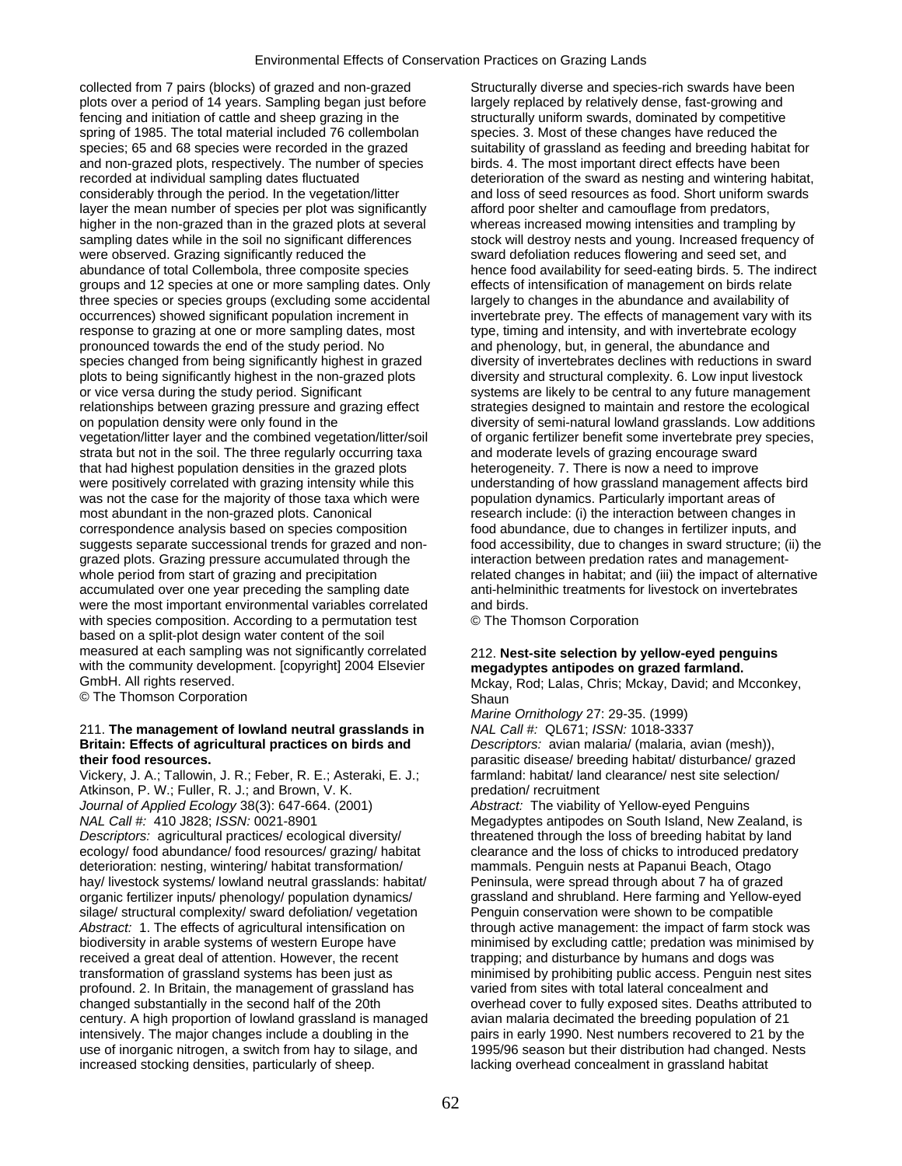collected from 7 pairs (blocks) of grazed and non-grazed Structurally diverse and species-rich swards have been plots over a period of 14 years. Sampling began just before largely replaced by relatively dense, fast-growing and fencing and initiation of cattle and sheep grazing in the structurally uniform swards, dominated by competitive spring of 1985. The total material included 76 collembolan species. 3. Most of these changes have reduced the species; 65 and 68 species were recorded in the grazed suitability of grassland as feeding and breeding habitat for and non-grazed plots, respectively. The number of species birds. 4. The most important direct effects have been recorded at individual sampling dates fluctuated deterioration of the sward as nesting and wintering habitat, considerably through the period. In the vegetation/litter and loss of seed resources as food. Short uniform swards layer the mean number of species per plot was significantly afford poor shelter and camouflage from predators, higher in the non-grazed than in the grazed plots at several whereas increased mowing intensities and trampling by sampling dates while in the soil no significant differences stock will destroy nests and young. Increased frequency of were observed. Grazing significantly reduced the sward defoliation reduces flowering and seed set, and abundance of total Collembola, three composite species hence food availability for seed-eating birds. 5. The indirect groups and 12 species at one or more sampling dates. Only effects of intensification of management on birds relate three species or species groups (excluding some accidental largely to changes in the abundance and availability of occurrences) showed significant population increment in invertebrate prey. The effects of management vary w occurrences) showed significant population increment in invertebrate prey. The effects of management vary with its<br>response to grazing at one or more sampling dates, most type, timing and intensity, and with invertebrate e pronounced towards the end of the study period. No and phenology, but, in general, the abundance and species changed from being significantly highest in grazed diversity of invertebrates declines with reductions in sward plots to being significantly highest in the non-grazed plots diversity and structural complexity. 6. Low input livestock or vice versa during the study period. Significant systems are likely to be central to any future management relationships between grazing pressure and grazing effect strategies designed to maintain and restore the ecological on population density were only found in the diversity of semi-natural lowland grasslands. Low additions vegetation/litter layer and the combined vegetation/litter/soil of organic fertilizer benefit some invertebrate prey species, strata but not in the soil. The three regularly occurring taxa and moderate levels of grazing encourage sward that had highest population densities in the grazed plots heterogeneity. 7. There is now a need to improve were positively correlated with grazing intensity while this understanding of how grassland management affects bird was not the case for the majority of those taxa which were population dynamics. Particularly important areas of most abundant in the non-grazed plots. Canonical research include: (i) the interaction between changes in correspondence analysis based on species composition food abundance, due to changes in fertilizer inputs, and suggests separate successional trends for grazed and non- food accessibility, due to changes in sward structure; (ii) the grazed plots. Grazing pressure accumulated through the interaction between predation rates and managementwhole period from start of grazing and precipitation related changes in habitat; and (iii) the impact of alternative accumulated over one year preceding the sampling date anti-helminithic treatments for livestock on invertebrates were the most important environmental variables correlated and birds. with species composition. According to a permutation test  $\heartsuit$  The Thomson Corporation based on a split-plot design water content of the soil measured at each sampling was not significantly correlated 212. **Nest-site selection by yellow-eyed penguins**  with the community development. [copyright] 2004 Elsevier **megadyptes antipodes on grazed farmland.**<br>
GmbH. All rights reserved. **and Most and Most and Most antipodes on grazed farmland.** © The Thomson Corporation Shaun

### 211. **The management of lowland neutral grasslands in** *NAL Call #:* QL671; *ISSN:* 1018-3337 **Britain: Effects of agricultural practices on birds and**

Vickery, J. A.; Tallowin, J. R.; Feber, R. E.; Asteraki, E. J.; farmland: habitat/ land clearance/ nest site selection/ Atkinson, P. W.; Fuller, R. J.; and Brown, V. K. predation/ recruitment *Journal of Applied Ecology* 38(3): 647-664. (2001) *Abstract:* The viability of Yellow-eyed Penguins *NAL Call #:* 410 J828; *ISSN:* 0021-8901 Megadyptes antipodes on South Island, New Zealand, is *Descriptors:* agricultural practices/ ecological diversity/ threatened through the loss of breeding habitat by land ecology/ food abundance/ food resources/ grazing/ habitat clearance and the loss of chicks to introduced predatory deterioration: nesting, wintering/ habitat transformation/ mammals. Penguin nests at Papanui Beach, Otago hay/ livestock systems/ lowland neutral grasslands: habitat/ Peninsula, were spread through about 7 ha of grazed organic fertilizer inputs/ phenology/ population dynamics/ grassland and shrubland. Here farming and Yellow-eyed silage/ structural complexity/ sward defoliation/ vegetation Penguin conservation were shown to be compatible *Abstract:* 1. The effects of agricultural intensification on through active management: the impact of farm stock was biodiversity in arable systems of western Europe have minimised by excluding cattle; predation was minimised by received a great deal of attention. However, the recent trapping; and disturbance by humans and dogs was received a great deal of attention. However, the recent transformation of grassland systems has been just as profound. 2. In Britain, the management of grassland has varied from sites with total lateral concealment and changed substantially in the second half of the 20th overhead cover to fully exposed sites. Deaths attributed to<br>century. A high proportion of lowland grassland is managed avian malaria decimated the breeding population of century. A high proportion of lowland grassland is managed intensively. The major changes include a doubling in the pairs in early 1990. Nest numbers recovered to 21 by the use of inorganic nitrogen, a switch from hay to silage, and 1995/96 season but their distribution had changed. Nests increased stocking densities, particularly of sheep. lacking overhead concealment in grassland habitat

type, timing and intensity, and with invertebrate ecology

Mckay, Rod; Lalas, Chris; Mckay, David; and Mcconkey,

*Marine Ornithology* 27: 29-35. (1999) **their food resources.** parasitic disease/ breeding habitat/ disturbance/ grazed

minimised by prohibiting public access. Penguin nest sites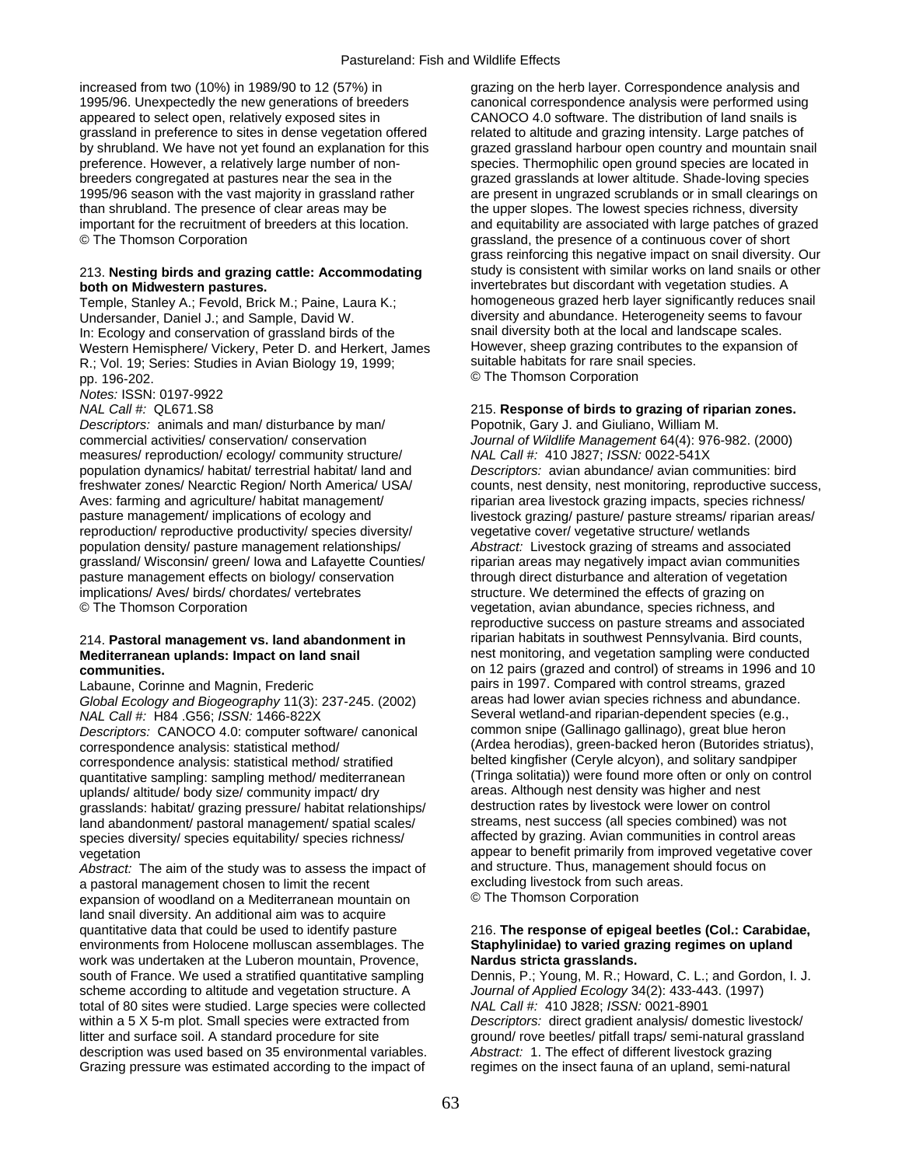increased from two (10%) in 1989/90 to 12 (57%) in grazing on the herb layer. Correspondence analysis and 1995/96. Unexpectedly the new generations of breeders canonical correspondence analysis were performed using appeared to select open, relatively exposed sites in CANOCO 4.0 software. The distribution of land snails is grassland in preference to sites in dense vegetation offered related to altitude and grazing intensity. Large patches of by shrubland. We have not yet found an explanation for this grazed grassland harbour open country and mountain snail preference. However, a relatively large number of non- species. Thermophilic open ground species are located in breeders congregated at pastures near the sea in the grazed grasslands at lower altitude. Shade-loving species than shrubland. The presence of clear areas may be the upper slopes. The lowest species richness, diversity © The Thomson Corporation grassland, the presence of a continuous cover of short

Temple, Stanley A.; Fevold, Brick M.; Paine, Laura K.; Undersander, Daniel J.; and Sample, David W. diversity and abundance. Heterogeneity seems to favour<br>In: Ecology and conservation of grassland birds of the same shall diversity both at the local and landscape scales. In: Ecology and conservation of grassland birds of the snail diversity both at the local and landscape scales.<br>Western Hemisphere/ Vickery, Peter D, and Herkert, James However, sheep grazing contributes to the expansion of Western Hemisphere/ Vickery, Peter D. and Herkert, James However, sheep grazing contributes to the expansion of expansion of expansion of expansion of expansion of expansion of expansion of expansion of expansion of expans R.; Vol. 19; Series: Studies in Avian Biology 19, 1999; pp. 196-202. © The Thomson Corporation

*Notes:* ISSN: 0197-9922

*Descriptors:* animals and man/ disturbance by man/ Popotnik, Gary J. and Giuliano, William M. commercial activities/ conservation/ conservation *Journal of Wildlife Management* 64(4): 976-982. (2000) measures/ reproduction/ ecology/ community structure/ *NAL Call #:* 410 J827; *ISSN:* 0022-541X population dynamics/ habitat/ terrestrial habitat/ land and *Descriptors:* avian abundance/ avian communities: bird Aves: farming and agriculture/ habitat management/ riparian area livestock grazing impacts, species richness/ pasture management/ implications of ecology and livestock grazing/ pasture/ pasture streams/ riparian areas/ reproduction/ reproductive productivity/ species diversity/ vegetative cover/ vegetative structure/ wetlands population density/ pasture management relationships/ *Abstract:* Livestock grazing of streams and associated grassland/ Wisconsin/ green/ Iowa and Lafayette Counties/ riparian areas may negatively impact avian communities pasture management effects on biology/ conservation through direct disturbance and alteration of vegetation implications/ Aves/ birds/ chordates/ vertebrates structure. We determined the effects of grazing on © The Thomson Corporation vegetation, avian abundance, species richness, and

*Global Ecology and Biogeography* 11(3): 237-245. (2002)

*Descriptors: CANOCO 4.0: computer software/ canonical* correspondence analysis: statistical method/ (Ardea herodias), green-backed heron (Butorides striatus), correspondence analysis: statistical method/ stratified belted kingfisher (Ceryle alcyon), and solitary sandpiper correspondence analysis: statistical method/ stratified belted kingfisher (Ceryle alcyon), and solitary sandpiper quantitative sampling: sampling method/ mediterranean (Tringa solitatia)) were found more often or only or<br>uplands/ altitude/ body size/ community impact/ dry control or areas. Although nest density was higher and nest uplands/ altitude/ body size/ community impact/ dry areas. Although nest density was higher and nest<br>areaslands: habitat/ grazing pressure/ habitat relationships/ destruction rates by livestock were lower on control grasslands: habitat/ grazing pressure/ habitat relationships/ destruction rates by livestock were lower on control<br>Iand abandonment/ pastoral management/ spatial scales/ streams, nest success (all species combined) was not land abandonment/ pastoral management/ spatial scales/ streams, nest success (all species combined) was not<br>species diversity/ species equitability/ species richness/ streams, affected by grazing. Avian communities in cont species diversity/ species equitability/ species richness/

*Abstract:* The aim of the study was to assess the impact of and structure. Thus, management show a pastoral management chosen to limit the recent excluding livestock from such areas. a pastoral management chosen to limit the recent excluding livestock from such expansion of woodland on a Mediterranean mountain on  $\bullet$  The Thomson Corporation expansion of woodland on a Mediterranean mountain on land snail diversity. An additional aim was to acquire quantitative data that could be used to identify pasture 216. **The response of epigeal beetles (Col.: Carabidae,**  environments from Holocene molluscan assemblages. The **Staphylinidae) to varied grazing regimes on upland**  work was undertaken at the Luberon mountain, Provence, **Nardus stricta grasslands.**  south of France. We used a stratified quantitative sampling Dennis, P.; Young, M. R.; Howard, C. L.; and Gordon, I. J. scheme according to altitude and vegetation structure. A *Journal of Applied Ecology* 34(2): 433-443. (1997) total of 80 sites were studied. Large species were collected *NAL Call #:* 410 J828; *ISSN:* 0021-8901 within a 5 X 5-m plot. Small species were extracted from *Descriptors:* direct gradient analysis/ domestic livestock/ litter and surface soil. A standard procedure for site ground/ rove beetles/ pitfall traps/ semi-natural grassland description was used based on 35 environmental variables. *Abstract:* 1. The effect of different livestock grazing Grazing pressure was estimated according to the impact of regimes on the insect fauna of an upland, semi-natural

1995/96 season with the vast majority in grassland rather are present in ungrazed scrublands or in small clearings on important for the recruitment of breeders at this location. and equitability are associated with large patches of grazed grass reinforcing this negative impact on snail diversity. Our 213. **Nesting birds and grazing cattle: Accommodating** study is consistent with similar works on land snails or other **both on Midwestern pastures.**<br> **invertebrates but discordant with vegetation studies.** A<br> **Temple Stanley A**: Fevold Brick M: Paine Laura K: homogeneous grazed herb layer significantly reduces snail

### *NAL Call #:* QL671.S8 215. **Response of birds to grazing of riparian zones.**

freshwater zones/ Nearctic Region/ North America/ USA/ counts, nest density, nest monitoring, reproductive success, structure. We determined the effects of grazing on reproductive success on pasture streams and associated 214. **Pastoral management vs. land abandonment in** riparian habitats in southwest Pennsylvania. Bird counts, **Mediterranean uplands: Impact on land snail** nest monitoring, and vegetation sampling were conducted **communities.** on 12 pairs (grazed and control) of streams in 1996 and 10 Labaune, Corinne and Magnin, Frederic pairs in 1997. Compared with control streams, grazed<br>Global Frology and Biogeography 11(3): 237-245 (2002) areas had lower avian species richness and abundance. *NAL Call #:* H84 .G56; *ISSN:* 1466-822X Several wetland-and riparian-dependent species (e.g., *Descriptors: CANOCO 4.0: computer software/ canonical* common snipe (Gallinago gallinago), great blue heron vegetation<br>
Abstract: The aim of the study was to assess the impact of and structure. Thus, management should focus on<br>
Abstract: The aim of the study was to assess the impact of and structure. Thus, management should focu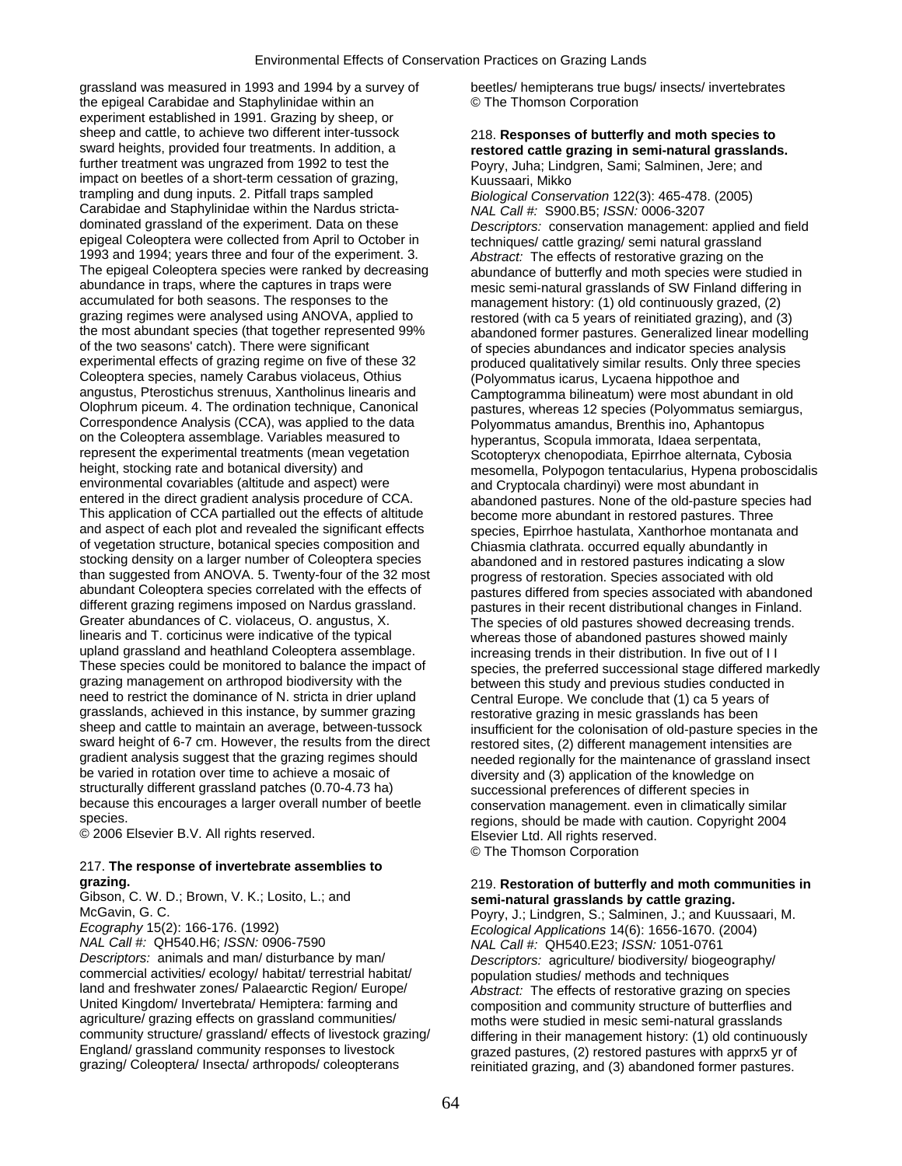the epigeal Carabidae and Staphylinidae within an © The Thomson Corporation experiment established in 1991. Grazing by sheep, or sheep and cattle, to achieve two different inter-tussock 218. **Responses of butterfly and moth species to sward heights**, provided four treatments. In addition, a **responses of and and an** semi-natural grasslands sward heights, provided four treatments. In addition, a **restored cattle grazing in semi-natural grasslands.**<br> **1992 Further treatment was ungrazed from 1992 to test the Convention Poyry Juha: Lindgren, Sami: Salminen, Jer** impact on beetles of a short-term cessation of grazing, <br>trampling and dung inputs. 2. Pitfall traps sampled **Biological Conser** Carabidae and Staphylinidae within the Nardus stricta-<br>dominated grassland of the experiment. Data on these dominated grassland of the experiment. Data on these *Descriptors:* conservation management: applied and field 1993 and 1994; years three and four of the experiment. 3. *Abstract:* The effects of restorative grazing on the The epigeal Coleoptera species were ranked by decreasing abundance of butterfly and moth species were studied in abundance in traps, where the captures in traps were  $\frac{1}{2}$  abundance in traps, where the captures in trap abundance in traps, where the captures in traps were mesic semi-natural grasslands of SW Finland differing in<br>accumulated for both seasons. The responses to the management history: (1) old continuously grazed (2) grazing regimes were analysed using ANOVA, applied to restored (with ca 5 years of reinitiated grazing), and (3)<br>the most abundant species (that together represented 99% abandoned former pastures. Generalized linear modell the most abundant species (that together represented 99% abandoned former pastures. Generalized linear modelling<br>of the two seasons' catch). There were significant of species abundances and indicator species apalysis of the two seasons' catch). There were significant of species abundances and indicator species analysis<br>experimental effects of grazing regime on five of these 32 orgalizatively similar results. Only three speci-Coleoptera species, namely Carabus violaceus, Othius (Polyommatus icarus, Lycaena hippothoe and<br>
angustus, Pterostichus strenuus, Xantholinus linearis and Camptogramma bilineatum) were most abund angustus, Pterostichus strenuus, Xantholinus linearis and Camptogramma bilineatum) were most abundant in old<br>Olophrum piceum, 4. The ordination technique, Canonical contrastures, whereas 12 species (Polyommatus semiarqu Correspondence Analysis (CCA), was applied to the data Polyommatus amandus, Brenthis ino, Aphantopus on the Coleoptera assemblage. Variables measured to hyperantus, Scopula immorata, Idaea serpentata, represent the experimental treatments (mean vegetation Scotoptery chenopodiata. Epirrhoe alternata. Cyt represent the experimental treatments (mean vegetation Scotopteryx chenopodiata, Epirrhoe alternata, Cybosia<br>height, stocking rate and botanical diversity) and mesomella. Polypogon tentacularius. Hypena proboscio height, stocking rate and botanical diversity) and mesomella, Polypogon tentacularius, Hypena proboscidalis<br>
environmental covariables (altitude and aspect) were and Cryptocala chardinyi) were most abundant in environmental covariables (altitude and aspect) were and Cryptocala chardinyi) were most abundant in<br>entered in the direct gradient analysis procedure of CCA.<br>abandoned pastures. None of the old-pasture spe entered in the direct gradient analysis procedure of CCA. a abandoned pastures. None of the old-pasture species had<br>This application of CCA partialled out the effects of altitude become more abundant in restored pastures. This application of CCA partialled out the effects of altitude become more abundant in restored pastures. Three<br>and aspect of each plot and revealed the significant effects species. Foirrhoe bastulata, Xanthorhoe montanata of vegetation structure, botanical species composition and Chiasmia clathrata. occurred equally abundantly in stocking density on a larger number of Coleoptera species abandoned and in restored pastures indicating a slow than suggested from ANOVA. 5. Twenty-four of the 32 most progress of restoration. Species associated with old abundant Coleoptera species correlated with the effects of pastures differed from species associated with aband abundant Coleoptera species correlated with the effects of pastures differed from species associated with abandoned different grazing regimens imposed on Nardus grassland. pastures in their recent distributional changes in Finland.<br>Greater abundances of C. violaceus, O. angustus, X. The species of old pastures showed decreasing trends Greater abundances of C. violaceus, O. angustus, X. The species of old pastures showed decreasing trends.<br>
linearis and T. corticinus were indicative of the typical whereas those of abandoned pastures showed mainly upland grassland and heathland Coleoptera assemblage. increasing trends in their distribution. In five out of I I<br>These species could be monitored to balance the impact of species the preferred successional stage differed These species could be monitored to balance the impact of species, the preferred successional stage differed markedly<br>grazing management on arthropod biodiversity with the state of the study and previous studies conducted need to restrict the dominance of N. stricta in drier upland Central Europe. We conclude that (1) ca 5 years of grasslands, achieved in this instance, by summer grazing restorative grazing in mesic grasslands has been<br>sheep and cattle to maintain an average, between-tussock insufficient for the colonisation of old-pasture spec sheep and cattle to maintain an average, between-tussock insufficient for the colonisation of old-pasture species in the<br>sward height of 6-7 cm. However, the results from the direct restored sites (2) different management sward height of 6-7 cm. However, the results from the direct restored sites, (2) different management intensities are<br>gradient analysis suggest that the grazing regimes should readed regionally for the maintenance of grass gradient analysis suggest that the grazing regimes should needed regionally for the maintenance of grassland insect<br>be varied in rotation over time to achieve a mosaic of diversity and (3) application of the knowledge on structurally different grassland patches (0.70-4.73 ha) successional preferences of different species in<br>because this encourages a larger overall number of beetle conservation management, even in climatically s because this encourages a larger overall number of beetle conservation management. even in climatically similar<br>species. erection Convright 2004

© 2006 Elsevier B.V. All rights reserved. Elsevier Ltd. All rights reserved.

## 217. **The response of invertebrate assemblies to**

Gibson, C. W. D.; Brown, V. K.; Losito, L.; and **semi-natural grasslands by cattle grazing.**  McGavin, G. C. C. Poyry, J.; Lindgren, S.; Salminen, J.; and Kuussaari, M. Poyry, J.; Lindgren, S.; Salminen, J.; and Kuussaari, M. Colorical Applications 14(6): 1656-1670. (2004) *Ecography* 15(2): 166-176. (1992) *Ecological Applications* 14(6): 1656-1670. (2004) *NAL Call #:* QH540.H6; *ISSN:* 0906-7590 *NAL Call #:* QH540.E23; *ISSN:* 1051-0761 commercial activities/ ecology/ habitat/ terrestrial habitat/ population studies/ methods and techniques land and freshwater zones/ Palaearctic Region/ Europe/ *Abstract:* The effects of restorative grazing on species United Kingdom/ Invertebrata/ Hemiptera: farming and composition and community structure of butterflies and agriculture/ grazing effects on grassland communities/ community structure/ grassland/ effects of livestock grazing/ differing in their management history: (1) old continuously<br>England/ grassland community responses to livestock grazed pastures (2) restored pastures with apprx England/ grassland community responses to livestock grazed pastures, (2) restored pastures with apprx5 yr of grazing/ Coleoptera/ Insecta/ arthropods/ coleopterans

grassland was measured in 1993 and 1994 by a survey of beetles/ hemipterans true bugs/ insects/ invertebrates

Poyry, Juha; Lindgren, Sami; Salminen, Jere; and

Biological Conservation 122(3): 465-478. (2005)<br>NAL Call #: S900.B5; ISSN: 0006-3207 techniques/ cattle grazing/ semi natural grassland management history: (1) old continuously grazed, (2) produced qualitatively similar results. Only three species pastures, whereas 12 species (Polyommatus semiargus, species, Epirrhoe hastulata, Xanthorhoe montanata and whereas those of abandoned pastures showed mainly between this study and previous studies conducted in diversity and (3) application of the knowledge on regions, should be made with caution. Copyright 2004 © The Thomson Corporation

## **grazing.** 219. **Restoration of butterfly and moth communities in**

*Descriptors: agriculture/ biodiversity/ biogeography/* moths were studied in mesic semi-natural grasslands reinitiated grazing, and (3) abandoned former pastures.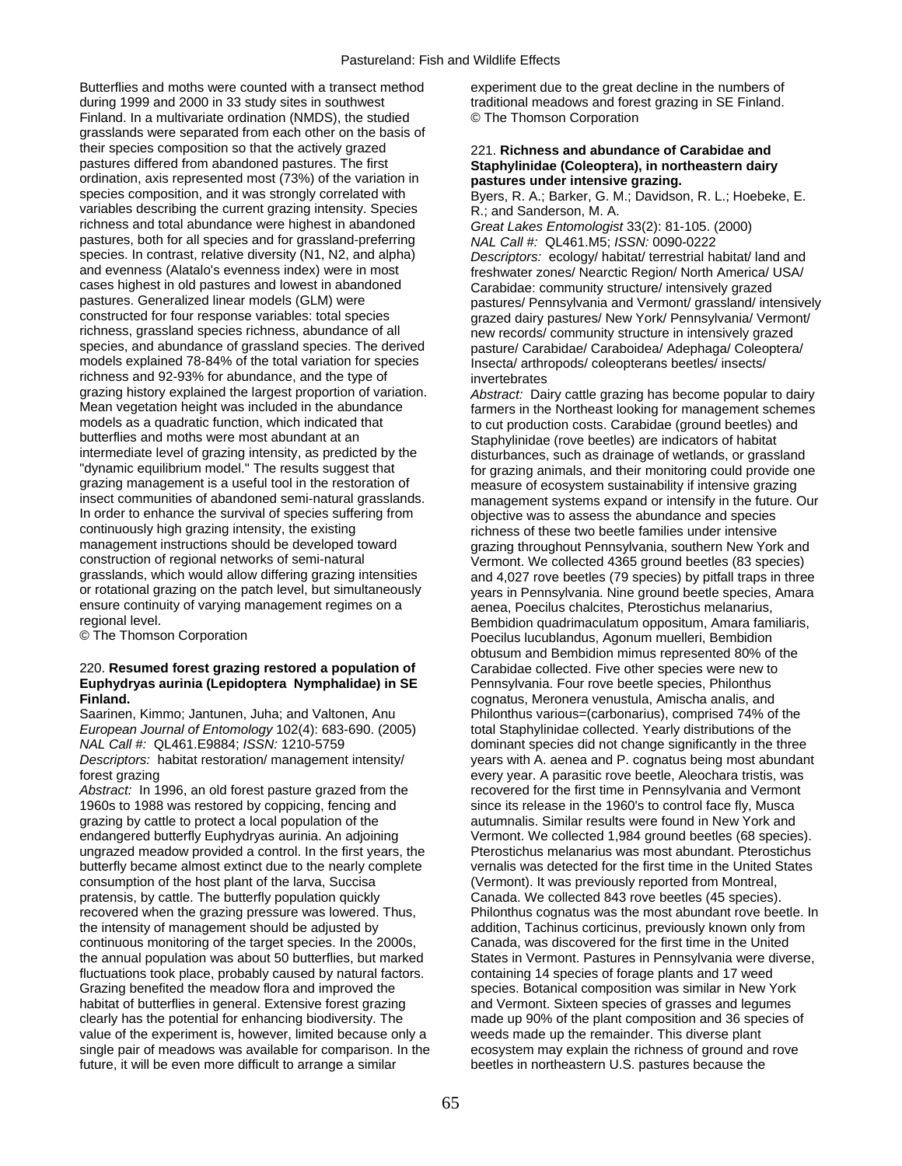Butterflies and moths were counted with a transect method experiment due to the great decline in the numbers of during 1999 and 2000 in 33 study sites in southwest traditional meadows and forest grazing in SE Finland. Finland. In a multivariate ordination (NMDS), the studied © The Thomson Corporation grasslands were separated from each other on the basis of their species composition so that the actively grazed 221. **Richness and abundance of Carabidae and**  ordination, axis represented most (73%) of the variation in species composition, and it was strongly correlated with variables describing the current grazing intensity. Species R.; and Sanderson, M. A.<br>richness and total abundance were highest in abandoned Great Lakes Entomologis pastures, both for all species and for grassland-preferring *species. In contrast, relative diversity* (N1, N2, and alpha) species. In contrast, relative diversity (N1, N2, and alpha) *Descriptors:* ecology/ habitat/ terrestrial habitat/ land and and evenness (Alatalo's evenness index) were in most freshwater zones/ Nearctic Region/ North America/ USA/<br>cases highest in old pastures and lowest in abandoned carabidae: community structure/ intensively grazed cases highest in old pastures and lowest in abandoned Carabidae: community structure/ intensively grazed<br>Carabidae: Community structure/ Pennsylvania and Vermont/ grassland/ inte constructed for four response variables: total species grazed dairy pastures/ New York/ Pennsylvania/ Vermont/<br>
richness, grassland species richness, abundance of all<br>
new records/ community structure in intensively grazed richness, grassland species richness, abundance of all new records/ community structure in intensively grazed<br>species, and abundance of grassland species. The derived nasture/ Carabidae/ Caraboidea/ Adephaga/ Coleontera species, and abundance of grassland species. The derived pasture/ Carabidae/ Caraboidea/ Adephaga/ Coleoptera/<br>models explained 78-84% of the total variation for species hereral arthropods/ coleopterans beetles/ insects/ richness and 92-93% for abundance, and the type of invertebrates<br>grazing history explained the largest proportion of variation. Abstract: Dai grazing history explained the largest proportion of variation. *Abstract:* Dairy cattle grazing has become popular to dairy Mean vegetation height was included in the abundance farmers in the Northeast looking for management schemes<br>models as a quadratic function, which indicated that for extraordination costs. Carabidae (ground beetles) and models as a quadratic function, which indicated that to cut production costs. Carabidae (ground beetles) and<br>butterflies and moths were most abundant at an staphylinidae (rove beetles) are indicators of habitat butterflies and moths were most abundant at an Staphylinidae (rove beetles) are indicators of habitat<br>intermediate level of grazing intensity, as predicted by the disturbances, such as drainage of wetlands, or grass intermediate level of grazing intensity, as predicted by the disturbances, such as drainage of wetlands, or grassland<br>"dynamic equilibrium model." The results suggest that for grazing animals, and their monitoring could pr "dynamic equilibrium model." The results suggest that for grazing animals, and their monitoring could provide one<br>grazing management is a useful tool in the restoration of measure of ecosystem sustainability if intensive g grazing management is a useful tool in the restoration of measure of ecosystem sustainability if intensive grazing<br>insect communities of abandoned semi-natural grasslands. The management systems expand or intensify in the In order to enhance the survival of species suffering from objective was to assess the abundance and species<br>
continuously high grazing intensity, the existing<br>
continuously high grazing intensive continuously high grazing intensity, the existing richness of these two beetle families under intensive<br>management instructions should be developed toward razing throughout Pennsylvania southern New York management instructions should be developed toward grazing throughout Pennsylvania, southern New York and<br>Construction of regional networks of semi-natural vermont. We collected 4365 ground beetles (83 species) construction of regional networks of semi-natural Vermont. We collected 4365 ground beetles (83 species)<br>grasslands, which would allow differing grazing intensities and 4.027 rove beetles (79 species) by pitfall traps in t grasslands, which would allow differing grazing intensities and 4,027 rove beetles (79 species) by pitfall traps in three<br>The protational grazing on the patch level, but simultaneously spears in Pennsylvania. Nine ground b or rotational grazing on the patch level, but simultaneously years in Pennsylvania. Nine ground beetle species, Amara<br>
ensure continuity of varying management regimes on a senea Poecilus chalcites Pterostichus melanarius ensure continuity of varying management regimes on a and a aenea, Poecilus chalcites, Pterostichus melanarius,<br>
Rembidion quadrimaculatum oppositum Amara fam

### 220. **Resumed forest grazing restored a population of** Carabidae collected. Five other species were new to **Euphydryas aurinia (Lepidoptera Nymphalidae) in SE** Pennsylvania. Four rove beetle species, Philonthus **Finland.** cognatus, Meronera venustula, Amischa analis, and

*European Journal of Entomology* 102(4): 683-690. (2005) total Staphylinidae collected. Yearly distributions of the

1960s to 1988 was restored by coppicing, fencing and since its release in the 1960's to control face fly, Musca grazing by cattle to protect a local population of the autumnalis. Similar results were found in New York and endangered butterfly Euphydryas aurinia. An adjoining Vermont. We collected 1,984 ground beetles (68 species). ungrazed meadow provided a control. In the first years, the Pterostichus melanarius was most abundant. Pterostichus butterfly became almost extinct due to the nearly complete vernalis was detected for the first time in the United States consumption of the host plant of the larva, Succisa (Vermont). It was previously reported from Montreal, pratensis, by cattle. The butterfly population quickly Canada. We collected 843 rove beetles (45 species). recovered when the grazing pressure was lowered. Thus, Philonthus cognatus was the most abundant rove beetle. In the intensity of management should be adjusted by addition, Tachinus corticinus, previously known only from continuous monitoring of the target species. In the 2000s, Canada, was discovered for the first time in the United the annual population was about 50 butterflies, but marked States in Vermont. Pastures in Pennsylvania were diverse, fluctuations took place, probably caused by natural factors. containing 14 species of forage plants and 1 fluctuations took place, probably caused by natural factors. Grazing benefited the meadow flora and improved the species. Botanical composition was similar in New York habitat of butterflies in general. Extensive forest grazing and Vermont. Sixteen species of grasses and legumes<br>
clearly has the potential for enhancing biodiversity. The made up 90% of the plant composition and 36 species value of the experiment is, however, limited because only a weeds made up the remainder. This diverse plant single pair of meadows was available for comparison. In the ecosystem may explain the richness of ground and rove future, it will be even more difficult to arrange a similar beetles in northeastern U.S. pastures because the

# Staphylinidae (Coleoptera), in northeastern dairy<br>pastures under intensive grazing.

Byers, R. A.; Barker, G. M.; Davidson, R. L.; Hoebeke, E.

Great Lakes Entomologist 33(2): 81-105. (2000)<br>NAL Call #: QL461.M5: *ISSN:* 0090-0222 pastures. Generalized linear models (GLM) were pastures/ Pennsylvania and Vermont/ grassland/ intensively<br>
constructed for four response variables: total species example arrazed dairy pastures/ New York/ Pennsylvania/ Verm Insecta/ arthropods/ coleopterans beetles/ insects/

insect communities of abandoned semi-natural grasslands. The management systems expand or intensify in the future. Our<br>In order to enhance the survival of species suffering from objective was to assess the abundance and sp regional level.<br> **Exercise Sembidion quadrimaculatum oppositum, Amara familiaris,**<br>
Poecilus lucublandus. Agonum muelleri. Bembidion (Cambidion duadrimaculatum oppositum, Amara familiaris, Poecilus lucublandus, Agonum muelleri, Bembidion obtusum and Bembidion mimus represented 80% of the Saarinen, Kimmo; Jantunen, Juha; and Valtonen, Anu Philonthus various=(carbonarius), comprised 74% of the dominant species did not change significantly in the three *Descriptors:* habitat restoration/ management intensity/ years with A. aenea and P. cognatus being most abundant forest grazing every year. A parasitic rove beetle, Aleochara tristis, was Abstract: In 1996, an old forest pasture grazed from the recovered for the first time in Pennsylvania and Vermont made up 90% of the plant composition and 36 species of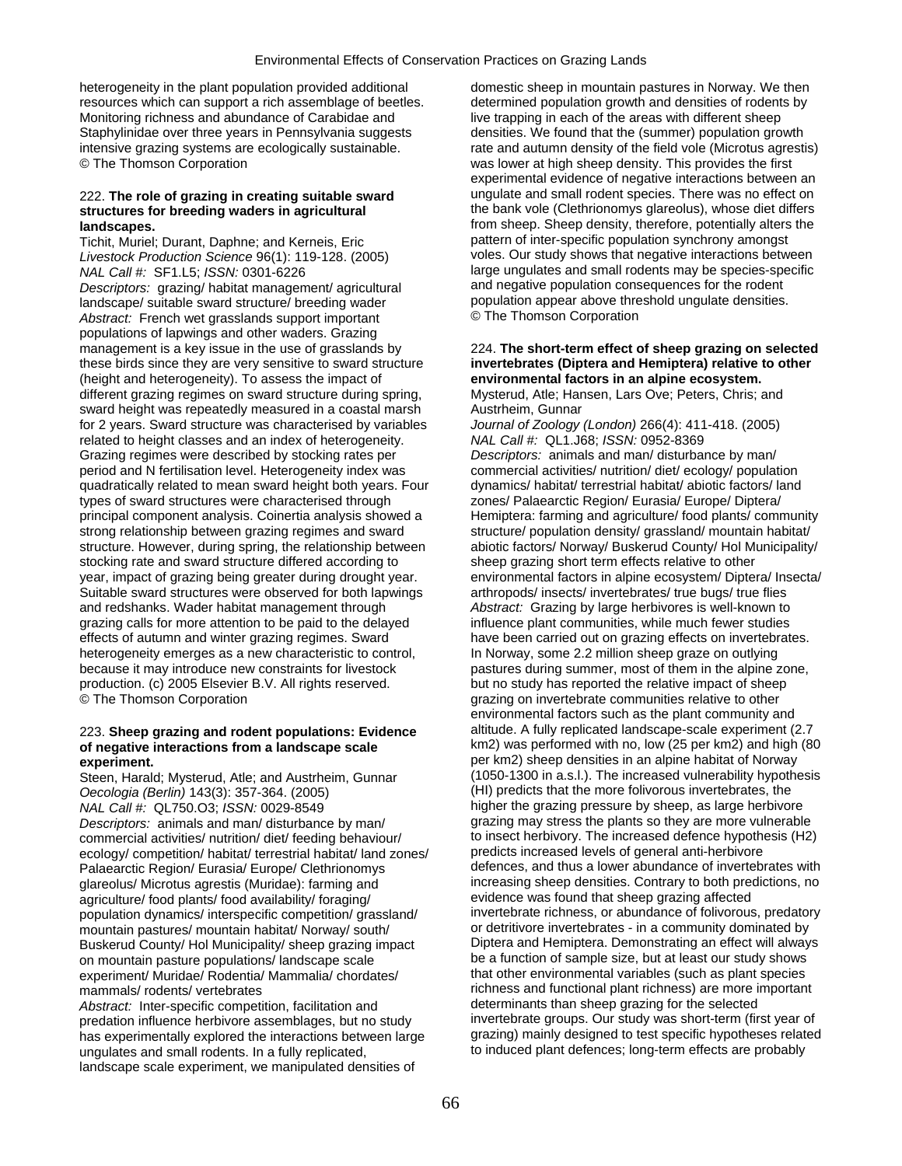heterogeneity in the plant population provided additional domestic sheep in mountain pastures in Norway. We then resources which can support a rich assemblage of beetles. determined population growth and densities of rodents by Monitoring richness and abundance of Carabidae and live trapping in each of the areas with different sheep Staphylinidae over three years in Pennsylvania suggests densities. We found that the (summer) population growth © The Thomson Corporation was lower at high sheep density. This provides the first

# structures for breeding waders in agricultural

*Livestock Production Science* 96(1): 119-128. (2005) voles. Our study shows that negative interactions between *NAL Call #:* SF1.L5; *ISSN:* 0301-6226 large ungulates and small rodents may be species-specific<br>Descriptors: grazing/ habitat management/ agricultural and negative population consequences for the rodent *Descriptors:* grazing/ habitat management/ agricultural and negative population consequences for the rodent landscape/ suitable sward structure/ breeding wader population appear above thre<br>Abstract: French wet grasslands support important  $\bullet$  The Thomson Corporation *Abstract:* French wet grasslands support important populations of lapwings and other waders. Grazing these birds since they are very sensitive to sward structure (height and heterogeneity). To assess the impact of **environmental factors in an alpine ecosystem.**  different grazing regimes on sward structure during spring, Mysterud, Atle; Hansen, Lars Ove; Peters, Chris; and sward height was repeatedly measured in a coastal marsh Austrheim, Gunnar for 2 years. Sward structure was characterised by variables *Journal of Zoology (London)* 266(4): 411-418. (2005) related to height classes and an index of heterogeneity. *NAL Call #:* QL1.J68; *ISSN:* 0952-8369 Grazing regimes were described by stocking rates per *Descriptors:* animals and man/ disturbance by man/ period and N fertilisation level. Heterogeneity index was commercial activities/ nutrition/ diet/ ecology/ population quadratically related to mean sward height both years. Four dynamics/ habitat/ terrestrial habitat/ abiotic factors/ land types of sward structures were characterised through zones/ Palaearctic Region/ Eurasia/ Europe/ Diptera/ principal component analysis. Coinertia analysis showed a Hemiptera: farming and agriculture/ food plants/ community strong relationship between grazing regimes and sward structure/ population density/ grassland/ mountain habitat/ structure. However, during spring, the relationship between abiotic factors/ Norway/ Buskerud County/ Hol Municipality/ stocking rate and sward structure differed according to sheep grazing short term effects relative to other Suitable sward structures were observed for both lapwings and redshanks. Wader habitat management through *Abstract:* Grazing by large herbivores is well-known to grazing calls for more attention to be paid to the delayed influence plant communities, while much fewer studies<br>effects of autumn and winter grazing regimes. Sward have been carried out on grazing effects on invertebrat heterogeneity emerges as a new characteristic to control, **In Norway, some 2.2 million sheep graze on outlying** because it may introduce new constraints for livestock pastures during summer, most of them in the alpine zone, production. (c) 2005 Elsevier B.V. All rights reserved. but no study has reported the relative impact of sheep © The Thomson Corporation grazing on invertebrate communities relative to other

# **experiment. per km2) sheep densities in an alpine habitat of Norway** per km2) sheep densities in an alpine habitat of Norway

*Oecologia (Berlin)* 143(3): 357-364. (2005) (HI) predicts that the more folivorous invertebrates, the *NAL Call #:* QL750.O3; *ISSN:* 0029-8549<br> *Descriptors:* animals and man/ disturbance by man/<br> *Rescriptors:* animals and man/ disturbance by man/<br> **All Call #:** QL750.O3; *ISSN:* 0029-8549 commercial activities/ nutrition/ diet/ feeding behaviour/ to insect herbivory. The increased defence hypoth<br>ecology/ competition/ habitat/ terrestrial habitat/ land zones/ predicts increased levels of general anti-herbivo ecology/ competition/ habitat/ terrestrial habitat/ land zones/ population dynamics/ interspecific competition/ grassland/ invertebrate richness, or abundance of folivorous, predator<br>mountain pastures/ mountain habitat/ Norway/ south/ or detritivore invertebrates - in a community domin Buskerud County/ Hol Municipality/ sheep grazing impact on mountain pasture populations/ landscape scale be a function of sample size, but at least our study shows experiment/ Muridae/ Rodentia/ Mammalia/ chordates/ that other environmental variables (such as plant species

has experimentally explored the interactions between large grazing) mainly designed to test specific hypotheses relate<br>unquilates and small rodents. In a fully replicated to induced plant defences; long-term effects are pr ungulates and small rodents. In a fully replicated, landscape scale experiment, we manipulated densities of

intensive grazing systems are ecologically sustainable. The rate and autumn density of the field vole (Microtus agrestis) experimental evidence of negative interactions between an 222. **The role of grazing in creating suitable sward** ungulate and small rodent species. There was no effect on **landscapes.**<br> **landscapes.**<br> **landscapes. landscapes. from sheep.** Sheep density, therefore, potentially alters the<br>
pattern of inter-specific population synchrony amongst pattern of inter-specific population synchrony amongst

# management is a key issue in the use of grasslands by 224. **The short-term effect of sheep grazing on selected**<br>
these birds since they are very sensitive to sward structure **invertebrates (Diptera and Hemiptera) relative**

year, impact of grazing being greater during drought year. environmental factors in alpine ecosystem/ Diptera/ Insecta/<br>Suitable sward structures were observed for both lapwings arthropods/ insects/ invertebrates/ true bug have been carried out on grazing effects on invertebrates. environmental factors such as the plant community and 223. **Sheep grazing and rodent populations: Evidence** altitude. A fully replicated landscape-scale experiment (2.7 **of negative interactions from a landscape scale** km2) was performed with no, low (25 per km2) and high (80 Steen, Harald; Mysterud, Atle; and Austrheim, Gunnar (1050-1300 in a.s.l.). The increased vulnerability hypothesis *Descriptors:* animals and man/ disturbance by man/ grazing may stress the plants so they are more vulnerable Palaearctic Region/ Eurasia/ Europe/ Clethrionomys defences, and thus a lower abundance of invertebrates with glareolus/ Microtus agrestis (Muridae): farming and increasing sheep densities. Contrary to both predictions, no<br>agriculture/ food plants/ food availability/ foraging/ evidence was found that sheep grazing affected agriculture/ food plants/ food availability/ foraging/ evidence was found that sheep grazing affected<br>nopulation dynamics/ interspecific competition/ grassland/ invertebrate richness, or abundance of folivorous, predatory mountain pastures/ mountain habitat/ Norway/ south/ or detritivore invertebrates - in a community dominated by<br>Buskerud County/ Hol Municipality/ sheep grazing impact Diptera and Hemiptera. Demonstrating an effect will alw mammals/ rodents/ vertebrates richness and functional plant richness) are more important<br>Abstract: Inter-specific competition. facilitation and determinants than sheep grazing for the selected *Abstract:* Inter-specific competition, facilitation and determinants than sheep grazing for the selected predation influence herbivore assemblages, but no study invertebrate groups. Our study was short-term (first year of<br>has experimentally explored the interactions between large grazing) mainly designed to test specific hypo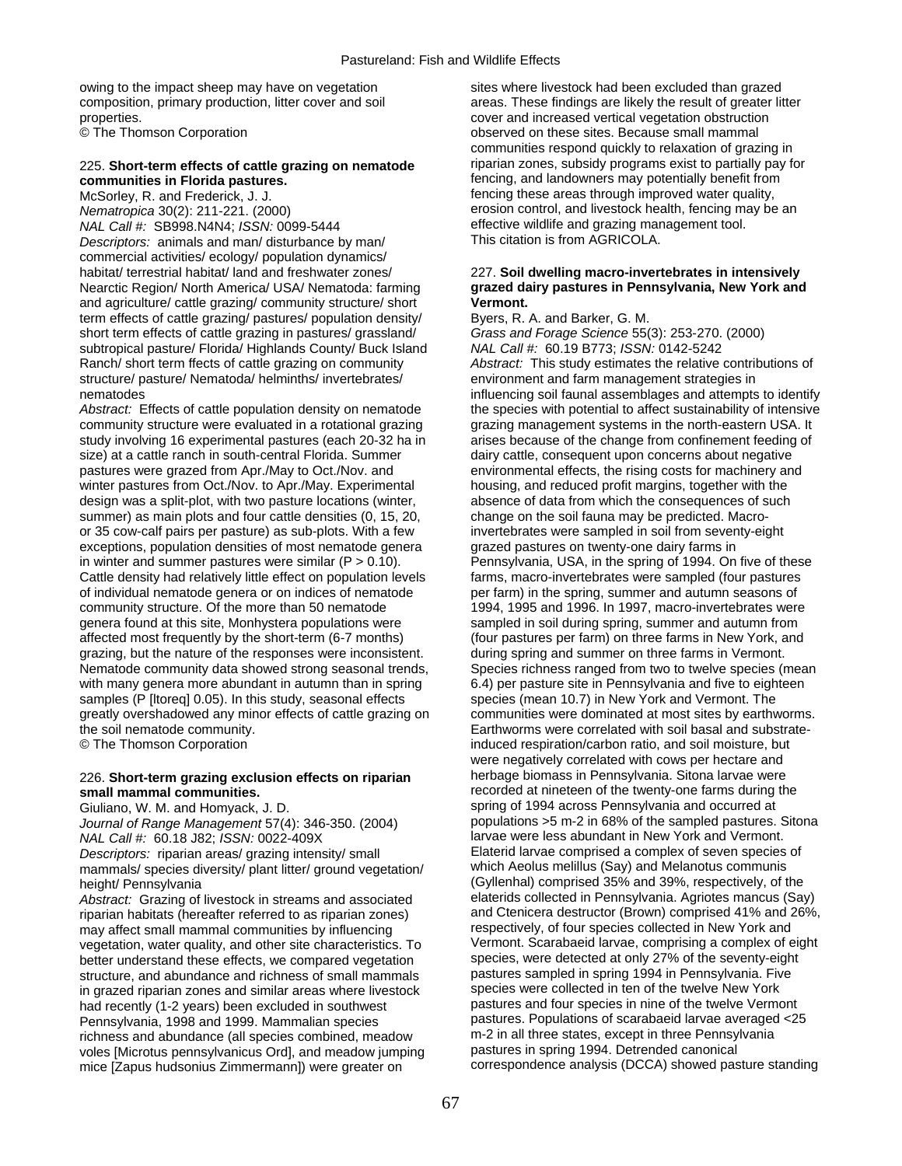## **communities in Florida pastures.** fencing, and landowners may potentially benefit from

*Nematropica* 30(2): 211-221. (2000) erosion control, and livestock health, fencing may be an <br>*NAL Call #:* SB998.N4N4: *ISSN:* 0099-5444 effective wildlife and grazing management tool. *NAL Call #:* SB998.N4N4; *ISSN:* 0099-5444 effective wildlife and grazing man<br>Descriptors: animals and man/ disturbance by man/ This citation is from AGRICOLA. *Descriptors:* animals and man/ disturbance by man/ commercial activities/ ecology/ population dynamics/ habitat/ terrestrial habitat/ land and freshwater zones/ 227. **Soil dwelling macro-invertebrates in intensively**  Nearctic Region/ North America/ USA/ Nematoda: farming **grazed dairy pastures in Pennsylvania, New York and**  and agriculture/ cattle grazing/ community structure/ short **Vermont.**  term effects of cattle grazing/ pastures/ population density/ Byers, R. A. and Barker, G. M. short term effects of cattle grazing in pastures/ grassland/ *Grass and Forage Science* 55(3): 253-270. (2000) subtropical pasture/ Florida/ Highlands County/ Buck Island *NAL Call #:* 60.19 B773; *ISSN:* 0142-5242 Ranch/ short term ffects of cattle grazing on community *Abstract:* This study estimates the relative contributions of structure/ pasture/ Nematoda/ helminths/ invertebrates/ environment and farm management strategies in

community structure were evaluated in a rotational grazing grazing management systems in the north-eastern USA. It study involving 16 experimental pastures (each 20-32 ha in arises because of the change from confinement feeding of size) at a cattle ranch in south-central Florida. Summer dairy cattle, consequent upon concerns about negative pastures were grazed from Apr./May to Oct./Nov. and environmental effects, the rising costs for machinery and winter pastures from Oct./Nov. to Apr./May. Experimental housing, and reduced profit margins, together with the design was a split-plot, with two pasture locations (winter, absence of data from which the consequences of such summer) as main plots and four cattle densities (0, 15, 20, change on the soil fauna may be predicted. Macroor 35 cow-calf pairs per pasture) as sub-plots. With a few invertebrates were sampled in soil from seventy-eight exceptions, population densities of most nematode genera grazed pastures on twenty-one dairy farms in in winter and summer pastures were similar (P > 0.10). Pennsylvania, USA, in the spring of 1994. On five of these Cattle density had relatively little effect on population levels farms, macro-invertebrates were sampled (four pastures of individual nematode genera or on indices of nematode per farm) in the spring, summer and autumn seasons of community structure. Of the more than 50 nematode 1994, 1995 and 1996. In 1997, macro-invertebrates were genera found at this site, Monhystera populations were sampled in soil during spring, summer and autumn from affected most frequently by the short-term (6-7 months) (four pastures per farm) on three farms in New York, and affected most frequently by the short-term (6-7 months) grazing, but the nature of the responses were inconsistent. during spring and summer on three farms in Vermont. Nematode community data showed strong seasonal trends, Species richness ranged from two to twelve species (mean with many genera more abundant in autumn than in spring 6.4) per pasture site in Pennsylvania and five to eighteen samples (P [ltoreq] 0.05). In this study, seasonal effects species (mean 10.7) in New York and Vermont. The greatly overshadowed any minor effects of cattle grazing on communities were dominated at most sites by earthworms. the soil nematode community. Earthworms were correlated with soil basal and substrate-

### 226. **Short-term grazing exclusion effects on riparian** herbage biomass in Pennsylvania. Sitona larvae were **small mammal communities.** recorded at nineteen of the twenty-one farms during the

*Journal of Range Management* 57(4): 346-350. (2004) *NAL Call #:* 60.18 J82; *ISSN:* 0022-409X<br> *Descriptors:* riparian areas/ grazing intensity/ small **Elaterid larvae comprised a complex of seven species of** *Descriptors:* riparian areas/ grazing intensity/ small **Elaterid larvae comprised a complex of seven species**<br>mammals/ species diversity/ plant litter/ ground vegetation/ which Aeolus melillus (Say) and Melanotus communis mammals/ species diversity/ plant litter/ ground vegetation/

riparian habitats (hereafter referred to as riparian zones) and Ctenicera destructor (Brown) comprised 41% and<br>may affect small mammal communities by influencing respectively, of four species collected in New York and vegetation, water quality, and other site characteristics. To Vermont. Scarabaeid larvae, comprising a complex of eight<br>better understand these effects, we compared vegetation species, were detected at only 27% of the seve better understand these effects, we compared vegetation species, were detected at only 27% of the seventy-eigh<br>structure, and abundance and richness of small mammals pastures sampled in spring 1994 in Pennsylvania. Five structure, and abundance and richness of small mammals explorers sampled in spring 1994 in Pennsylvania. Five<br>in grazed riparian zones and similar areas where livestock species were collected in ten of the twelve New York in grazed riparian zones and similar areas where livestock had recently (1-2 years) been excluded in southwest pastures and four species in nine of the twelve Vermont Pennsylvania, 1998 and 1999. Mammalian species pastures. Populations of scarabaeid larvae averaged <25<br>
richness and abundance (all species combined. meadow m-2 in all three states, except in three Pennsylvania richness and abundance (all species combined, meadow m-2 in all three states, except in three Pennsy<br>voles [Microtus pennsylvanicus Ord], and meadow jumping pastures in spring 1994. Detrended canonical voles [Microtus pennsylvanicus Ord], and meadow jumping pastures in spring 1994. Detrended canonical<br>mice [Zapus budsonius Zimmermann]) were greater on correspondence analysis (DCCA) showed pasture standing mice [Zapus hudsonius Zimmermann]) were greater on

owing to the impact sheep may have on vegetation sites where livestock had been excluded than grazed composition, primary production, litter cover and soil areas. These findings are likely the result of greater litter<br>cover and increased vertical vegetation obstruction<br>cover and increased vertical vegetation obstruction properties. cover and increased vertical vegetation obstruction observed on these sites. Because small mammal communities respond quickly to relaxation of grazing in 225. **Short-term effects of cattle grazing on nematode** riparian zones, subsidy programs exist to partially pay for McSorley, R. and Frederick, J. J. The McSorley areas through improved water quality,

nematodes influencing soil faunal assemblages and attempts to identify Abstract: Effects of cattle population density on nematode the species with potential to affect sustainability of intensive © The Thomson Corporation induced respiration/carbon ratio, and soil moisture, but were negatively correlated with cows per hectare and Giuliano, W. M. and Homyack, J. D. Spring of 1994 across Pennsylvania and occurred at Giuliano, W. M. and Homyack, J. D. Superside at Sitona and occurred at  $I_{\text{normal of Random}}$  spring of 1994 across Pennsylvania and occurred at  $I$ height/ Pennsylvania<br>
Abstract: Grazing of livestock in streams and associated elaterids collected in Pennsylvania. Agriotes mancus (Say) Abstract: Grazing of livestock in streams and associated elaterids collected in Pennsylvania. Agriotes mancus (Say)<br>Finarian habitats (hereafter referred to as riparian zones) and Ctenicera destructor (Brown) comprised 41% may affect small mammal communities by influencing respectively, of four species collected in New York and<br>vegetation water quality and other site characteristics To Vermont. Scarabaeid larvae, comprising a complex of eigh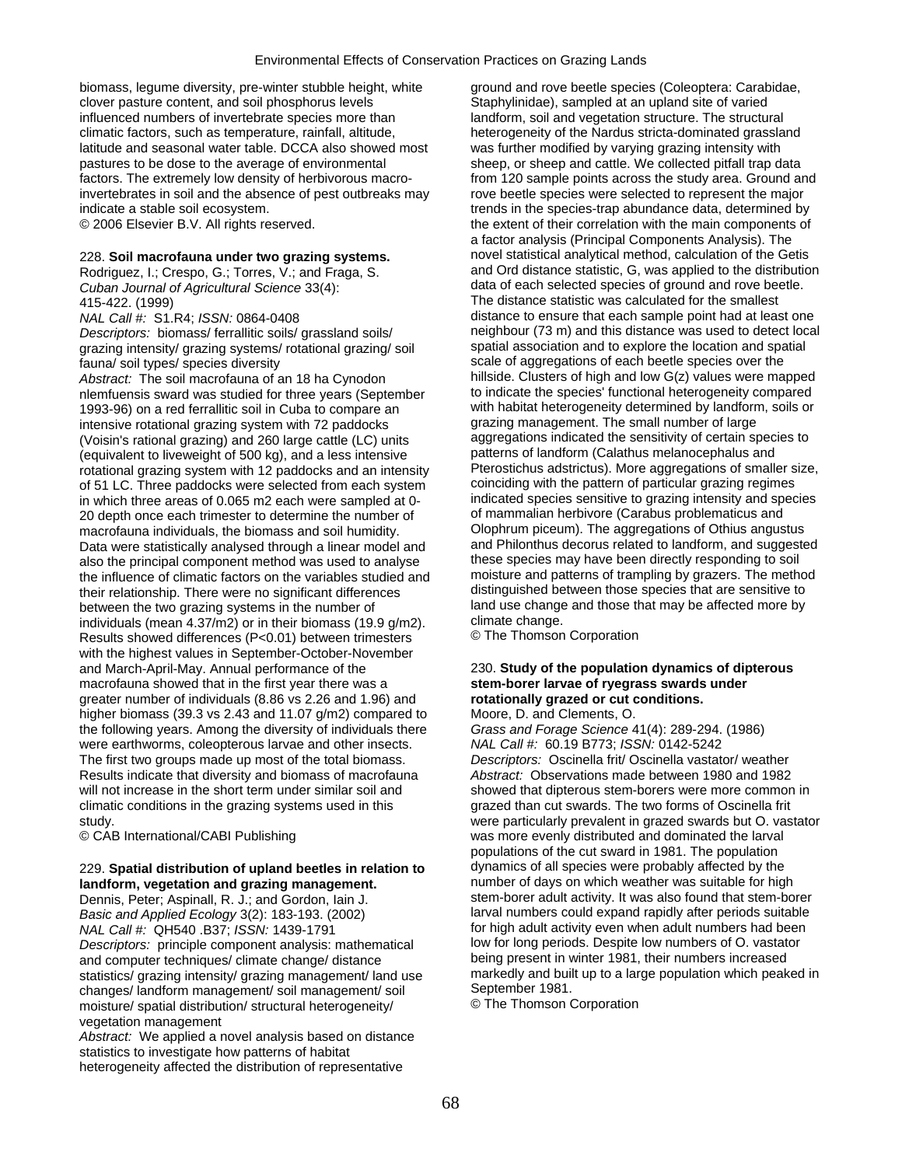biomass, legume diversity, pre-winter stubble height, white ground and rove beetle species (Coleoptera: Carabidae, clover pasture content, and soil phosphorus levels Staphylinidae), sampled at an upland site of varied influenced numbers of invertebrate species more than landform, soil and vegetation structure. The structural<br>
climatic factors, such as temperature, rainfall, altitude.<br>
heterogeneity of the Nardus stricta-dominated grassl latitude and seasonal water table. DCCA also showed most was further modified by varying grazing intensity with pastures to be dose to the average of environmental sheep, or sheep and cattle. We collected pitfall trap data factors. The extremely low density of herbivorous macro- from 120 sample points across the study area. Ground and invertebrates in soil and the absence of pest outbreaks may rove beetle species were selected to represent the major indicate a stable soil ecosystem. The species-trap abundance data, determined by the species-trap abundance data, determined by

*Descriptors:* biomass/ ferrallitic soils/ grassland soils/ neighbour (73 m) and this distance was used to detect local or neighbour (73 m) and this distance was used to detect local or neighbour (73 m) and this distance w grazing intensity/ grazing systems/ rotational grazing/ soil

*Abstract:* The soil macrofauna of an 18 ha Cynodon hillside. Clusters of high and low G(z) values were mapped<br>nlemfuensis sward was studied for three years (September to indicate the species' functional heterogeneity comp nlemfuensis sward was studied for three years (September to indicate the species' functional heterogeneity compared<br>1993-96) on a red ferrallitic soil in Cuba to compare an with habitat heterogeneity determined by landform 1993-96) on a red ferrallitic soil in Cuba to compare an with habitat heterogeneity determined by landform<br>intensive rotational grazing system with 72 paddocks grazing management. The small number of large intensive rotational grazing system with 72 paddocks (Voisin's rational grazing) and 260 large cattle (LC) units aggregations indicated the sensitivity of certain species to (equivalent to liveweight of 500 kg), and a less intensive patterns of landform (Calathus melanocephalus and<br>
rotational grazing system with 12 paddocks and an intensity Pterostichus adstrictus). More aggregations of small rotational grazing system with 12 paddocks and an intensity Pterostichus adstrictus). More aggregations of smaller s<br>of 51 LC. Three paddocks were selected from each system coinciding with the pattern of particular grazing of 51 LC. Three paddocks were selected from each system in which three areas of 0.065 m2 each were sampled at 0-<br>20 depth once each trimester to determine the number of of mammalian herbivore (Carabus problematicus and 20 depth once each trimester to determine the number of or of mammalian herbivore (Carabus problematicus and<br>Cophrum piceum). The aggregations of Othius angustus pracrofatus angustus problematicus angustus matter of thi macrofauna individuals, the biomass and soil humidity. Colophrum piceum). The aggregations of Othius angustus<br>Data were statistically analysed through a linear model and and Philonthus decorus related to landform, and sugg Data were statistically analysed through a linear model and and Philonthus decorus related to landform, and suggest<br>also the principal component method was used to analyse these species may have been directly responding to also the principal component method was used to analyse these species may have been directly responding to soil<br>the influence of climatic factors on the variables studied and moisture and patterns of trampling by grazers. the influence of climatic factors on the variables studied and moisture and patterns of trampling by grazers. The method<br>their relationship. There were no significant differences distinguished between those species that ar their relationship. There were no significant differences between the two grazing systems in the number of land use change and those that may be affected more by individuals (mean 4.37/m2) or in their biomass (19.9 g/m2) climate change. individuals (mean 4.37/m2) or in their biomass (19.9 g/m2). climate change.<br>Results showed differences (P<0.01) between trimesters  $\bullet$  The Thomson Corporation Results showed differences (P<0.01) between trimesters with the highest values in September-October-November and March-April-May. Annual performance of the 230. **Study of the population dynamics of dipterous**  macrofauna showed that in the first year there was a **stem-borer larvae of ryegrass swards under**  greater number of individuals (8.86 vs 2.26 and 1.96) and **rotationally grazed or cut conditions.**  higher biomass (39.3 vs 2.43 and 11.07 g/m2) compared to Moore, D. and Clements, O. the following years. Among the diversity of individuals there *Grass and Forage Science* 41(4): 289-294. (1986) were earthworms, coleopterous larvae and other insects. *NAL Call #:* 60.19 B773; *ISSN:* 0142-5242 The first two groups made up most of the total biomass. *Descriptors:* Oscinella frit/ Oscinella vastator/ weather Results indicate that diversity and biomass of macrofauna *Abstract:* Observations made between 1980 and 1982 will not increase in the short term under similar soil and showed that dipterous stem-borers were more common in climatic conditions in the grazing systems used in this grazed than cut swards. The two forms of Oscinella frit

*Basic and Applied Ecology* 3(2): 183-193. (2002) *NAL Call #:* QH540 .B37; *ISSN:* 1439-1791 *ISSN: 1439-1791* for high adult activity even when adult numbers had been<br>Descriptors: principle component analysis: mathematical **by low for long periods. Despite low numbers** *Descriptors:* principle component analysis: mathematical statistics/ grazing intensity/ grazing management/ land use markedly and buil<br>changes/ landform management/ soil management/ soil September 1981. changes/ landform management/ soil management/ soil September 1981. moisture/ spatial distribution/ structural heterogeneity/ vegetation management

*Abstract:* We applied a novel analysis based on distance statistics to investigate how patterns of habitat heterogeneity affected the distribution of representative

heterogeneity of the Nardus stricta-dominated grassland © 2006 Elsevier B.V. All rights reserved. the extent of their correlation with the main components of a factor analysis (Principal Components Analysis). The 228. **Soil macrofauna under two grazing systems.** novel statistical analytical method, calculation of the Getis Rodriguez, I.; Crespo, G.; Torres, V.; and Fraga, S. and Ord distance statistic, G, was applied to the distribution *Cuban Journal of Agricultural Science* 33(4): data of each selected species of ground and rove beetle. 415-422. (1999) The distance statistic was calculated for the smallest *NAL Call #:* S1.R4; *ISSN:* 0864-0408 distance to ensure that each sample point had at least one<br>Descriptors: biomass/ ferrallitic soils/ grassland soils/ neighbour (73 m) and this distance was used to detect local fauna/ soil types/ species diversity<br>Abstract: The soil macrofauna of an 18 ha Cynodon<br>Abstract: The soil macrofauna of an 18 ha Cynodon<br>billside. Clusters of high and low G(z) values were mapped

study. were particularly prevalent in grazed swards but O. vastator © CAB International/CABI Publishing was more evenly distributed and dominated the larval populations of the cut sward in 1981. The population 229. **Spatial distribution of upland beetles in relation to** dynamics of all species were probably affected by the **landform, vegetation and grazing management. number of days on which weather was suitable for high property of the property of the property of the Dennis. Peter: Aspinall, R. J.; and Gordon, Jain J. <b>Stem-borer adult ac** Dennis, Peter; Aspinall, R. J.; and Gordon, Iain J. Stem-borer adult activity. It was also found that stem-borer Basic and Applied Ecology 3(2): 183-193. (2002) and computer techniques/ climate change/ distance being present in winter 1981, their numbers increased<br>statistics/ grazing intensity/ grazing management/ land use markedly and built up to a large population which peaked i